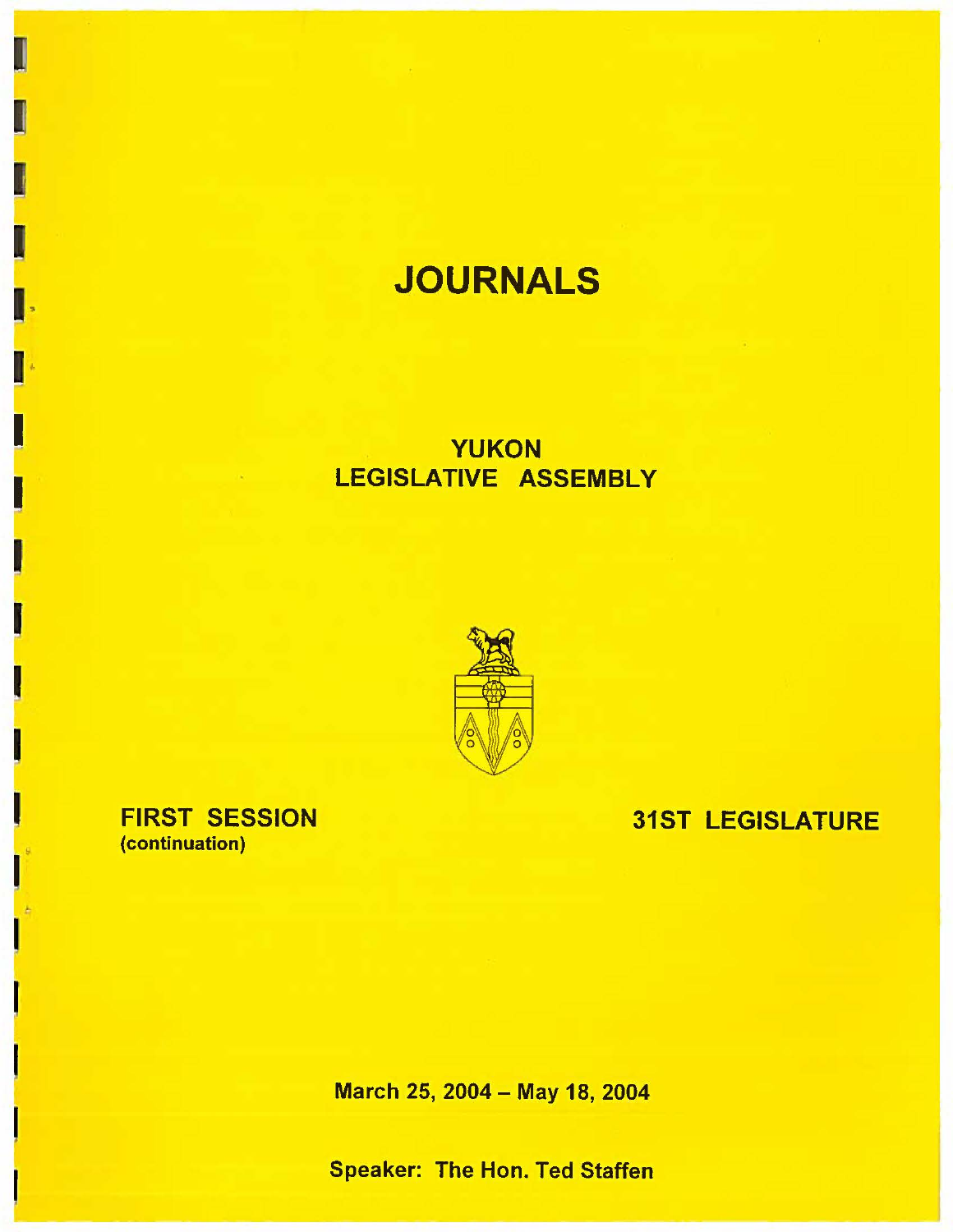# **JOURNALS**

# **YUKON**  LEGISLATIVE **ASSEMBLY**



FIRST SESSION (continuation)

I

I

I  $\frac{1}{\cdot}$ 

I

I

I

I

I

I

I

I

I

I

f

# 31ST LEGISLATURE

March 25, 2004 - May 18, 2004

Speaker: The Hon. Ted Staffen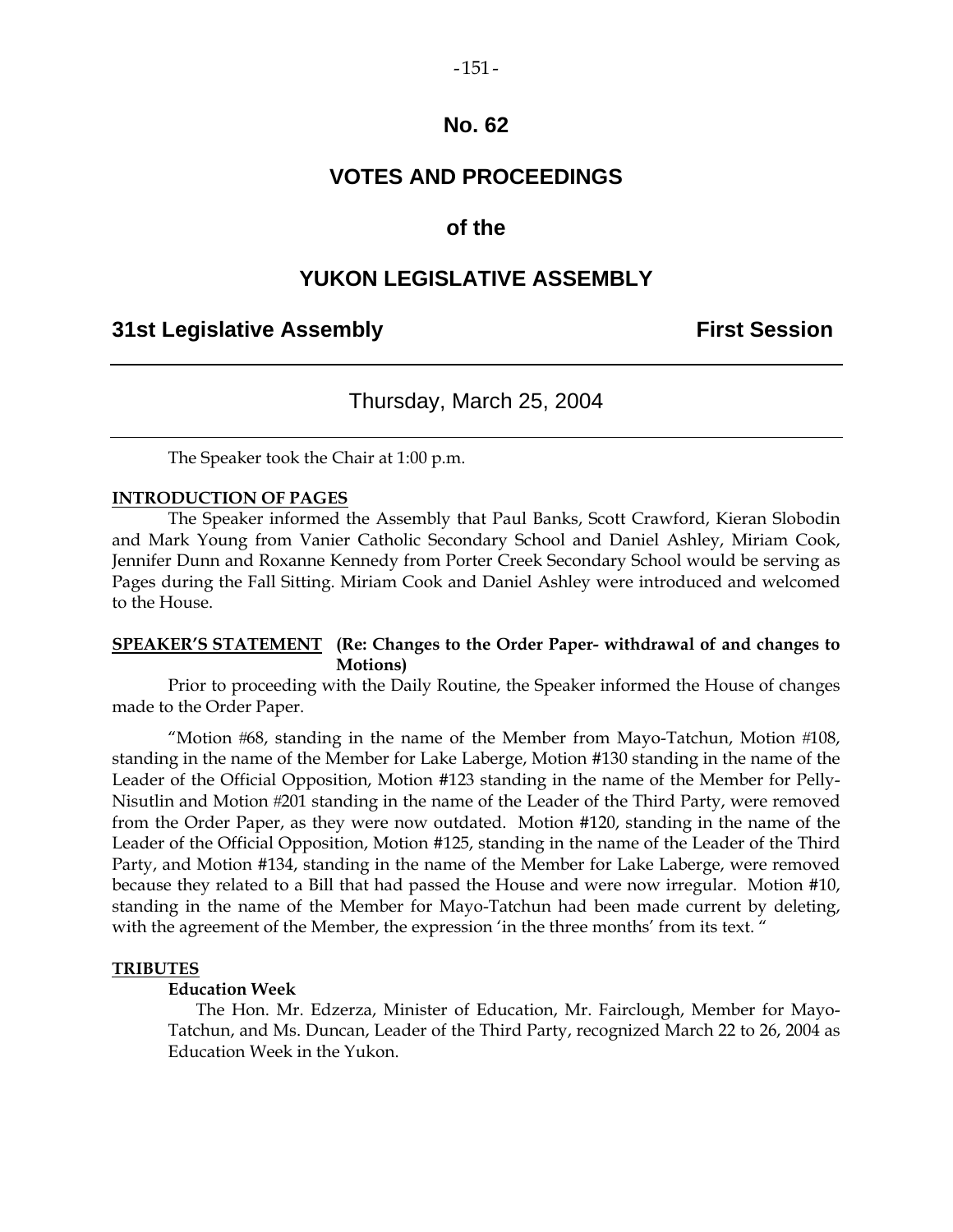# **No. 62**

# **VOTES AND PROCEEDINGS**

### **of the**

# **YUKON LEGISLATIVE ASSEMBLY**

### **31st Legislative Assembly First Session**

# Thursday, March 25, 2004

The Speaker took the Chair at 1:00 p.m.

### **INTRODUCTION OF PAGES**

 The Speaker informed the Assembly that Paul Banks, Scott Crawford, Kieran Slobodin and Mark Young from Vanier Catholic Secondary School and Daniel Ashley, Miriam Cook, Jennifer Dunn and Roxanne Kennedy from Porter Creek Secondary School would be serving as Pages during the Fall Sitting. Miriam Cook and Daniel Ashley were introduced and welcomed to the House.

### **SPEAKER'S STATEMENT (Re: Changes to the Order Paper- withdrawal of and changes to Motions)**

 Prior to proceeding with the Daily Routine, the Speaker informed the House of changes made to the Order Paper.

"Motion  $#68$ , standing in the name of the Member from Mayo-Tatchun, Motion  $#108$ , standing in the name of the Member for Lake Laberge, Motion #130 standing in the name of the Leader of the Official Opposition, Motion #123 standing in the name of the Member for Pelly-Nisutlin and Motion 201 standing in the name of the Leader of the Third Party, were removed from the Order Paper, as they were now outdated. Motion #120, standing in the name of the Leader of the Official Opposition, Motion #125, standing in the name of the Leader of the Third Party, and Motion #134, standing in the name of the Member for Lake Laberge, were removed because they related to a Bill that had passed the House and were now irregular. Motion #10, standing in the name of the Member for Mayo-Tatchun had been made current by deleting, with the agreement of the Member, the expression 'in the three months' from its text. "

### **TRIBUTES**

### **Education Week**

 The Hon. Mr. Edzerza, Minister of Education, Mr. Fairclough, Member for Mayo-Tatchun, and Ms. Duncan, Leader of the Third Party, recognized March 22 to 26, 2004 as Education Week in the Yukon.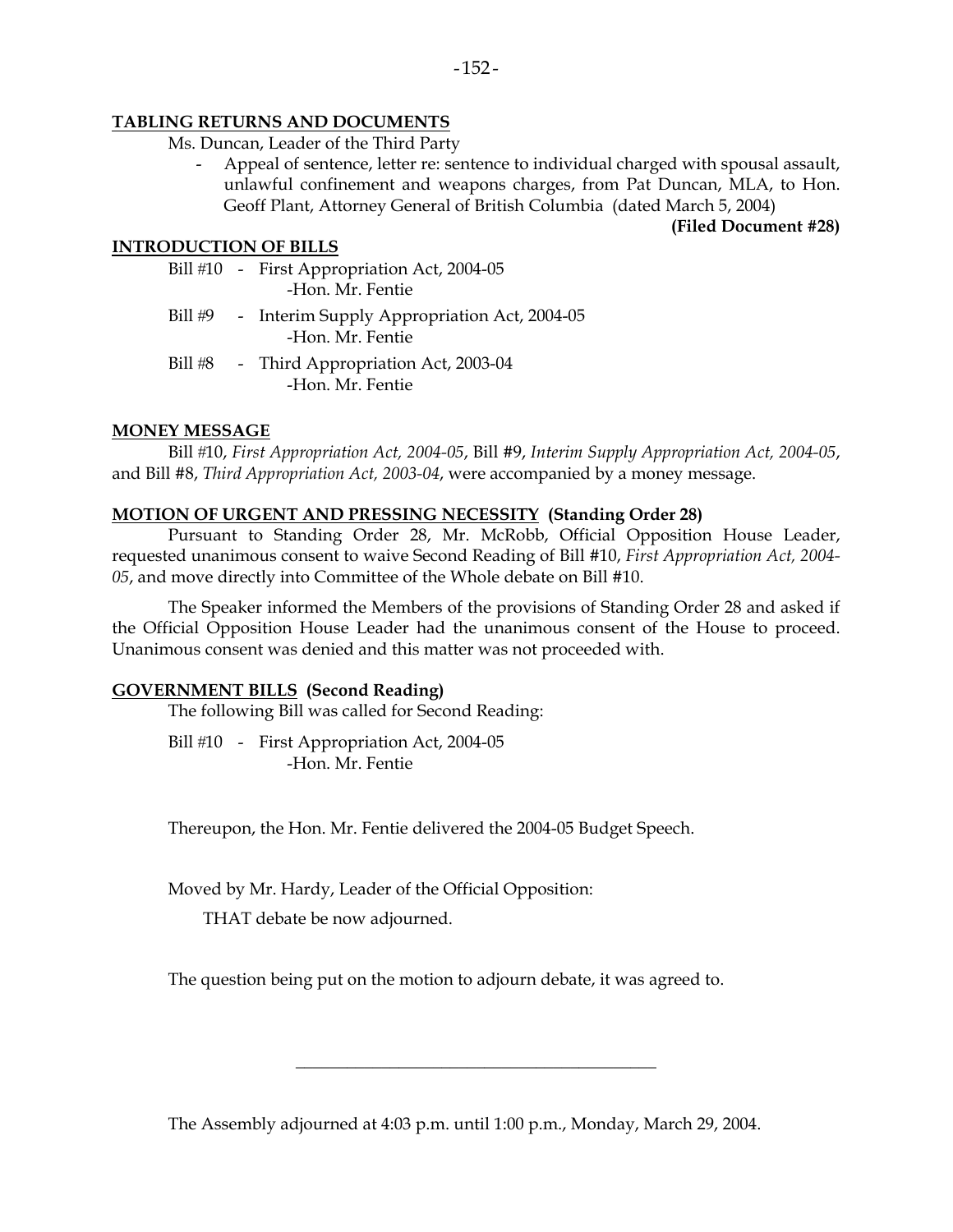### **TABLING RETURNS AND DOCUMENTS**

- Ms. Duncan, Leader of the Third Party
	- Appeal of sentence, letter re: sentence to individual charged with spousal assault, unlawful confinement and weapons charges, from Pat Duncan, MLA, to Hon. Geoff Plant, Attorney General of British Columbia (dated March 5, 2004)

**(Filed Document #28)** 

### **INTRODUCTION OF BILLS**

- Bill #10 First Appropriation Act, 2004-05 -Hon. Mr. Fentie
- Bill #9 Interim Supply Appropriation Act, 2004-05 -Hon. Mr. Fentie
- Bill #8 Third Appropriation Act, 2003-04 -Hon. Mr. Fentie

### **MONEY MESSAGE**

 Bill 10, *First Appropriation Act, 2004-05*, Bill #9, *Interim Supply Appropriation Act, 2004-05*, and Bill #8, *Third Appropriation Act, 2003-04*, were accompanied by a money message.

### **MOTION OF URGENT AND PRESSING NECESSITY (Standing Order 28)**

Pursuant to Standing Order 28, Mr. McRobb, Official Opposition House Leader, requested unanimous consent to waive Second Reading of Bill #10, *First Appropriation Act, 2004- 05*, and move directly into Committee of the Whole debate on Bill #10.

The Speaker informed the Members of the provisions of Standing Order 28 and asked if the Official Opposition House Leader had the unanimous consent of the House to proceed. Unanimous consent was denied and this matter was not proceeded with.

### **GOVERNMENT BILLS (Second Reading)**

The following Bill was called for Second Reading:

Bill #10 - First Appropriation Act, 2004-05 -Hon. Mr. Fentie

Thereupon, the Hon. Mr. Fentie delivered the 2004-05 Budget Speech.

Moved by Mr. Hardy, Leader of the Official Opposition:

THAT debate be now adjourned.

The question being put on the motion to adjourn debate, it was agreed to.

The Assembly adjourned at 4:03 p.m. until 1:00 p.m., Monday, March 29, 2004.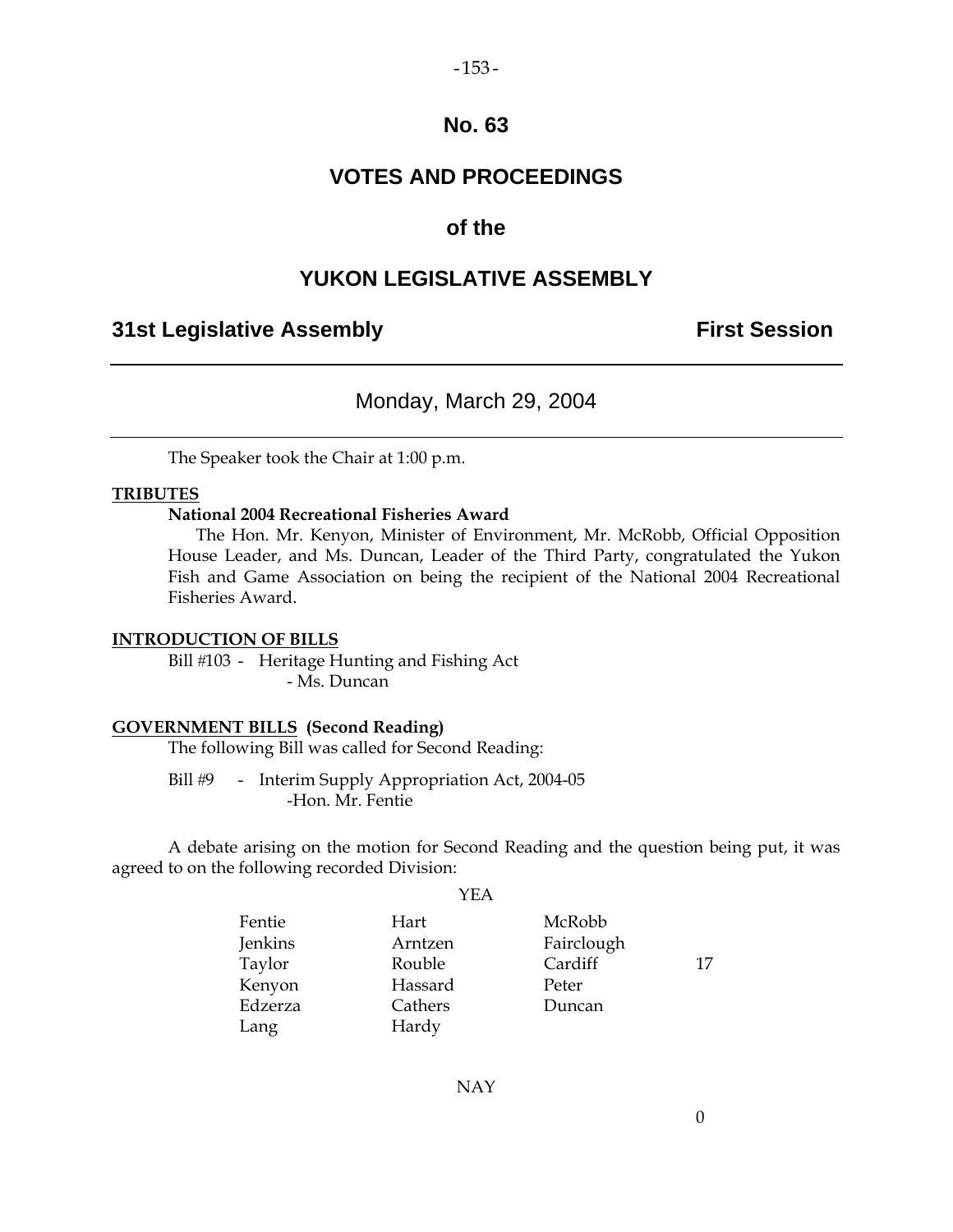### $-153-$

# **No. 63**

# **VOTES AND PROCEEDINGS**

# **of the**

# **YUKON LEGISLATIVE ASSEMBLY**

# **31st Legislative Assembly The Contract Session**

# Monday, March 29, 2004

The Speaker took the Chair at 1:00 p.m.

### **TRIBUTES**

### **National 2004 Recreational Fisheries Award**

 The Hon. Mr. Kenyon, Minister of Environment, Mr. McRobb, Official Opposition House Leader, and Ms. Duncan, Leader of the Third Party, congratulated the Yukon Fish and Game Association on being the recipient of the National 2004 Recreational Fisheries Award.

### **INTRODUCTION OF BILLS**

Bill #103 - Heritage Hunting and Fishing Act - Ms. Duncan

### **GOVERNMENT BILLS (Second Reading)**

The following Bill was called for Second Reading:

Bill #9 - Interim Supply Appropriation Act, 2004-05 -Hon. Mr. Fentie

 A debate arising on the motion for Second Reading and the question being put, it was agreed to on the following recorded Division:

YEA

| Fentie  | Hart    | McRobb     |    |
|---------|---------|------------|----|
| Jenkins | Arntzen | Fairclough |    |
| Taylor  | Rouble  | Cardiff    | 17 |
| Kenyon  | Hassard | Peter      |    |
| Edzerza | Cathers | Duncan     |    |
| Lang    | Hardy   |            |    |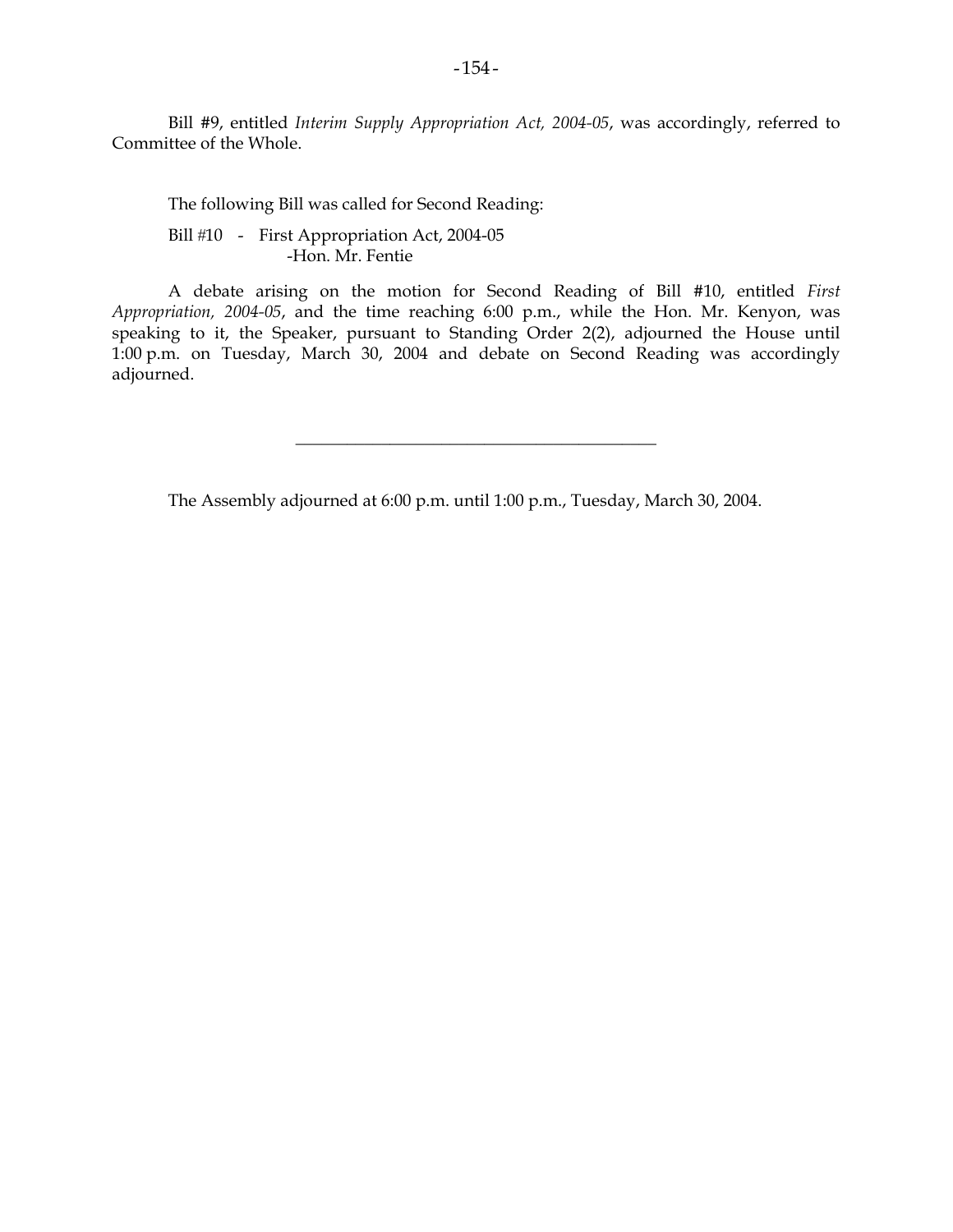Bill #9, entitled *Interim Supply Appropriation Act, 2004-05*, was accordingly, referred to Committee of the Whole.

 The following Bill was called for Second Reading: Bill #10 - First Appropriation Act, 2004-05 -Hon. Mr. Fentie

 A debate arising on the motion for Second Reading of Bill #10, entitled *First Appropriation, 2004-05*, and the time reaching 6:00 p.m., while the Hon. Mr. Kenyon, was speaking to it, the Speaker, pursuant to Standing Order 2(2), adjourned the House until 1:00 p.m. on Tuesday, March 30, 2004 and debate on Second Reading was accordingly adjourned.

\_\_\_\_\_\_\_\_\_\_\_\_\_\_\_\_\_\_\_\_\_\_\_\_\_\_\_\_\_\_\_\_\_\_\_\_\_\_\_\_\_\_

The Assembly adjourned at 6:00 p.m. until 1:00 p.m., Tuesday, March 30, 2004.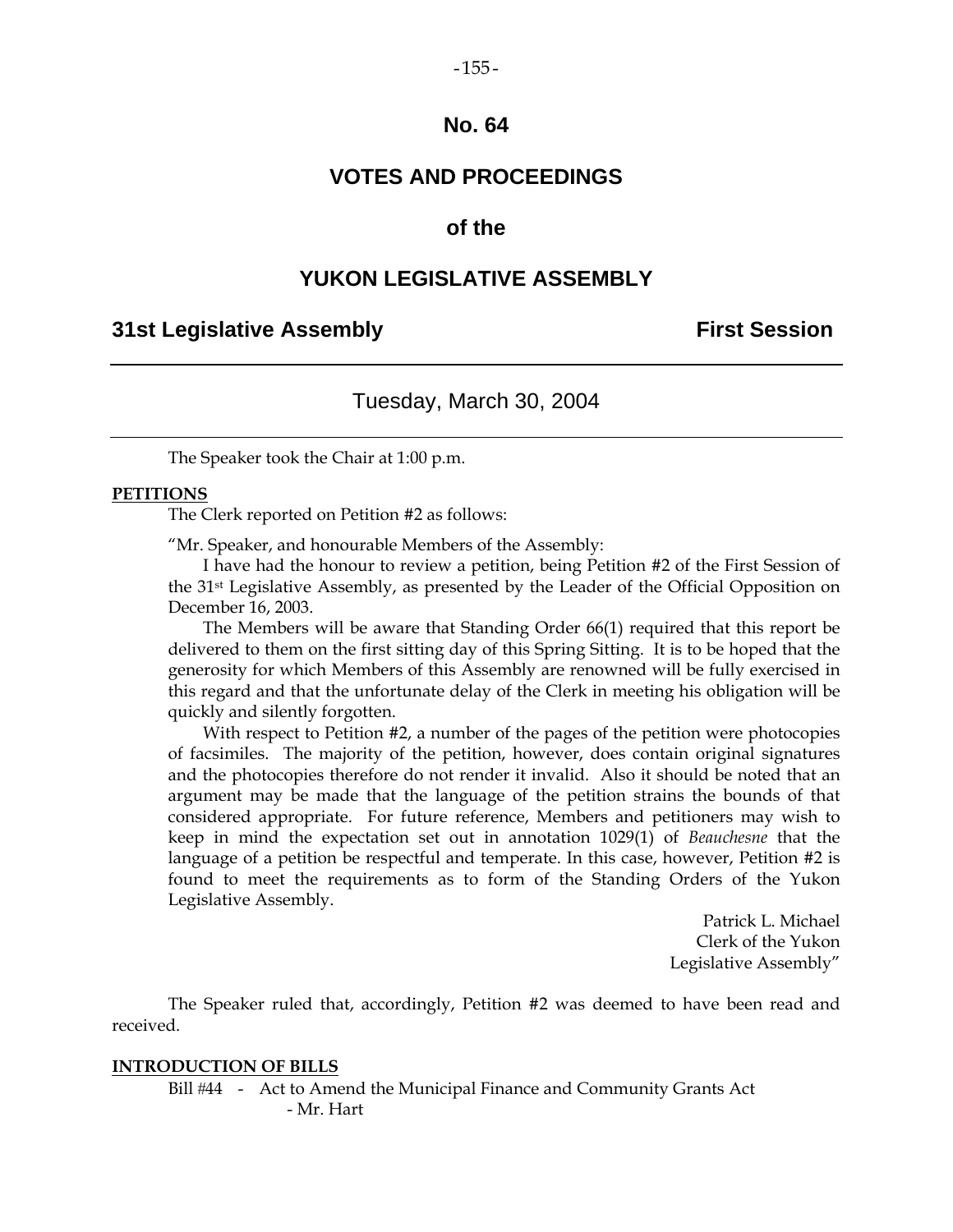# **No. 64**

# **VOTES AND PROCEEDINGS**

### **of the**

### **YUKON LEGISLATIVE ASSEMBLY**

### **31st Legislative Assembly First Session**

### Tuesday, March 30, 2004

The Speaker took the Chair at 1:00 p.m.

### **PETITIONS**

The Clerk reported on Petition #2 as follows:

"Mr. Speaker, and honourable Members of the Assembly:

 I have had the honour to review a petition, being Petition #2 of the First Session of the 31st Legislative Assembly, as presented by the Leader of the Official Opposition on December 16, 2003.

 The Members will be aware that Standing Order 66(1) required that this report be delivered to them on the first sitting day of this Spring Sitting. It is to be hoped that the generosity for which Members of this Assembly are renowned will be fully exercised in this regard and that the unfortunate delay of the Clerk in meeting his obligation will be quickly and silently forgotten.

With respect to Petition #2, a number of the pages of the petition were photocopies of facsimiles. The majority of the petition, however, does contain original signatures and the photocopies therefore do not render it invalid. Also it should be noted that an argument may be made that the language of the petition strains the bounds of that considered appropriate. For future reference, Members and petitioners may wish to keep in mind the expectation set out in annotation 1029(1) of *Beauchesne* that the language of a petition be respectful and temperate. In this case, however, Petition #2 is found to meet the requirements as to form of the Standing Orders of the Yukon Legislative Assembly.

> Patrick L. Michael Clerk of the Yukon Legislative Assembly"

 The Speaker ruled that, accordingly, Petition #2 was deemed to have been read and received.

### **INTRODUCTION OF BILLS**

Bill #44 - Act to Amend the Municipal Finance and Community Grants Act - Mr. Hart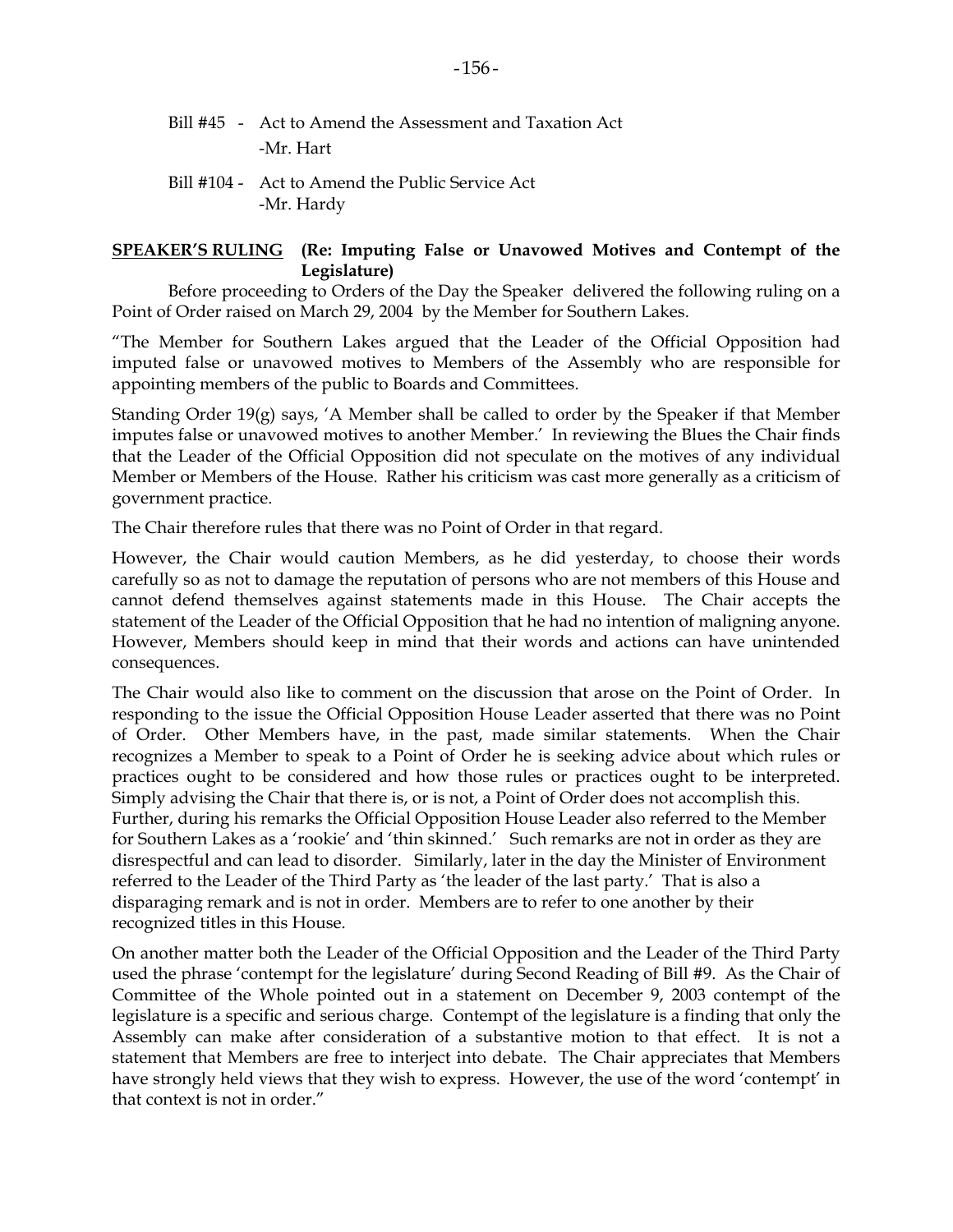- Bill #45 Act to Amend the Assessment and Taxation Act -Mr. Hart
- Bill #104 Act to Amend the Public Service Act -Mr. Hardy

### **SPEAKER'S RULING (Re: Imputing False or Unavowed Motives and Contempt of the Legislature)**

 Before proceeding to Orders of the Day the Speaker delivered the following ruling on a Point of Order raised on March 29, 2004 by the Member for Southern Lakes.

"The Member for Southern Lakes argued that the Leader of the Official Opposition had imputed false or unavowed motives to Members of the Assembly who are responsible for appointing members of the public to Boards and Committees.

Standing Order 19(g) says, 'A Member shall be called to order by the Speaker if that Member imputes false or unavowed motives to another Member.' In reviewing the Blues the Chair finds that the Leader of the Official Opposition did not speculate on the motives of any individual Member or Members of the House. Rather his criticism was cast more generally as a criticism of government practice.

The Chair therefore rules that there was no Point of Order in that regard.

However, the Chair would caution Members, as he did yesterday, to choose their words carefully so as not to damage the reputation of persons who are not members of this House and cannot defend themselves against statements made in this House. The Chair accepts the statement of the Leader of the Official Opposition that he had no intention of maligning anyone. However, Members should keep in mind that their words and actions can have unintended consequences.

The Chair would also like to comment on the discussion that arose on the Point of Order. In responding to the issue the Official Opposition House Leader asserted that there was no Point of Order. Other Members have, in the past, made similar statements. When the Chair recognizes a Member to speak to a Point of Order he is seeking advice about which rules or practices ought to be considered and how those rules or practices ought to be interpreted. Simply advising the Chair that there is, or is not, a Point of Order does not accomplish this. Further, during his remarks the Official Opposition House Leader also referred to the Member for Southern Lakes as a 'rookie' and 'thin skinned.' Such remarks are not in order as they are disrespectful and can lead to disorder. Similarly, later in the day the Minister of Environment referred to the Leader of the Third Party as 'the leader of the last party.' That is also a disparaging remark and is not in order. Members are to refer to one another by their recognized titles in this House.

On another matter both the Leader of the Official Opposition and the Leader of the Third Party used the phrase 'contempt for the legislature' during Second Reading of Bill #9. As the Chair of Committee of the Whole pointed out in a statement on December 9, 2003 contempt of the legislature is a specific and serious charge. Contempt of the legislature is a finding that only the Assembly can make after consideration of a substantive motion to that effect. It is not a statement that Members are free to interject into debate. The Chair appreciates that Members have strongly held views that they wish to express. However, the use of the word 'contempt' in that context is not in order."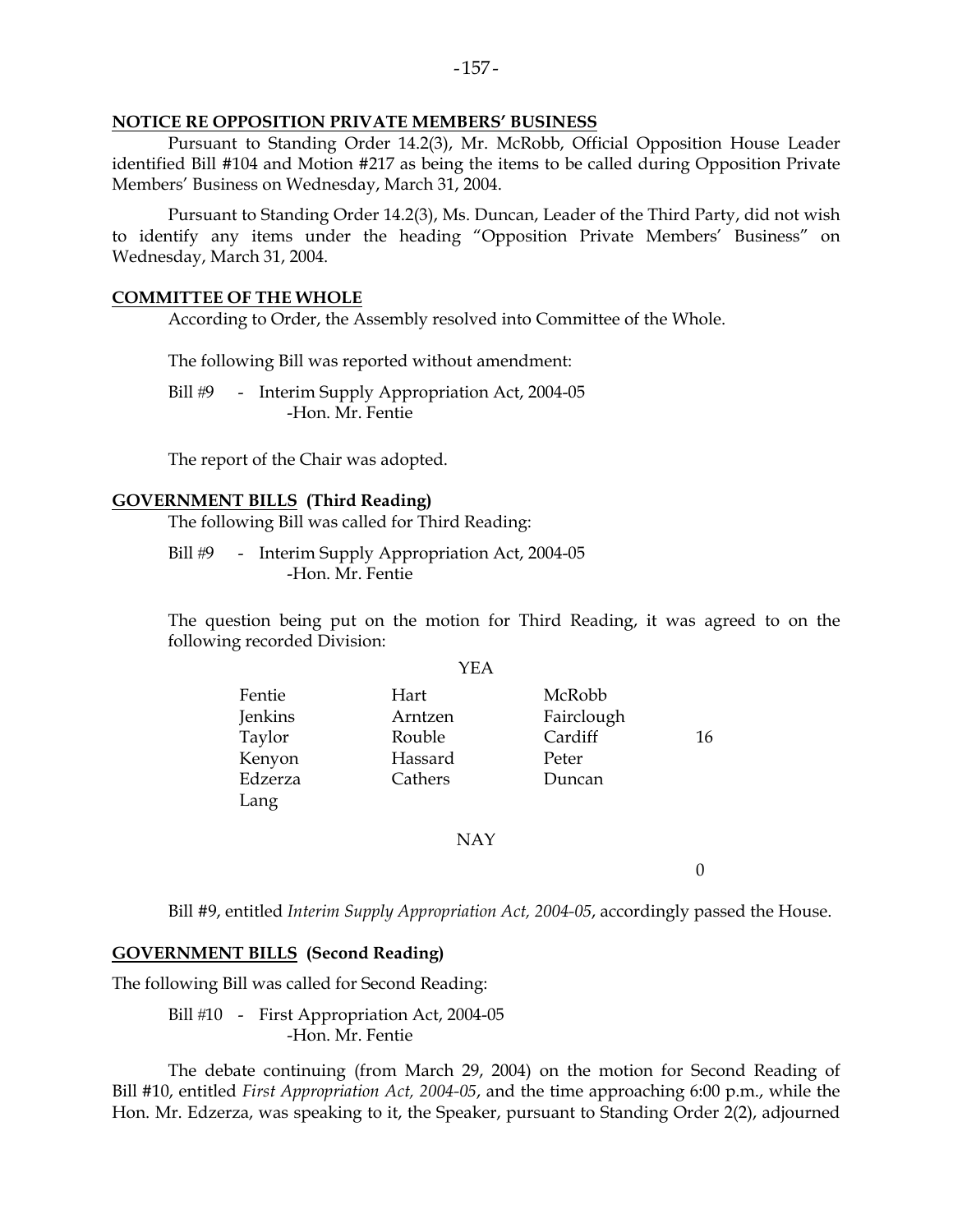### **NOTICE RE OPPOSITION PRIVATE MEMBERS' BUSINESS**

 Pursuant to Standing Order 14.2(3), Mr. McRobb, Official Opposition House Leader identified Bill #104 and Motion #217 as being the items to be called during Opposition Private Members' Business on Wednesday, March 31, 2004.

 Pursuant to Standing Order 14.2(3), Ms. Duncan, Leader of the Third Party, did not wish to identify any items under the heading "Opposition Private Members' Business" on Wednesday, March 31, 2004.

### **COMMITTEE OF THE WHOLE**

According to Order, the Assembly resolved into Committee of the Whole.

The following Bill was reported without amendment:

Bill #9 - Interim Supply Appropriation Act, 2004-05 -Hon. Mr. Fentie

The report of the Chair was adopted.

### **GOVERNMENT BILLS (Third Reading)**

The following Bill was called for Third Reading:

Bill #9 - Interim Supply Appropriation Act, 2004-05 -Hon. Mr. Fentie

 The question being put on the motion for Third Reading, it was agreed to on the following recorded Division:

|         | YEA     |            |    |
|---------|---------|------------|----|
| Fentie  | Hart    | McRobb     |    |
| Jenkins | Arntzen | Fairclough |    |
| Taylor  | Rouble  | Cardiff    | 16 |
| Kenyon  | Hassard | Peter      |    |
| Edzerza | Cathers | Duncan     |    |
| Lang    |         |            |    |

### NAY

 $\overline{0}$ 

Bill #9, entitled *Interim Supply Appropriation Act, 2004-05*, accordingly passed the House.

### **GOVERNMENT BILLS (Second Reading)**

The following Bill was called for Second Reading:

Bill #10 - First Appropriation Act, 2004-05 -Hon. Mr. Fentie

 The debate continuing (from March 29, 2004) on the motion for Second Reading of Bill #10, entitled *First Appropriation Act, 2004-05*, and the time approaching 6:00 p.m., while the Hon. Mr. Edzerza, was speaking to it, the Speaker, pursuant to Standing Order 2(2), adjourned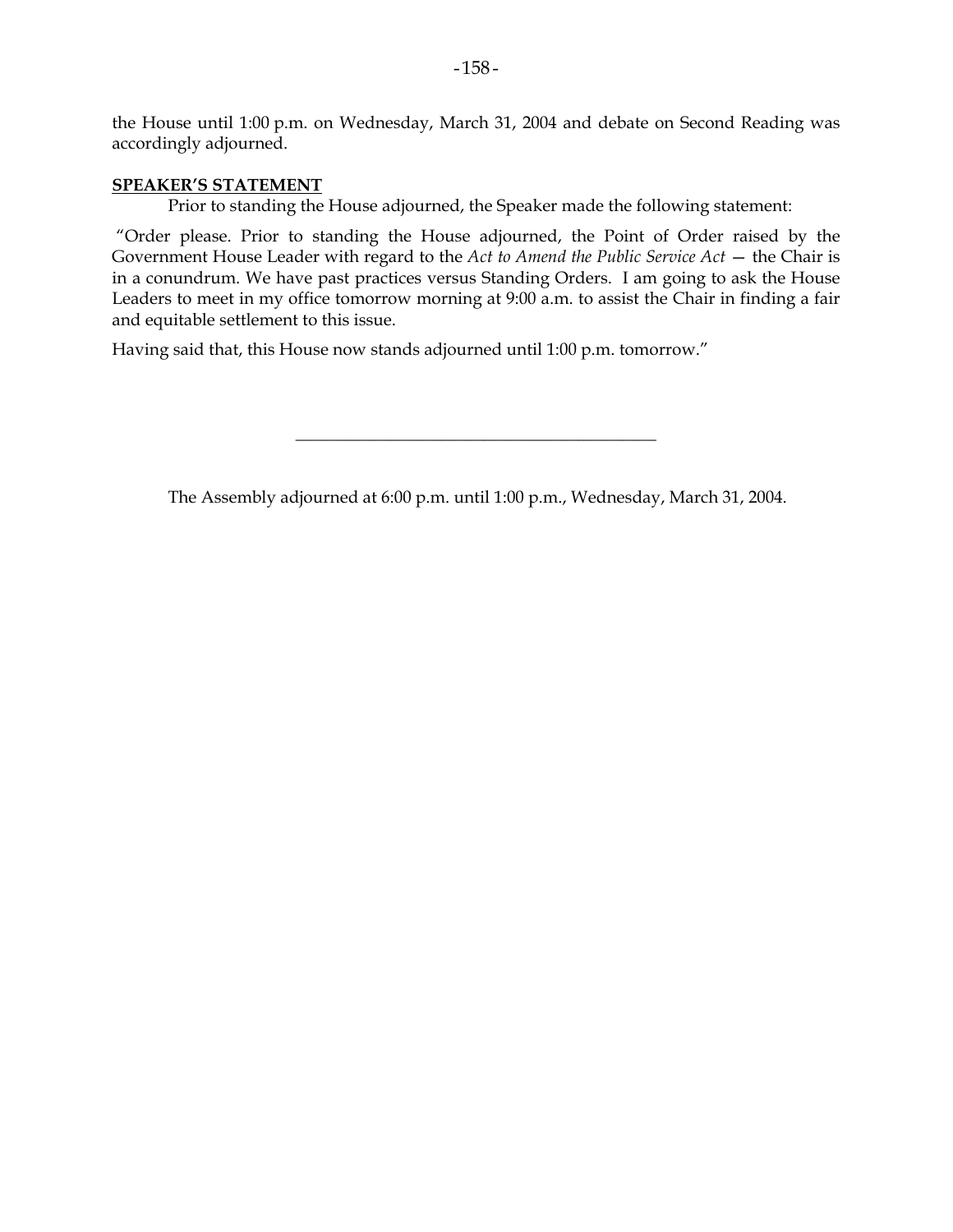the House until 1:00 p.m. on Wednesday, March 31, 2004 and debate on Second Reading was accordingly adjourned.

### **SPEAKER'S STATEMENT**

Prior to standing the House adjourned, the Speaker made the following statement:

 "Order please. Prior to standing the House adjourned, the Point of Order raised by the Government House Leader with regard to the *Act to Amend the Public Service Act* — the Chair is in a conundrum. We have past practices versus Standing Orders. I am going to ask the House Leaders to meet in my office tomorrow morning at 9:00 a.m. to assist the Chair in finding a fair and equitable settlement to this issue.

Having said that, this House now stands adjourned until 1:00 p.m. tomorrow."

The Assembly adjourned at 6:00 p.m. until 1:00 p.m., Wednesday, March 31, 2004.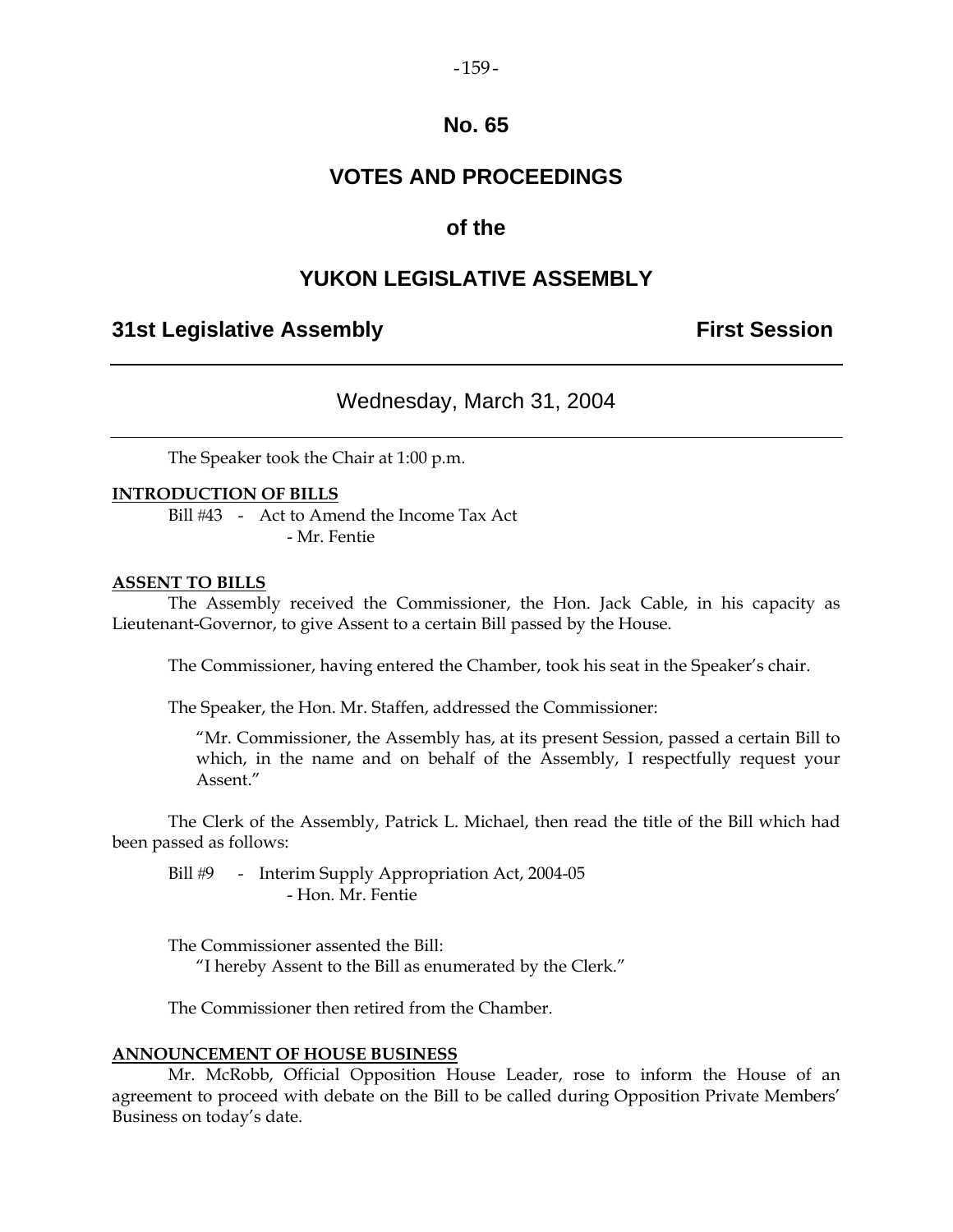### $-159-$

# **No. 65**

# **VOTES AND PROCEEDINGS**

# **of the**

# **YUKON LEGISLATIVE ASSEMBLY**

# **31st Legislative Assembly First Session**

# Wednesday, March 31, 2004

The Speaker took the Chair at 1:00 p.m.

### **INTRODUCTION OF BILLS**

Bill #43 - Act to Amend the Income Tax Act - Mr. Fentie

### **ASSENT TO BILLS**

 The Assembly received the Commissioner, the Hon. Jack Cable, in his capacity as Lieutenant-Governor, to give Assent to a certain Bill passed by the House.

The Commissioner, having entered the Chamber, took his seat in the Speaker's chair.

The Speaker, the Hon. Mr. Staffen, addressed the Commissioner:

 "Mr. Commissioner, the Assembly has, at its present Session, passed a certain Bill to which, in the name and on behalf of the Assembly, I respectfully request your Assent."

 The Clerk of the Assembly, Patrick L. Michael, then read the title of the Bill which had been passed as follows:

Bill #9 - Interim Supply Appropriation Act, 2004-05 - Hon. Mr. Fentie

The Commissioner assented the Bill:

"I hereby Assent to the Bill as enumerated by the Clerk."

The Commissioner then retired from the Chamber.

### **ANNOUNCEMENT OF HOUSE BUSINESS**

 Mr. McRobb, Official Opposition House Leader, rose to inform the House of an agreement to proceed with debate on the Bill to be called during Opposition Private Members' Business on today's date.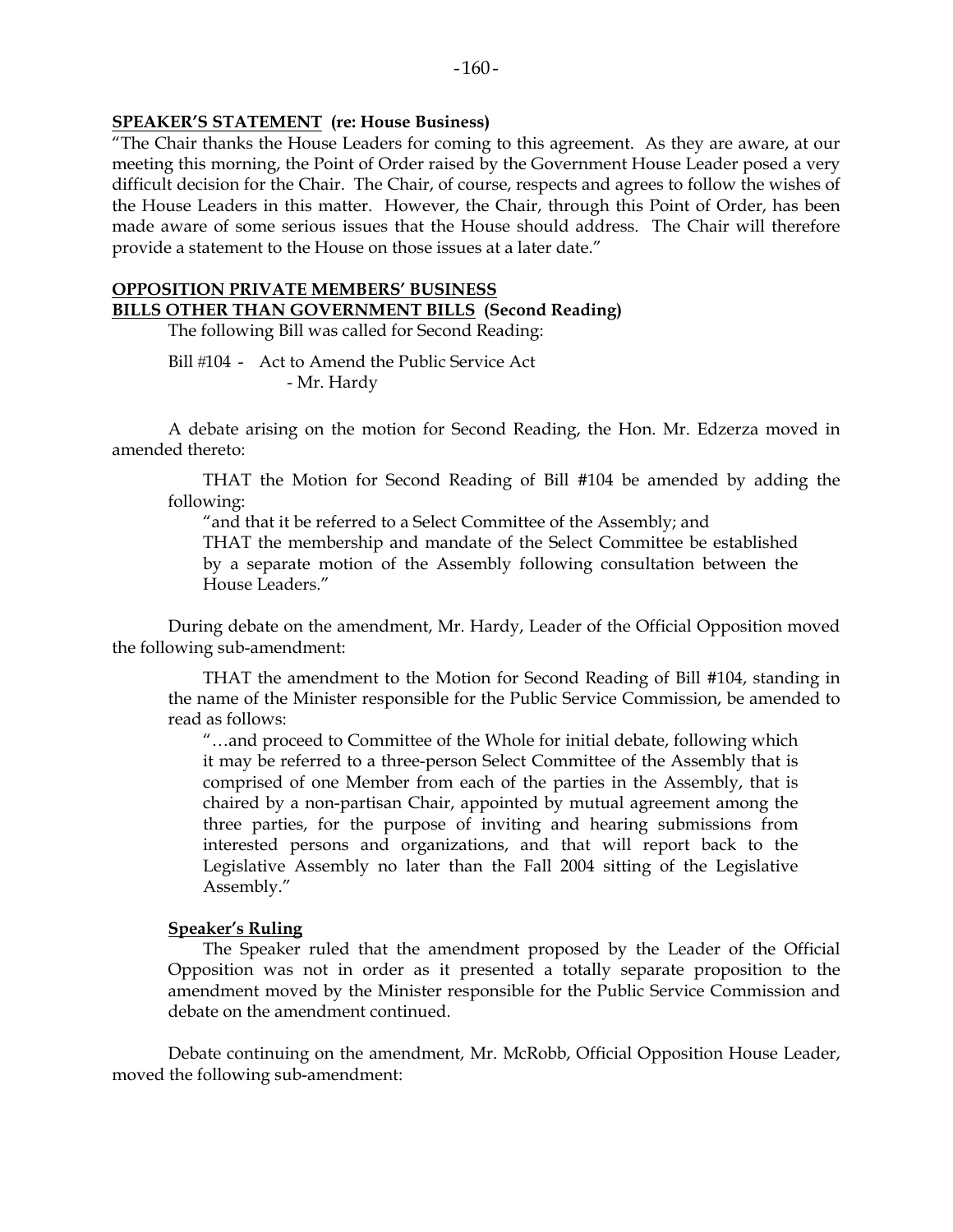# **SPEAKER'S STATEMENT (re: House Business)**

"The Chair thanks the House Leaders for coming to this agreement. As they are aware, at our meeting this morning, the Point of Order raised by the Government House Leader posed a very difficult decision for the Chair. The Chair, of course, respects and agrees to follow the wishes of the House Leaders in this matter. However, the Chair, through this Point of Order, has been made aware of some serious issues that the House should address. The Chair will therefore provide a statement to the House on those issues at a later date."

### **OPPOSITION PRIVATE MEMBERS' BUSINESS**

**BILLS OTHER THAN GOVERNMENT BILLS (Second Reading)** 

The following Bill was called for Second Reading:

Bill #104 - Act to Amend the Public Service Act - Mr. Hardy

 A debate arising on the motion for Second Reading, the Hon. Mr. Edzerza moved in amended thereto:

 THAT the Motion for Second Reading of Bill #104 be amended by adding the following:

"and that it be referred to a Select Committee of the Assembly; and

 THAT the membership and mandate of the Select Committee be established by a separate motion of the Assembly following consultation between the House Leaders."

 During debate on the amendment, Mr. Hardy, Leader of the Official Opposition moved the following sub-amendment:

 THAT the amendment to the Motion for Second Reading of Bill #104, standing in the name of the Minister responsible for the Public Service Commission, be amended to read as follows:

 "…and proceed to Committee of the Whole for initial debate, following which it may be referred to a three-person Select Committee of the Assembly that is comprised of one Member from each of the parties in the Assembly, that is chaired by a non-partisan Chair, appointed by mutual agreement among the three parties, for the purpose of inviting and hearing submissions from interested persons and organizations, and that will report back to the Legislative Assembly no later than the Fall 2004 sitting of the Legislative Assembly."

### **Speaker's Ruling**

 The Speaker ruled that the amendment proposed by the Leader of the Official Opposition was not in order as it presented a totally separate proposition to the amendment moved by the Minister responsible for the Public Service Commission and debate on the amendment continued.

 Debate continuing on the amendment, Mr. McRobb, Official Opposition House Leader, moved the following sub-amendment: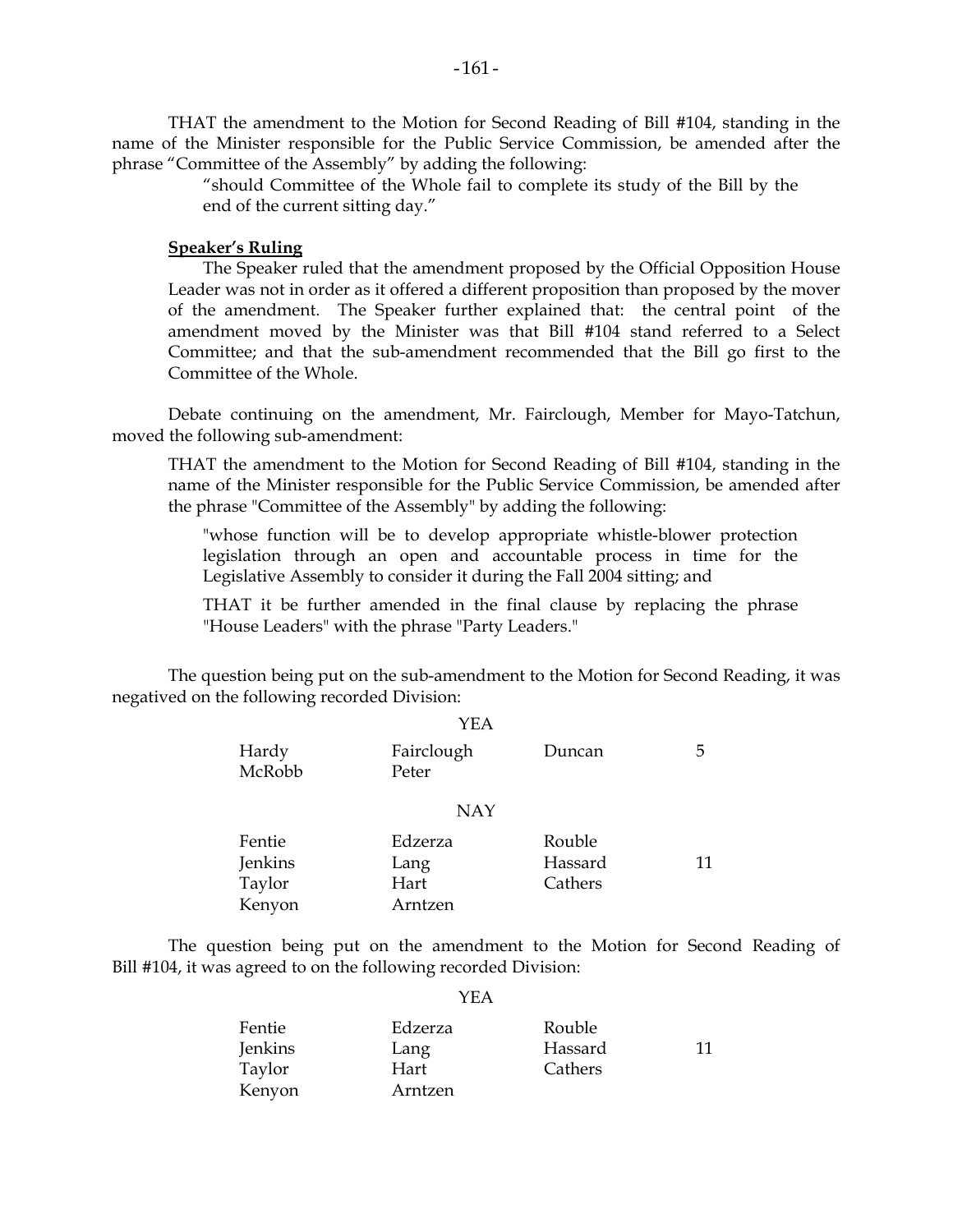THAT the amendment to the Motion for Second Reading of Bill #104, standing in the name of the Minister responsible for the Public Service Commission, be amended after the phrase "Committee of the Assembly" by adding the following:

> "should Committee of the Whole fail to complete its study of the Bill by the end of the current sitting day."

### **Speaker's Ruling**

 The Speaker ruled that the amendment proposed by the Official Opposition House Leader was not in order as it offered a different proposition than proposed by the mover of the amendment. The Speaker further explained that: the central point of the amendment moved by the Minister was that Bill #104 stand referred to a Select Committee; and that the sub-amendment recommended that the Bill go first to the Committee of the Whole.

 Debate continuing on the amendment, Mr. Fairclough, Member for Mayo-Tatchun, moved the following sub-amendment:

 THAT the amendment to the Motion for Second Reading of Bill #104, standing in the name of the Minister responsible for the Public Service Commission, be amended after the phrase "Committee of the Assembly" by adding the following:

 "whose function will be to develop appropriate whistle-blower protection legislation through an open and accountable process in time for the Legislative Assembly to consider it during the Fall 2004 sitting; and

 THAT it be further amended in the final clause by replacing the phrase "House Leaders" with the phrase "Party Leaders."

 The question being put on the sub-amendment to the Motion for Second Reading, it was negatived on the following recorded Division:

|                 | <b>YEA</b>          |         |    |
|-----------------|---------------------|---------|----|
| Hardy<br>McRobb | Fairclough<br>Peter | Duncan  | 5  |
|                 | <b>NAY</b>          |         |    |
| Fentie          | Edzerza             | Rouble  |    |
| Jenkins         | Lang                | Hassard | 11 |
| Taylor          | Hart                | Cathers |    |
| Kenyon          | Arntzen             |         |    |

 The question being put on the amendment to the Motion for Second Reading of Bill #104, it was agreed to on the following recorded Division:

### YEA

| Fentie  | Edzerza | Rouble  |    |
|---------|---------|---------|----|
| Jenkins | Lang    | Hassard | 11 |
| Taylor  | Hart    | Cathers |    |
| Kenyon  | Arntzen |         |    |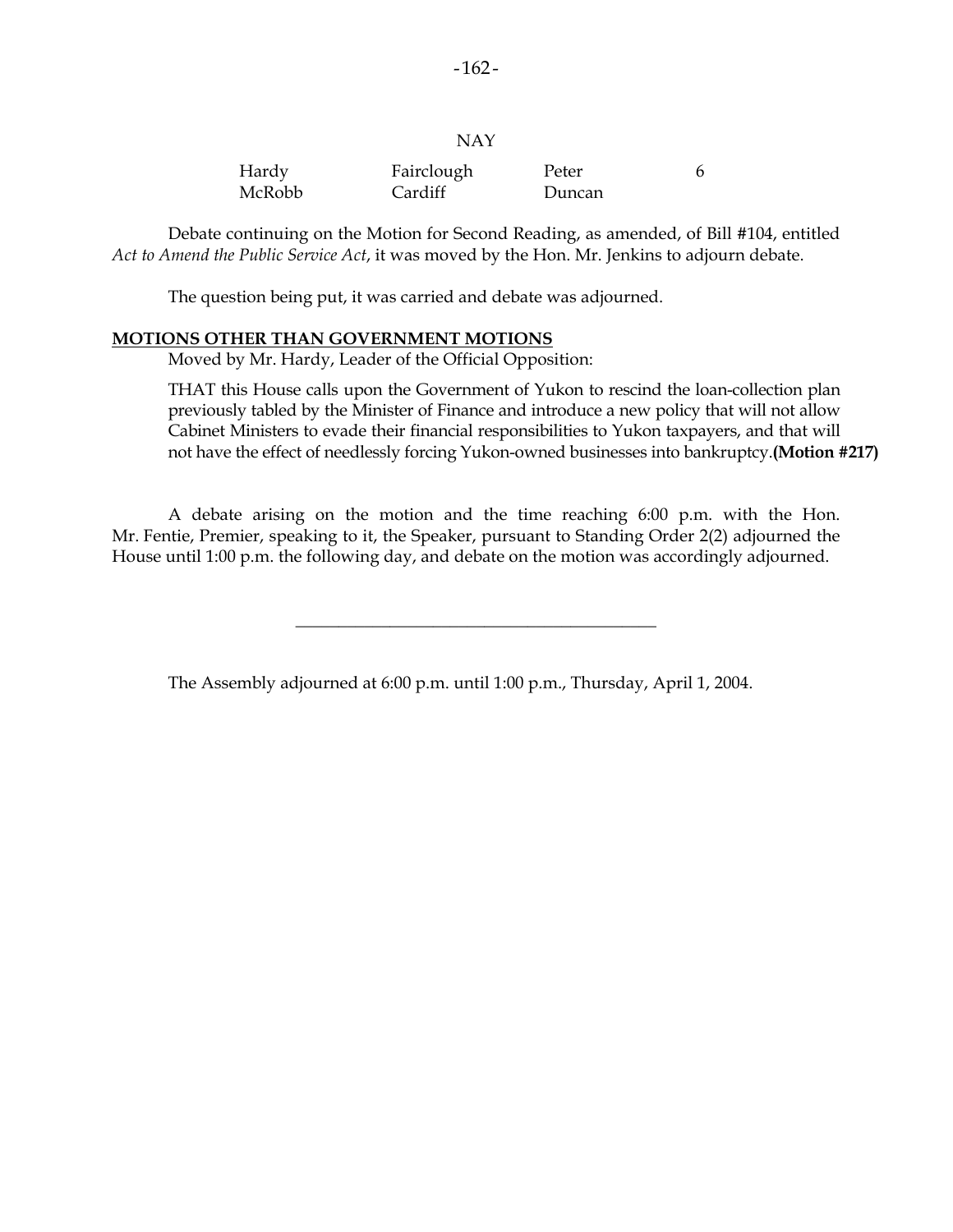| × |  |
|---|--|
|   |  |

| Hardy  | Fairclough | Peter  |  |
|--------|------------|--------|--|
| McRobb | Cardiff    | Duncan |  |

 Debate continuing on the Motion for Second Reading, as amended, of Bill #104, entitled *Act to Amend the Public Service Act*, it was moved by the Hon. Mr. Jenkins to adjourn debate.

The question being put, it was carried and debate was adjourned.

### **MOTIONS OTHER THAN GOVERNMENT MOTIONS**

Moved by Mr. Hardy, Leader of the Official Opposition:

 THAT this House calls upon the Government of Yukon to rescind the loan-collection plan previously tabled by the Minister of Finance and introduce a new policy that will not allow Cabinet Ministers to evade their financial responsibilities to Yukon taxpayers, and that will not have the effect of needlessly forcing Yukon-owned businesses into bankruptcy.**(Motion #217)** 

 A debate arising on the motion and the time reaching 6:00 p.m. with the Hon. Mr. Fentie, Premier, speaking to it, the Speaker, pursuant to Standing Order 2(2) adjourned the House until 1:00 p.m. the following day, and debate on the motion was accordingly adjourned.

\_\_\_\_\_\_\_\_\_\_\_\_\_\_\_\_\_\_\_\_\_\_\_\_\_\_\_\_\_\_\_\_\_\_\_\_\_\_\_\_\_\_

The Assembly adjourned at 6:00 p.m. until 1:00 p.m., Thursday, April 1, 2004.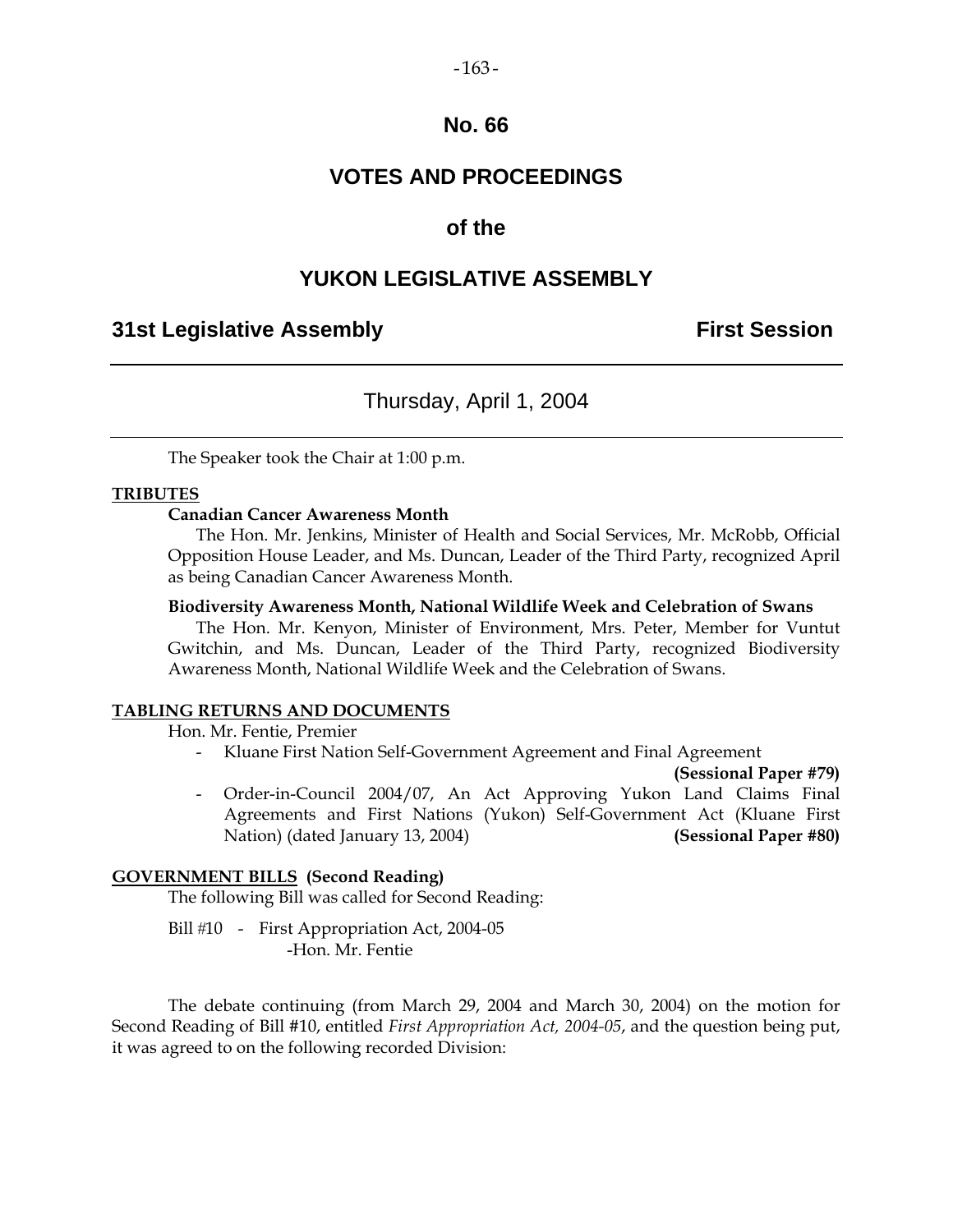# **No. 66**

# **VOTES AND PROCEEDINGS**

# **of the**

# **YUKON LEGISLATIVE ASSEMBLY**

# **31st Legislative Assembly First Session**

# Thursday, April 1, 2004

The Speaker took the Chair at 1:00 p.m.

### **TRIBUTES**

### **Canadian Cancer Awareness Month**

 The Hon. Mr. Jenkins, Minister of Health and Social Services, Mr. McRobb, Official Opposition House Leader, and Ms. Duncan, Leader of the Third Party, recognized April as being Canadian Cancer Awareness Month.

### **Biodiversity Awareness Month, National Wildlife Week and Celebration of Swans**

 The Hon. Mr. Kenyon, Minister of Environment, Mrs. Peter, Member for Vuntut Gwitchin, and Ms. Duncan, Leader of the Third Party, recognized Biodiversity Awareness Month, National Wildlife Week and the Celebration of Swans.

### **TABLING RETURNS AND DOCUMENTS**

Hon. Mr. Fentie, Premier

- Kluane First Nation Self-Government Agreement and Final Agreement

**(Sessional Paper #79)** 

 - Order-in-Council 2004/07, An Act Approving Yukon Land Claims Final Agreements and First Nations (Yukon) Self-Government Act (Kluane First Nation) (dated January 13, 2004) **(Sessional Paper #80)** 

### **GOVERNMENT BILLS (Second Reading)**

The following Bill was called for Second Reading:

Bill #10 - First Appropriation Act, 2004-05 -Hon. Mr. Fentie

 The debate continuing (from March 29, 2004 and March 30, 2004) on the motion for Second Reading of Bill #10, entitled *First Appropriation Act, 2004-05*, and the question being put, it was agreed to on the following recorded Division: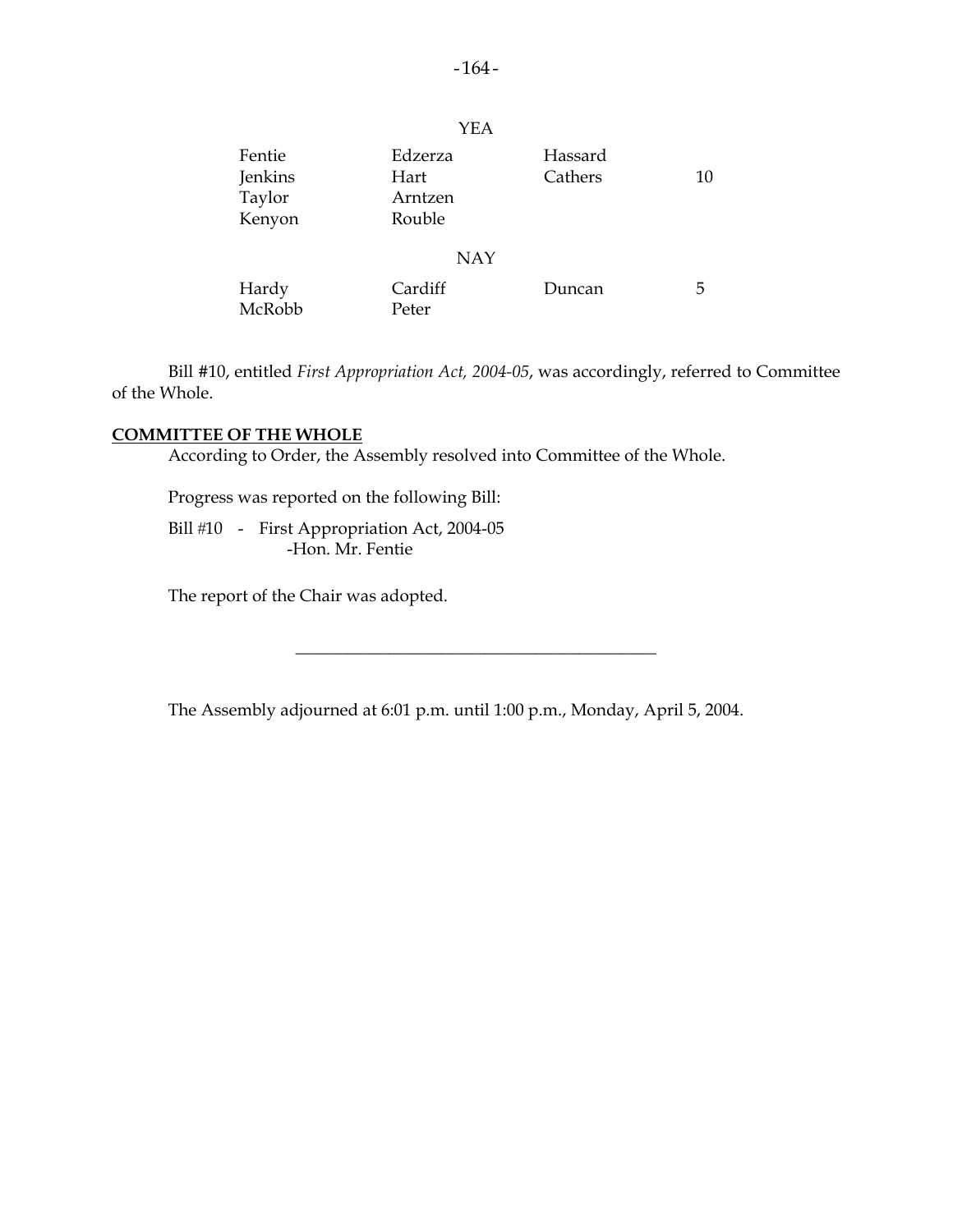|                                       | <b>YEA</b>                           |                    |    |
|---------------------------------------|--------------------------------------|--------------------|----|
| Fentie<br>Jenkins<br>Taylor<br>Kenyon | Edzerza<br>Hart<br>Arntzen<br>Rouble | Hassard<br>Cathers | 10 |
|                                       | <b>NAY</b>                           |                    |    |
| Hardy<br>McRobb                       | Cardiff<br>Peter                     | Duncan             | 5  |

 Bill #10, entitled *First Appropriation Act, 2004-05*, was accordingly, referred to Committee of the Whole.

### **COMMITTEE OF THE WHOLE**

According to Order, the Assembly resolved into Committee of the Whole.

Progress was reported on the following Bill:

Bill #10 - First Appropriation Act, 2004-05 -Hon. Mr. Fentie

The report of the Chair was adopted.

The Assembly adjourned at 6:01 p.m. until 1:00 p.m., Monday, April 5, 2004.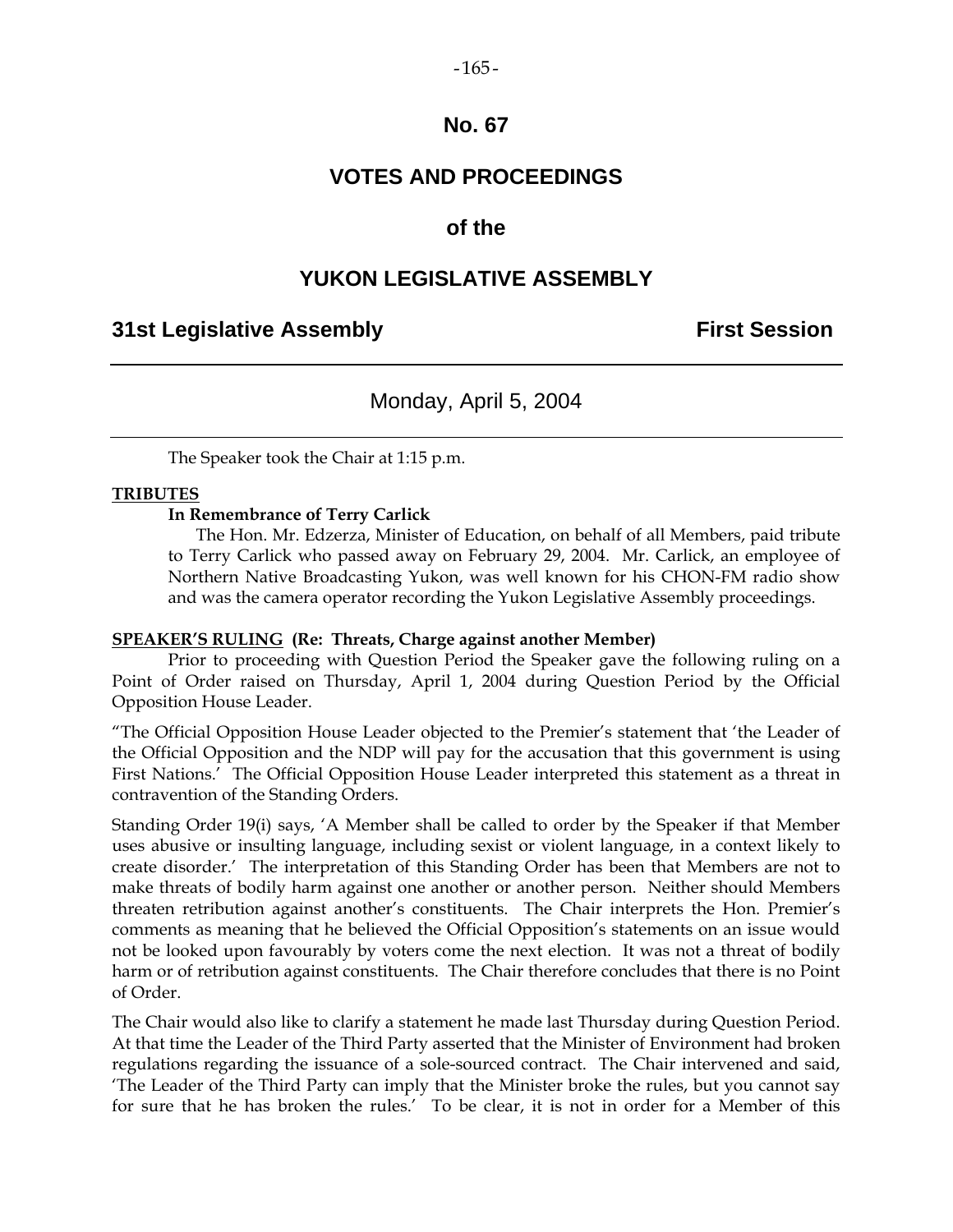# **No. 67**

# **VOTES AND PROCEEDINGS**

# **of the**

# **YUKON LEGISLATIVE ASSEMBLY**

# **31st Legislative Assembly First Session**

# Monday, April 5, 2004

The Speaker took the Chair at 1:15 p.m.

### **TRIBUTES**

### **In Remembrance of Terry Carlick**

 The Hon. Mr. Edzerza, Minister of Education, on behalf of all Members, paid tribute to Terry Carlick who passed away on February 29, 2004. Mr. Carlick, an employee of Northern Native Broadcasting Yukon, was well known for his CHON-FM radio show and was the camera operator recording the Yukon Legislative Assembly proceedings.

### **SPEAKER'S RULING (Re: Threats, Charge against another Member)**

 Prior to proceeding with Question Period the Speaker gave the following ruling on a Point of Order raised on Thursday, April 1, 2004 during Question Period by the Official Opposition House Leader.

"The Official Opposition House Leader objected to the Premier's statement that 'the Leader of the Official Opposition and the NDP will pay for the accusation that this government is using First Nations.' The Official Opposition House Leader interpreted this statement as a threat in contravention of the Standing Orders.

Standing Order 19(i) says, 'A Member shall be called to order by the Speaker if that Member uses abusive or insulting language, including sexist or violent language, in a context likely to create disorder.' The interpretation of this Standing Order has been that Members are not to make threats of bodily harm against one another or another person. Neither should Members threaten retribution against another's constituents. The Chair interprets the Hon. Premier's comments as meaning that he believed the Official Opposition's statements on an issue would not be looked upon favourably by voters come the next election. It was not a threat of bodily harm or of retribution against constituents. The Chair therefore concludes that there is no Point of Order.

The Chair would also like to clarify a statement he made last Thursday during Question Period. At that time the Leader of the Third Party asserted that the Minister of Environment had broken regulations regarding the issuance of a sole-sourced contract. The Chair intervened and said, 'The Leader of the Third Party can imply that the Minister broke the rules, but you cannot say for sure that he has broken the rules.' To be clear, it is not in order for a Member of this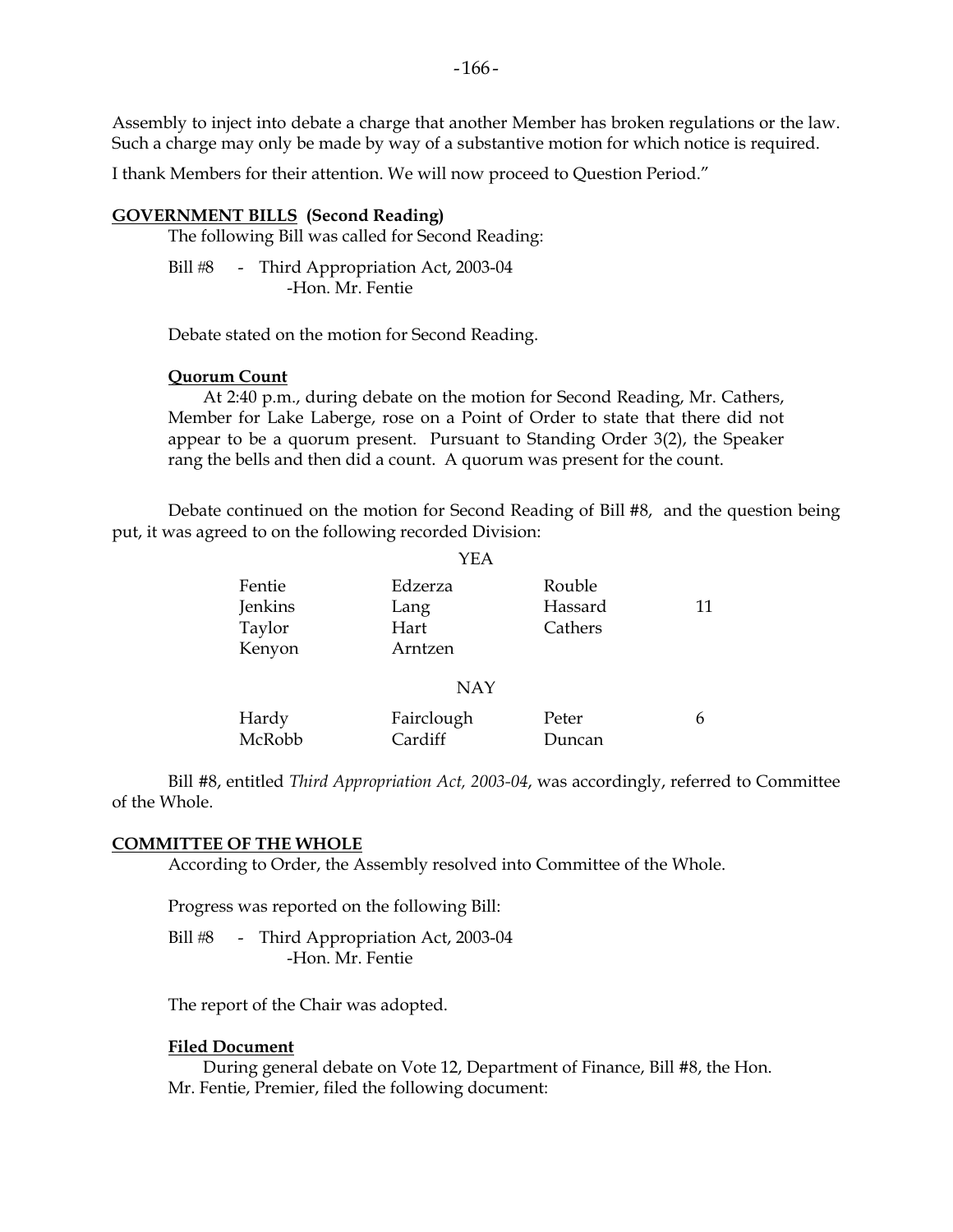Assembly to inject into debate a charge that another Member has broken regulations or the law. Such a charge may only be made by way of a substantive motion for which notice is required.

I thank Members for their attention. We will now proceed to Question Period."

### **GOVERNMENT BILLS (Second Reading)**

The following Bill was called for Second Reading:

Bill #8 - Third Appropriation Act, 2003-04 -Hon. Mr. Fentie

Debate stated on the motion for Second Reading.

### **Quorum Count**

 At 2:40 p.m., during debate on the motion for Second Reading, Mr. Cathers, Member for Lake Laberge, rose on a Point of Order to state that there did not appear to be a quorum present. Pursuant to Standing Order 3(2), the Speaker rang the bells and then did a count. A quorum was present for the count.

 Debate continued on the motion for Second Reading of Bill #8, and the question being put, it was agreed to on the following recorded Division:

 $VFA$ 

|         | 1 1 1 X    |         |    |
|---------|------------|---------|----|
| Fentie  | Edzerza    | Rouble  |    |
| Jenkins | Lang       | Hassard | 11 |
| Taylor  | Hart       | Cathers |    |
| Kenyon  | Arntzen    |         |    |
|         | <b>NAY</b> |         |    |
| Hardy   | Fairclough | Peter   | 6  |
| McRobb  | Cardiff    | Duncan  |    |

 Bill #8, entitled *Third Appropriation Act, 2003-04*, was accordingly, referred to Committee of the Whole.

### **COMMITTEE OF THE WHOLE**

According to Order, the Assembly resolved into Committee of the Whole.

Progress was reported on the following Bill:

Bill #8 - Third Appropriation Act, 2003-04 -Hon. Mr. Fentie

The report of the Chair was adopted.

### **Filed Document**

 During general debate on Vote 12, Department of Finance, Bill #8, the Hon. Mr. Fentie, Premier, filed the following document: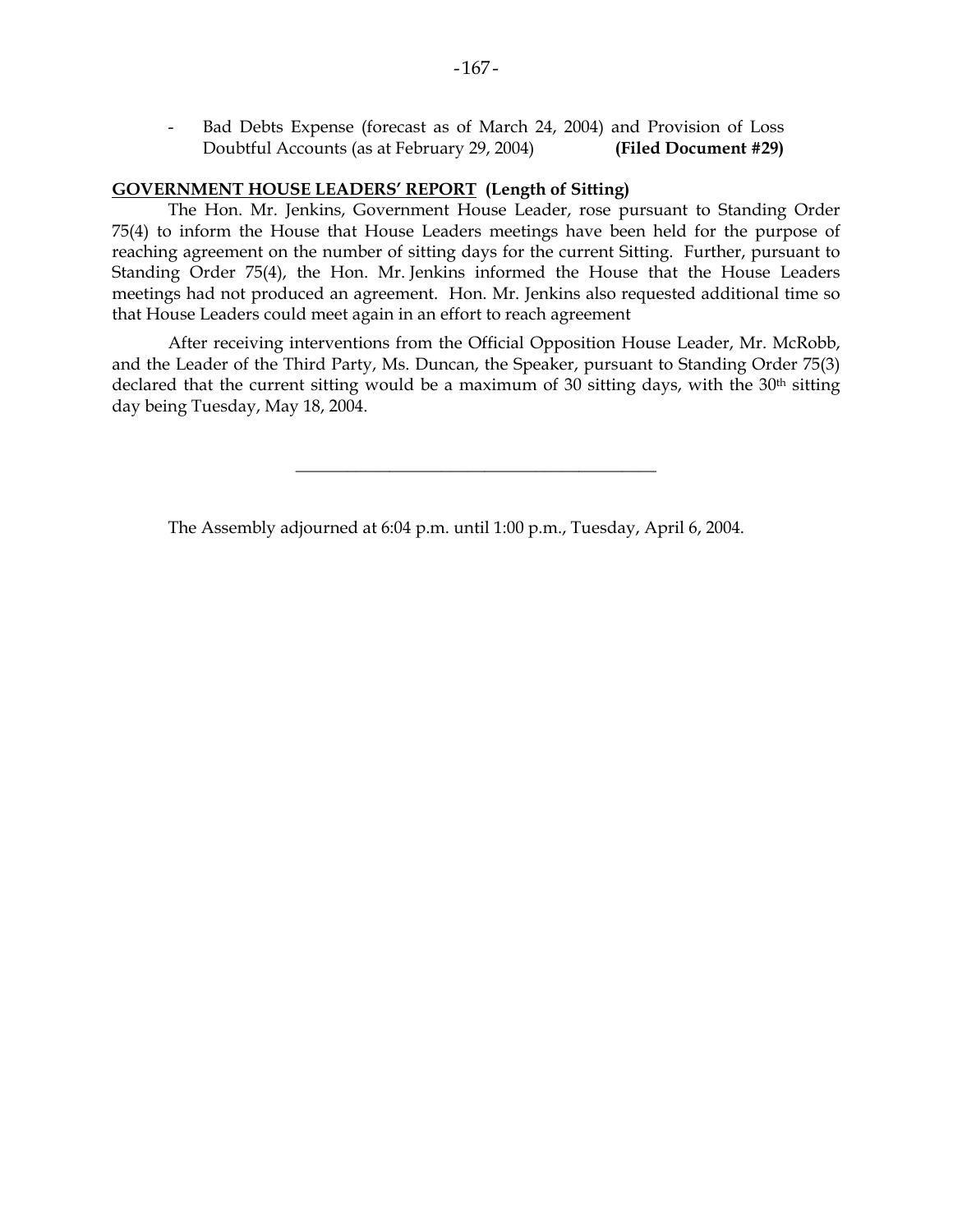Bad Debts Expense (forecast as of March 24, 2004) and Provision of Loss Doubtful Accounts (as at February 29, 2004) **(Filed Document #29)** 

### **GOVERNMENT HOUSE LEADERS' REPORT (Length of Sitting)**

 The Hon. Mr. Jenkins, Government House Leader, rose pursuant to Standing Order 75(4) to inform the House that House Leaders meetings have been held for the purpose of reaching agreement on the number of sitting days for the current Sitting. Further, pursuant to Standing Order 75(4), the Hon. Mr. Jenkins informed the House that the House Leaders meetings had not produced an agreement. Hon. Mr. Jenkins also requested additional time so that House Leaders could meet again in an effort to reach agreement

After receiving interventions from the Official Opposition House Leader, Mr. McRobb, and the Leader of the Third Party, Ms. Duncan, the Speaker, pursuant to Standing Order 75(3) declared that the current sitting would be a maximum of 30 sitting days, with the 30<sup>th</sup> sitting day being Tuesday, May 18, 2004.

\_\_\_\_\_\_\_\_\_\_\_\_\_\_\_\_\_\_\_\_\_\_\_\_\_\_\_\_\_\_\_\_\_\_\_\_\_\_\_\_\_\_

The Assembly adjourned at 6:04 p.m. until 1:00 p.m., Tuesday, April 6, 2004.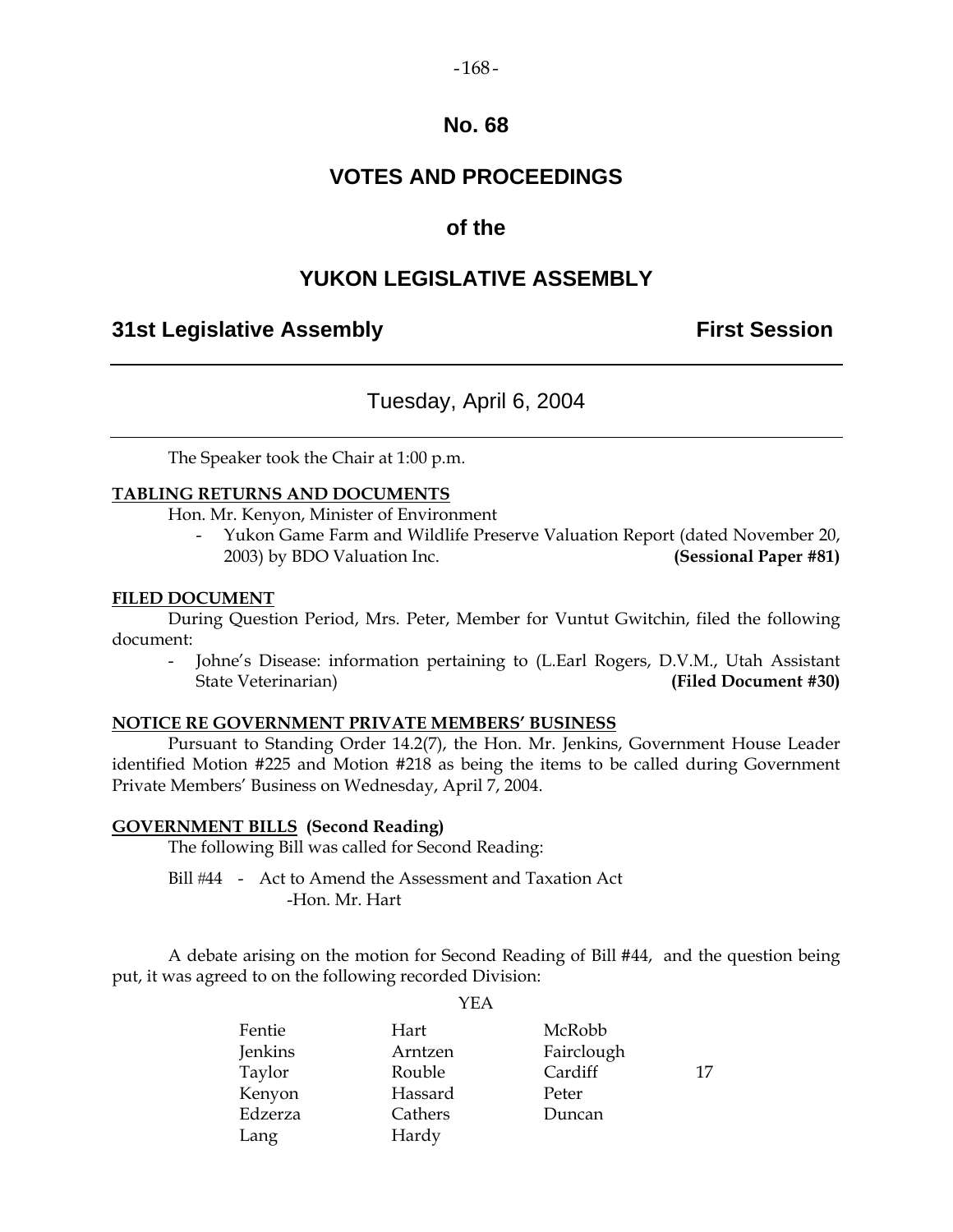### $-168-$

# **No. 68**

# **VOTES AND PROCEEDINGS**

# **of the**

# **YUKON LEGISLATIVE ASSEMBLY**

# **31st Legislative Assembly First Session**

# Tuesday, April 6, 2004

The Speaker took the Chair at 1:00 p.m.

### **TABLING RETURNS AND DOCUMENTS**

Hon. Mr. Kenyon, Minister of Environment

 - Yukon Game Farm and Wildlife Preserve Valuation Report (dated November 20, 2003) by BDO Valuation Inc. **(Sessional Paper #81)**

### **FILED DOCUMENT**

 During Question Period, Mrs. Peter, Member for Vuntut Gwitchin, filed the following document:

 - Johne's Disease: information pertaining to (L.Earl Rogers, D.V.M., Utah Assistant State Veterinarian) **(Filed Document #30)** 

### **NOTICE RE GOVERNMENT PRIVATE MEMBERS' BUSINESS**

 Pursuant to Standing Order 14.2(7), the Hon. Mr. Jenkins, Government House Leader identified Motion #225 and Motion #218 as being the items to be called during Government Private Members' Business on Wednesday, April 7, 2004.

### **GOVERNMENT BILLS (Second Reading)**

The following Bill was called for Second Reading:

Bill #44 - Act to Amend the Assessment and Taxation Act -Hon. Mr. Hart

 A debate arising on the motion for Second Reading of Bill #44, and the question being put, it was agreed to on the following recorded Division:

|         | .       |            |    |
|---------|---------|------------|----|
| Fentie  | Hart    | McRobb     |    |
| Jenkins | Arntzen | Fairclough |    |
| Taylor  | Rouble  | Cardiff    | 17 |
| Kenyon  | Hassard | Peter      |    |
| Edzerza | Cathers | Duncan     |    |
| Lang    | Hardy   |            |    |

YEA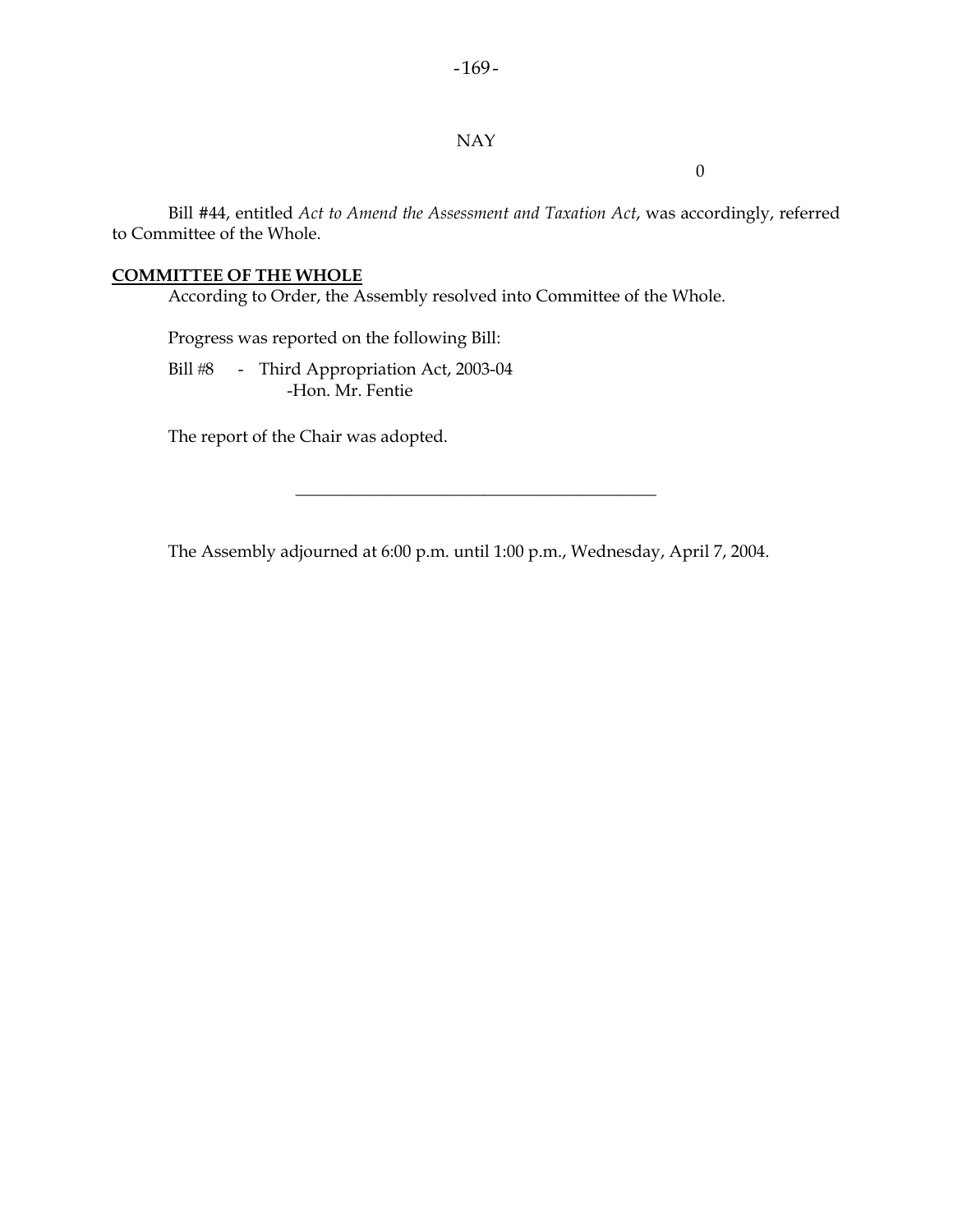### NAY

0

 Bill #44, entitled *Act to Amend the Assessment and Taxation Act*, was accordingly, referred to Committee of the Whole.

# **COMMITTEE OF THE WHOLE**

According to Order, the Assembly resolved into Committee of the Whole.

Progress was reported on the following Bill:

Bill #8 - Third Appropriation Act, 2003-04 -Hon. Mr. Fentie

The report of the Chair was adopted.

The Assembly adjourned at 6:00 p.m. until 1:00 p.m., Wednesday, April 7, 2004.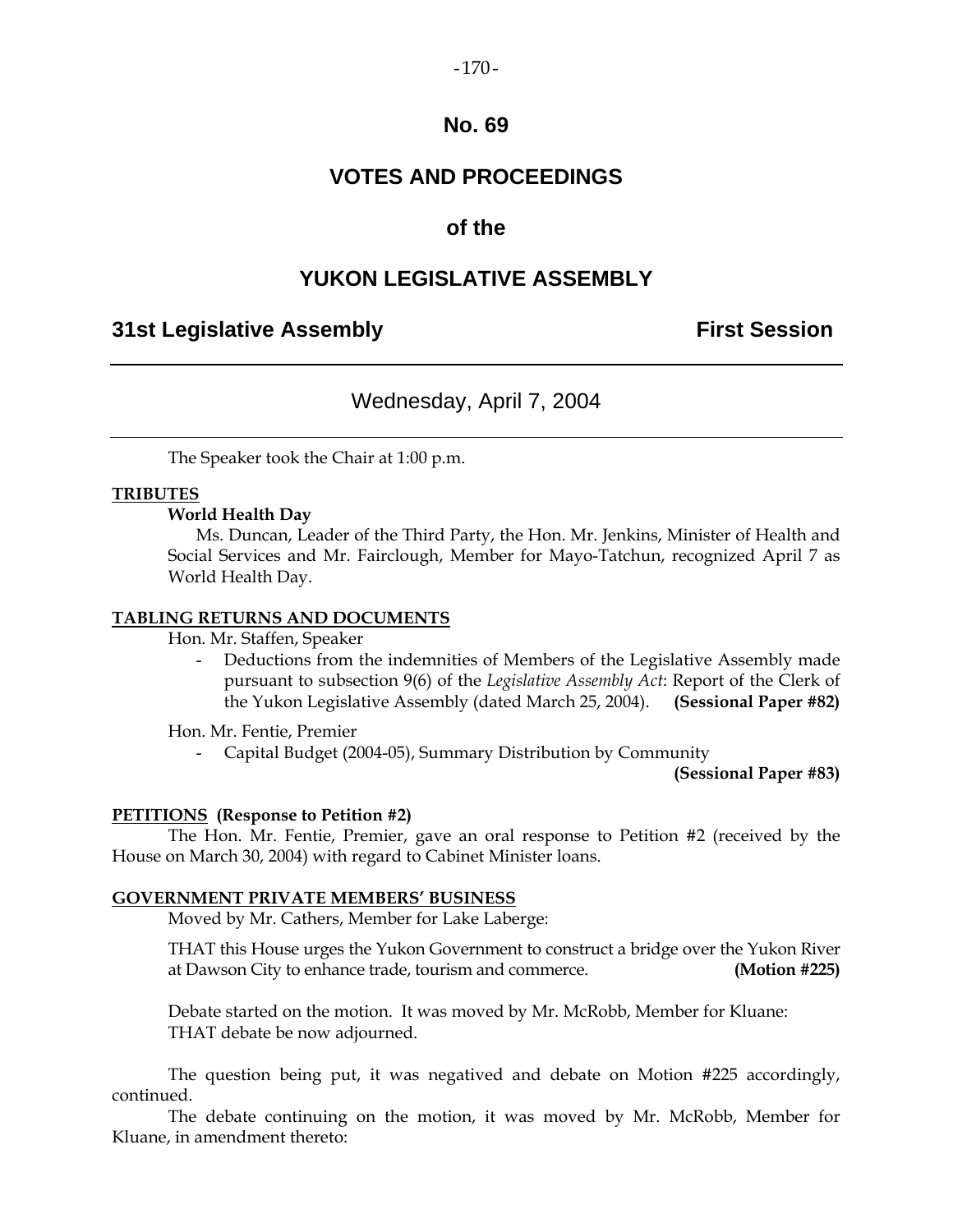### $-170-$

# **No. 69**

# **VOTES AND PROCEEDINGS**

# **of the**

# **YUKON LEGISLATIVE ASSEMBLY**

# **31st Legislative Assembly First Session**

# Wednesday, April 7, 2004

The Speaker took the Chair at 1:00 p.m.

### **TRIBUTES**

### **World Health Day**

 Ms. Duncan, Leader of the Third Party, the Hon. Mr. Jenkins, Minister of Health and Social Services and Mr. Fairclough, Member for Mayo-Tatchun, recognized April 7 as World Health Day.

### **TABLING RETURNS AND DOCUMENTS**

Hon. Mr. Staffen, Speaker

 - Deductions from the indemnities of Members of the Legislative Assembly made pursuant to subsection 9(6) of the *Legislative Assembly Act*: Report of the Clerk of the Yukon Legislative Assembly (dated March 25, 2004). **(Sessional Paper #82)** 

Hon. Mr. Fentie, Premier

- Capital Budget (2004-05), Summary Distribution by Community

**(Sessional Paper #83)**

### **PETITIONS (Response to Petition #2)**

 The Hon. Mr. Fentie, Premier, gave an oral response to Petition #2 (received by the House on March 30, 2004) with regard to Cabinet Minister loans.

### **GOVERNMENT PRIVATE MEMBERS' BUSINESS**

Moved by Mr. Cathers, Member for Lake Laberge:

 THAT this House urges the Yukon Government to construct a bridge over the Yukon River at Dawson City to enhance trade, tourism and commerce. **(Motion #225)** 

 Debate started on the motion. It was moved by Mr. McRobb, Member for Kluane: THAT debate be now adjourned.

 The question being put, it was negatived and debate on Motion #225 accordingly, continued.

 The debate continuing on the motion, it was moved by Mr. McRobb, Member for Kluane, in amendment thereto: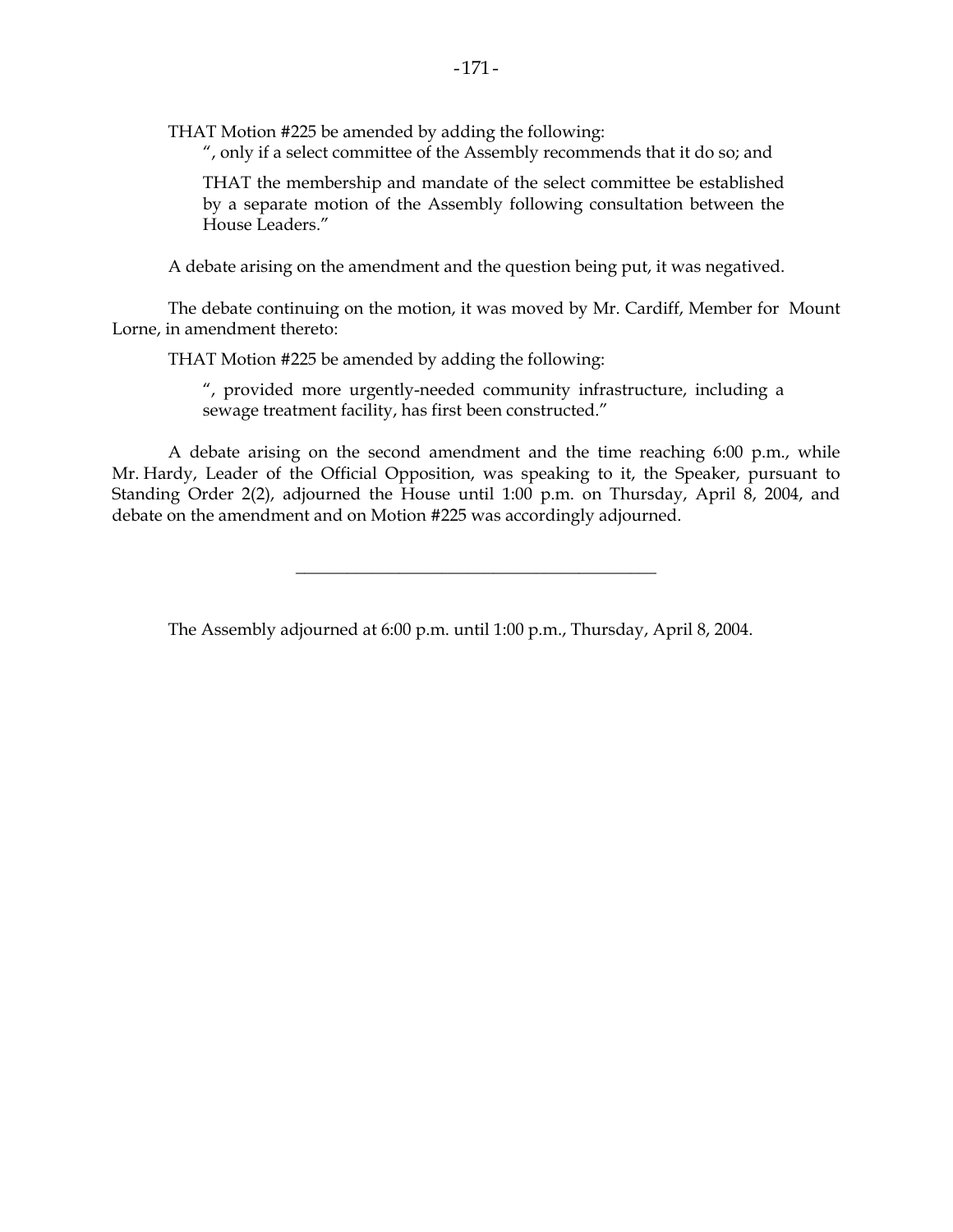THAT Motion #225 be amended by adding the following:

", only if a select committee of the Assembly recommends that it do so; and

 THAT the membership and mandate of the select committee be established by a separate motion of the Assembly following consultation between the House Leaders."

A debate arising on the amendment and the question being put, it was negatived.

 The debate continuing on the motion, it was moved by Mr. Cardiff, Member for Mount Lorne, in amendment thereto:

THAT Motion #225 be amended by adding the following:

 ", provided more urgently-needed community infrastructure, including a sewage treatment facility, has first been constructed."

 A debate arising on the second amendment and the time reaching 6:00 p.m., while Mr. Hardy, Leader of the Official Opposition, was speaking to it, the Speaker, pursuant to Standing Order 2(2), adjourned the House until 1:00 p.m. on Thursday, April 8, 2004, and debate on the amendment and on Motion #225 was accordingly adjourned.

\_\_\_\_\_\_\_\_\_\_\_\_\_\_\_\_\_\_\_\_\_\_\_\_\_\_\_\_\_\_\_\_\_\_\_\_\_\_\_\_\_\_

The Assembly adjourned at 6:00 p.m. until 1:00 p.m., Thursday, April 8, 2004.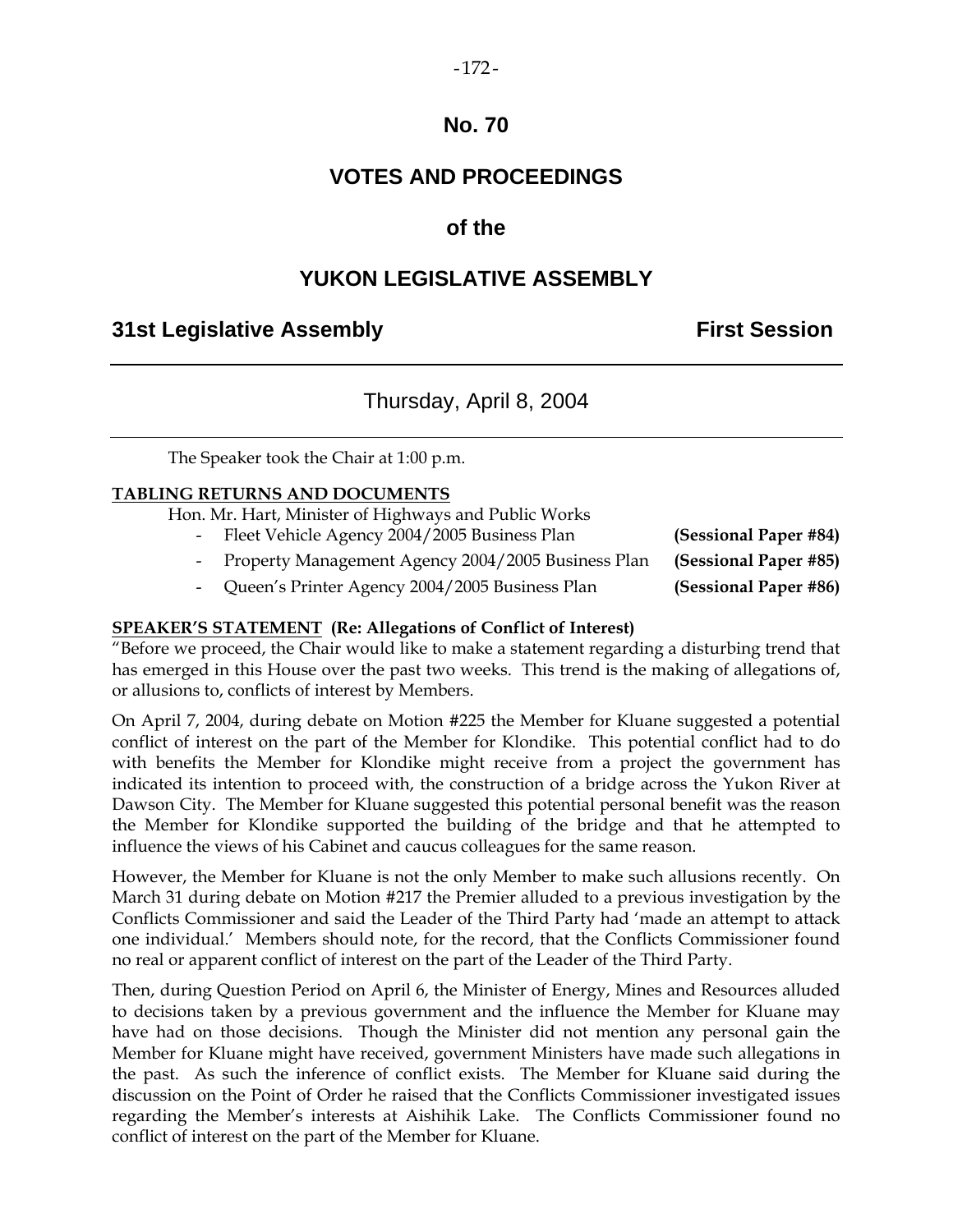# **No. 70**

# **VOTES AND PROCEEDINGS**

# **of the**

# **YUKON LEGISLATIVE ASSEMBLY**

# **31st Legislative Assembly First Session**

# Thursday, April 8, 2004

The Speaker took the Chair at 1:00 p.m.

### **TABLING RETURNS AND DOCUMENTS**

Hon. Mr. Hart, Minister of Highways and Public Works

- Fleet Vehicle Agency 2004/2005 Business Plan **(Sessional Paper #84)**
- Property Management Agency 2004/2005 Business Plan **(Sessional Paper #85)**
- Queen's Printer Agency 2004/2005 Business Plan **(Sessional Paper #86)**

# **SPEAKER'S STATEMENT (Re: Allegations of Conflict of Interest)**

"Before we proceed, the Chair would like to make a statement regarding a disturbing trend that has emerged in this House over the past two weeks. This trend is the making of allegations of, or allusions to, conflicts of interest by Members.

On April 7, 2004, during debate on Motion #225 the Member for Kluane suggested a potential conflict of interest on the part of the Member for Klondike. This potential conflict had to do with benefits the Member for Klondike might receive from a project the government has indicated its intention to proceed with, the construction of a bridge across the Yukon River at Dawson City. The Member for Kluane suggested this potential personal benefit was the reason the Member for Klondike supported the building of the bridge and that he attempted to influence the views of his Cabinet and caucus colleagues for the same reason.

However, the Member for Kluane is not the only Member to make such allusions recently. On March 31 during debate on Motion #217 the Premier alluded to a previous investigation by the Conflicts Commissioner and said the Leader of the Third Party had 'made an attempt to attack one individual.' Members should note, for the record, that the Conflicts Commissioner found no real or apparent conflict of interest on the part of the Leader of the Third Party.

Then, during Question Period on April 6, the Minister of Energy, Mines and Resources alluded to decisions taken by a previous government and the influence the Member for Kluane may have had on those decisions. Though the Minister did not mention any personal gain the Member for Kluane might have received, government Ministers have made such allegations in the past. As such the inference of conflict exists. The Member for Kluane said during the discussion on the Point of Order he raised that the Conflicts Commissioner investigated issues regarding the Member's interests at Aishihik Lake. The Conflicts Commissioner found no conflict of interest on the part of the Member for Kluane.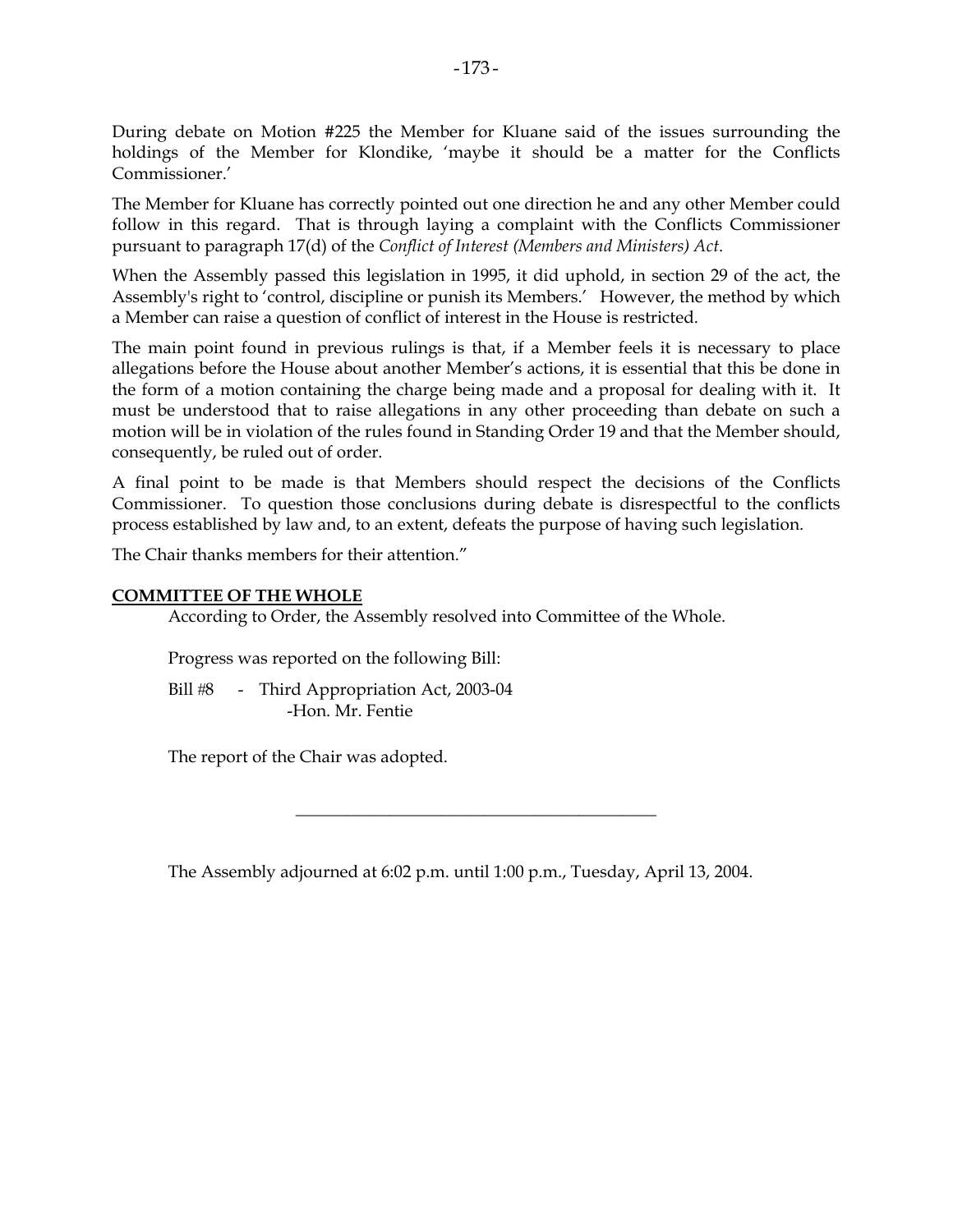During debate on Motion #225 the Member for Kluane said of the issues surrounding the holdings of the Member for Klondike, 'maybe it should be a matter for the Conflicts Commissioner.'

The Member for Kluane has correctly pointed out one direction he and any other Member could follow in this regard. That is through laying a complaint with the Conflicts Commissioner pursuant to paragraph 17(d) of the *Conflict of Interest (Members and Ministers) Act*.

When the Assembly passed this legislation in 1995, it did uphold, in section 29 of the act, the Assembly's right to 'control, discipline or punish its Members.' However, the method by which a Member can raise a question of conflict of interest in the House is restricted.

The main point found in previous rulings is that, if a Member feels it is necessary to place allegations before the House about another Member's actions, it is essential that this be done in the form of a motion containing the charge being made and a proposal for dealing with it. It must be understood that to raise allegations in any other proceeding than debate on such a motion will be in violation of the rules found in Standing Order 19 and that the Member should, consequently, be ruled out of order.

A final point to be made is that Members should respect the decisions of the Conflicts Commissioner. To question those conclusions during debate is disrespectful to the conflicts process established by law and, to an extent, defeats the purpose of having such legislation.

The Chair thanks members for their attention."

### **COMMITTEE OF THE WHOLE**

According to Order, the Assembly resolved into Committee of the Whole.

Progress was reported on the following Bill:

Bill #8 - Third Appropriation Act, 2003-04 -Hon. Mr. Fentie

The report of the Chair was adopted.

The Assembly adjourned at 6:02 p.m. until 1:00 p.m., Tuesday, April 13, 2004.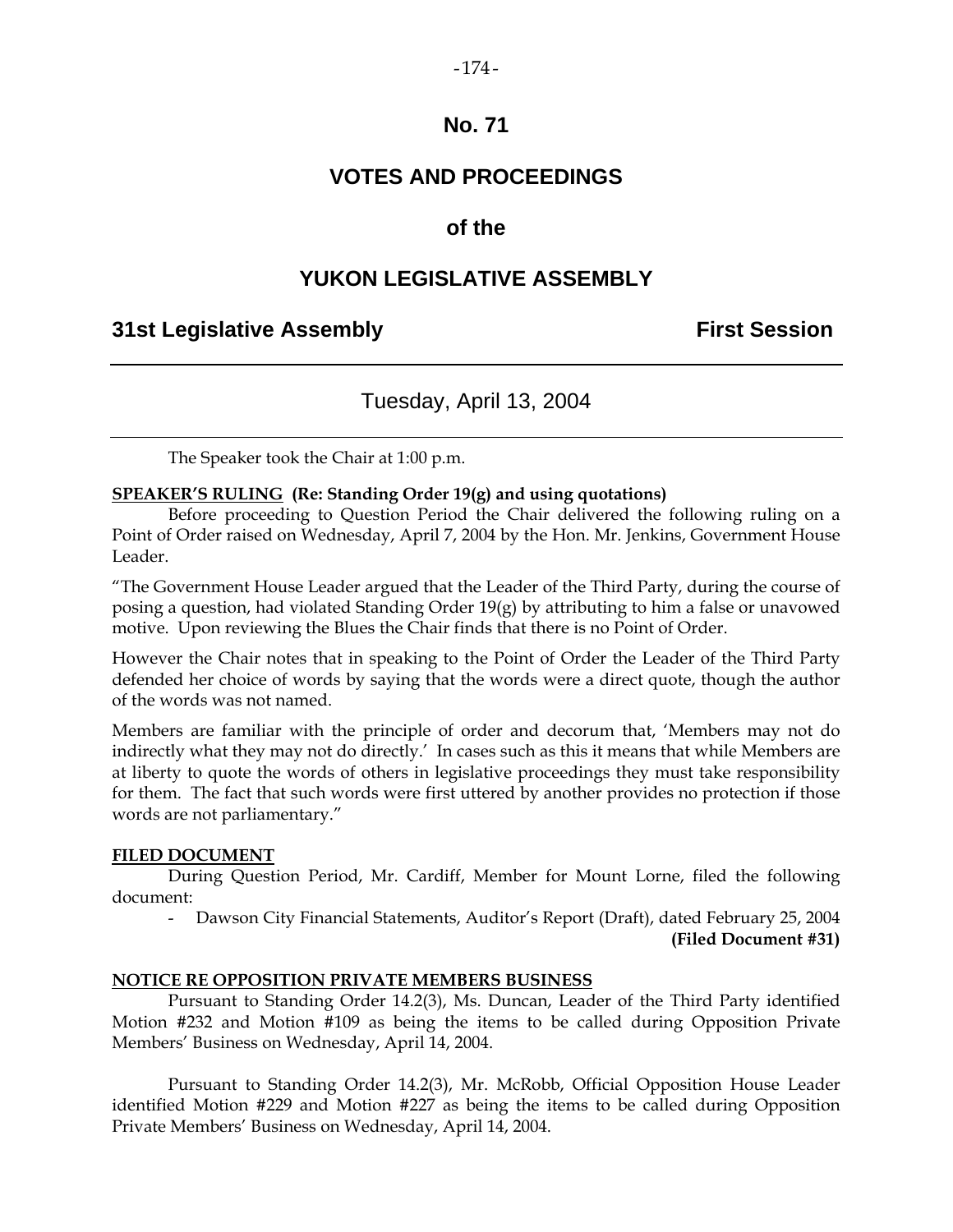### $-174-$

# **No. 71**

# **VOTES AND PROCEEDINGS**

# **of the**

# **YUKON LEGISLATIVE ASSEMBLY**

# **31st Legislative Assembly First Session**

# Tuesday, April 13, 2004

The Speaker took the Chair at 1:00 p.m.

### **SPEAKER'S RULING (Re: Standing Order 19(g) and using quotations)**

 Before proceeding to Question Period the Chair delivered the following ruling on a Point of Order raised on Wednesday, April 7, 2004 by the Hon. Mr. Jenkins, Government House Leader.

"The Government House Leader argued that the Leader of the Third Party, during the course of posing a question, had violated Standing Order 19(g) by attributing to him a false or unavowed motive. Upon reviewing the Blues the Chair finds that there is no Point of Order.

However the Chair notes that in speaking to the Point of Order the Leader of the Third Party defended her choice of words by saying that the words were a direct quote, though the author of the words was not named.

Members are familiar with the principle of order and decorum that, 'Members may not do indirectly what they may not do directly.' In cases such as this it means that while Members are at liberty to quote the words of others in legislative proceedings they must take responsibility for them. The fact that such words were first uttered by another provides no protection if those words are not parliamentary."

### **FILED DOCUMENT**

 During Question Period, Mr. Cardiff, Member for Mount Lorne, filed the following document:

- Dawson City Financial Statements, Auditor's Report (Draft), dated February 25, 2004

**(Filed Document #31)** 

### **NOTICE RE OPPOSITION PRIVATE MEMBERS BUSINESS**

 Pursuant to Standing Order 14.2(3), Ms. Duncan, Leader of the Third Party identified Motion #232 and Motion #109 as being the items to be called during Opposition Private Members' Business on Wednesday, April 14, 2004.

 Pursuant to Standing Order 14.2(3), Mr. McRobb, Official Opposition House Leader identified Motion #229 and Motion #227 as being the items to be called during Opposition Private Members' Business on Wednesday, April 14, 2004.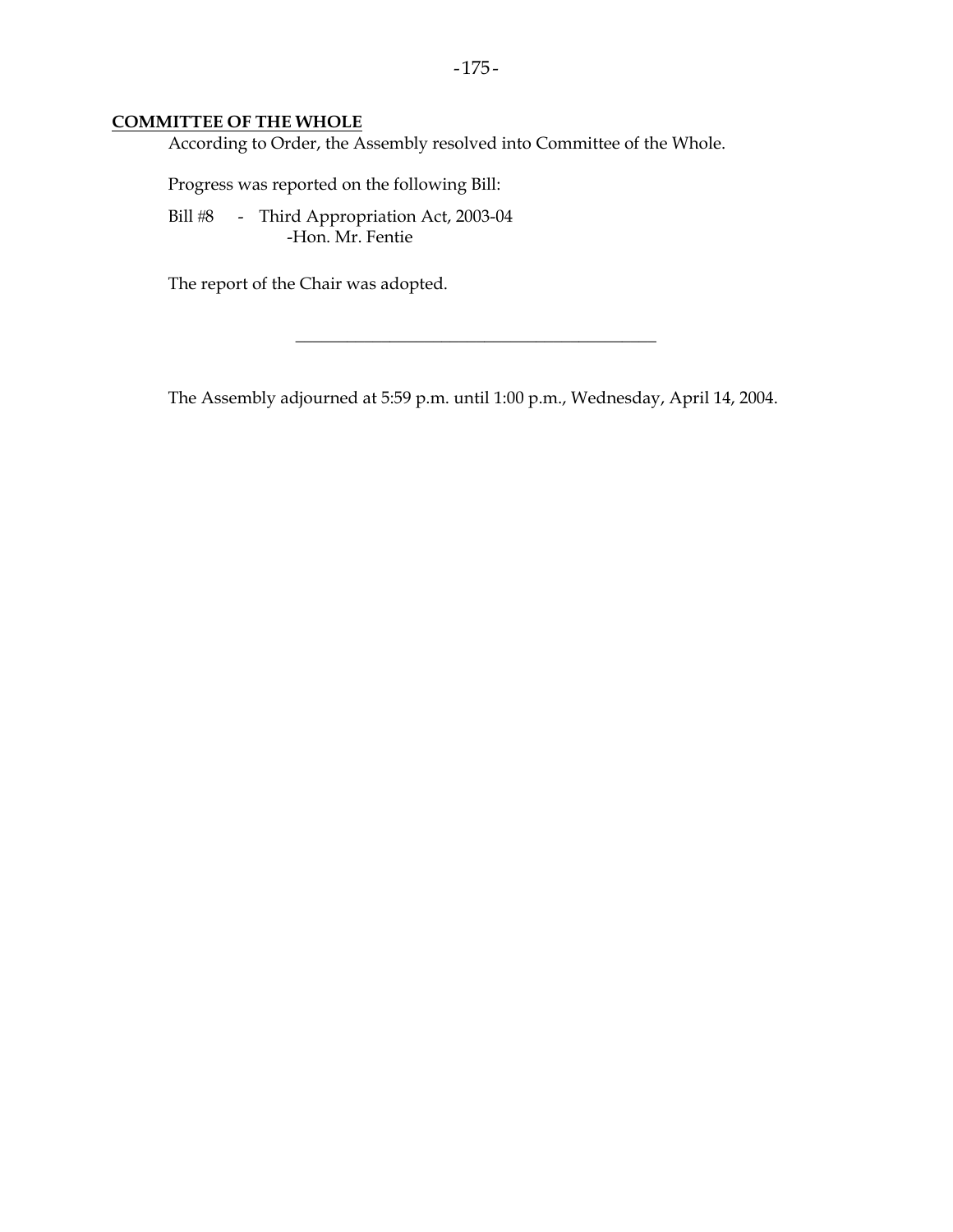### **COMMITTEE OF THE WHOLE**

According to Order, the Assembly resolved into Committee of the Whole.

Progress was reported on the following Bill:

Bill #8 - Third Appropriation Act, 2003-04 -Hon. Mr. Fentie

The report of the Chair was adopted.

The Assembly adjourned at 5:59 p.m. until 1:00 p.m., Wednesday, April 14, 2004.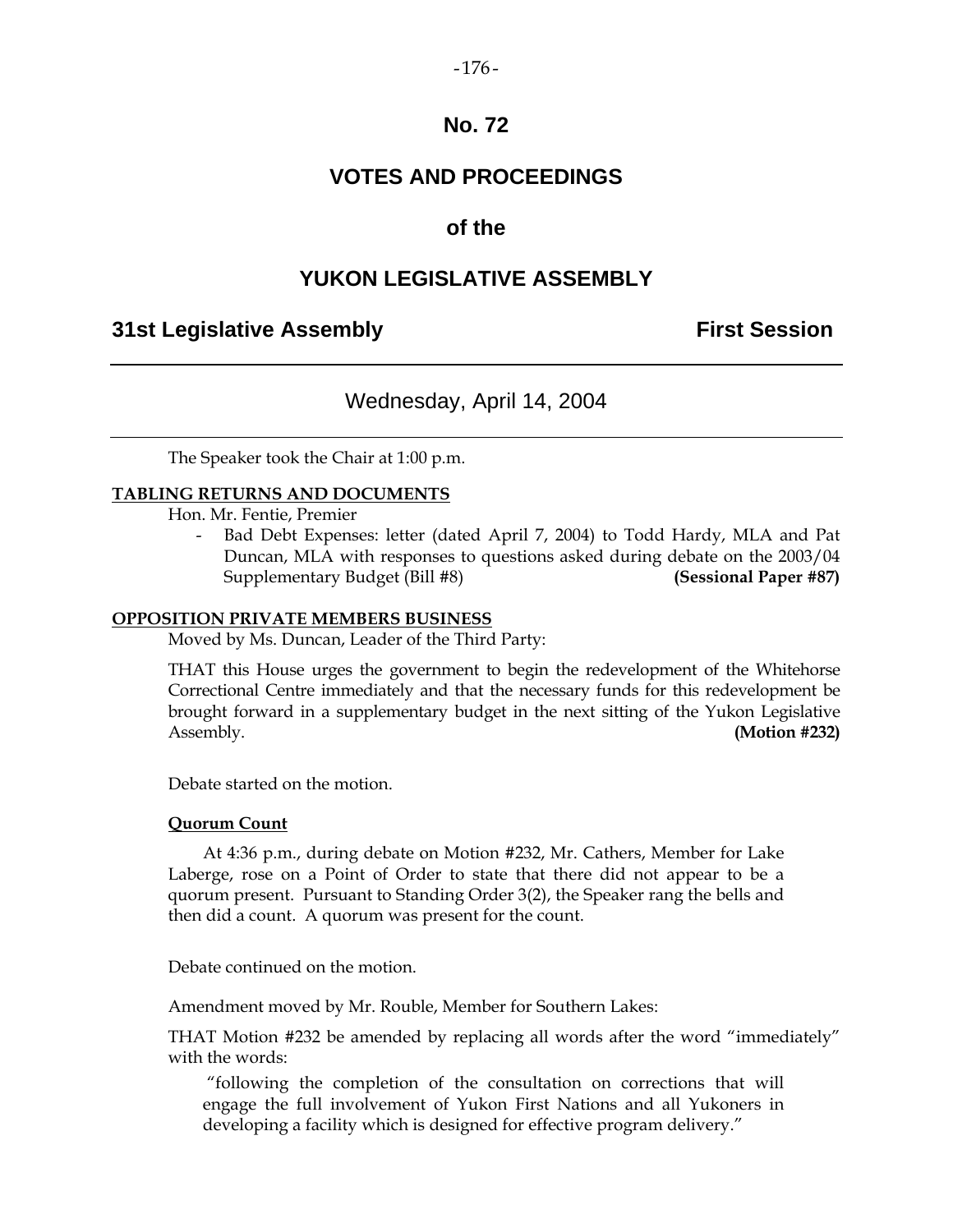### $-176-$

# **No. 72**

# **VOTES AND PROCEEDINGS**

# **of the**

# **YUKON LEGISLATIVE ASSEMBLY**

# **31st Legislative Assembly First Session**

# Wednesday, April 14, 2004

The Speaker took the Chair at 1:00 p.m.

### **TABLING RETURNS AND DOCUMENTS**

Hon. Mr. Fentie, Premier

Bad Debt Expenses: letter (dated April 7, 2004) to Todd Hardy, MLA and Pat Duncan, MLA with responses to questions asked during debate on the 2003/04 Supplementary Budget (Bill #8) **(Sessional Paper #87)** 

### **OPPOSITION PRIVATE MEMBERS BUSINESS**

Moved by Ms. Duncan, Leader of the Third Party:

 THAT this House urges the government to begin the redevelopment of the Whitehorse Correctional Centre immediately and that the necessary funds for this redevelopment be brought forward in a supplementary budget in the next sitting of the Yukon Legislative Assembly. **(Motion #232)** 

Debate started on the motion.

### **Quorum Count**

 At 4:36 p.m., during debate on Motion #232, Mr. Cathers, Member for Lake Laberge, rose on a Point of Order to state that there did not appear to be a quorum present. Pursuant to Standing Order 3(2), the Speaker rang the bells and then did a count. A quorum was present for the count.

Debate continued on the motion.

Amendment moved by Mr. Rouble, Member for Southern Lakes:

 THAT Motion #232 be amended by replacing all words after the word "immediately" with the words:

 "following the completion of the consultation on corrections that will engage the full involvement of Yukon First Nations and all Yukoners in developing a facility which is designed for effective program delivery."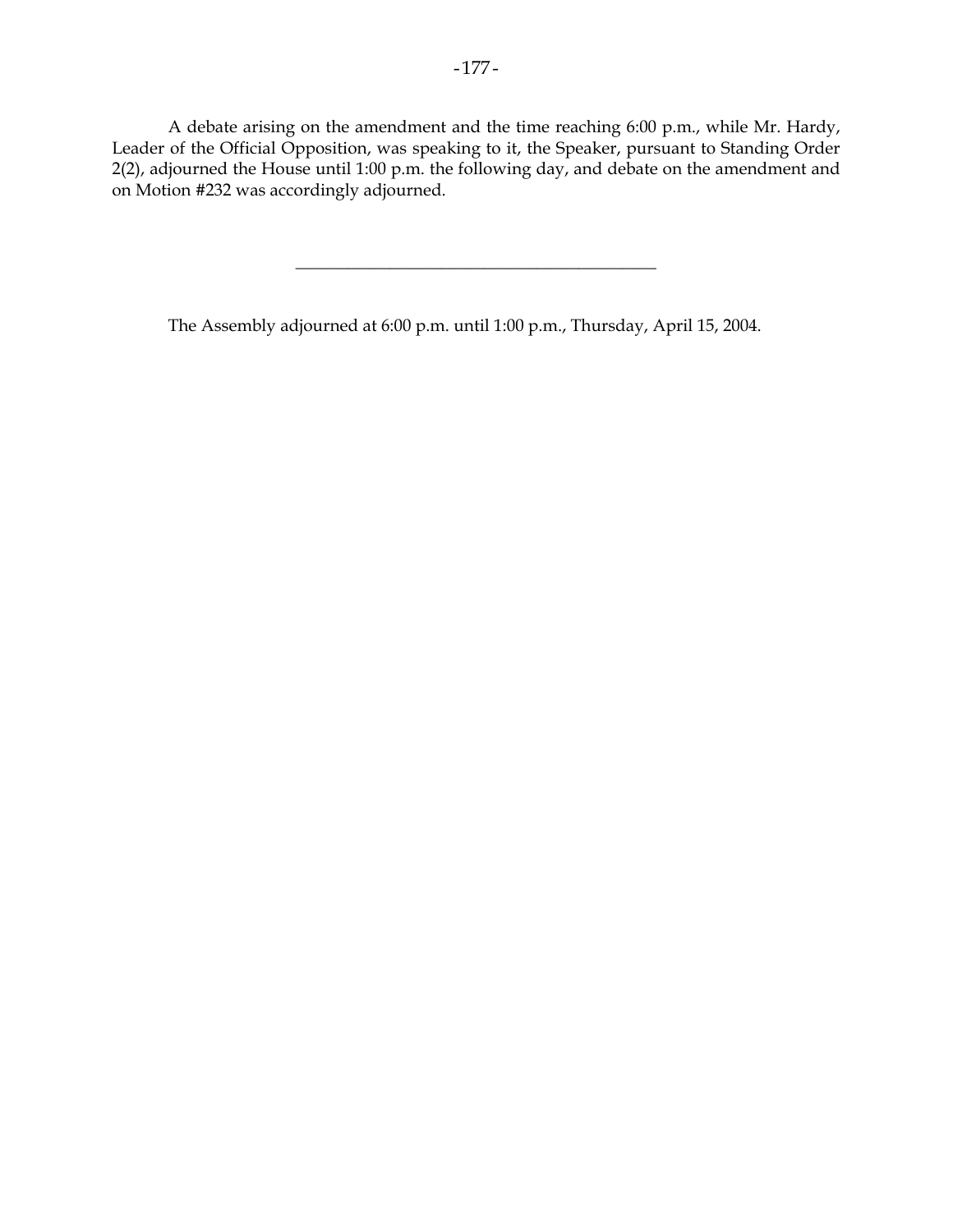A debate arising on the amendment and the time reaching 6:00 p.m., while Mr. Hardy, Leader of the Official Opposition, was speaking to it, the Speaker, pursuant to Standing Order 2(2), adjourned the House until 1:00 p.m. the following day, and debate on the amendment and on Motion #232 was accordingly adjourned.

\_\_\_\_\_\_\_\_\_\_\_\_\_\_\_\_\_\_\_\_\_\_\_\_\_\_\_\_\_\_\_\_\_\_\_\_\_\_\_\_\_\_

The Assembly adjourned at 6:00 p.m. until 1:00 p.m., Thursday, April 15, 2004.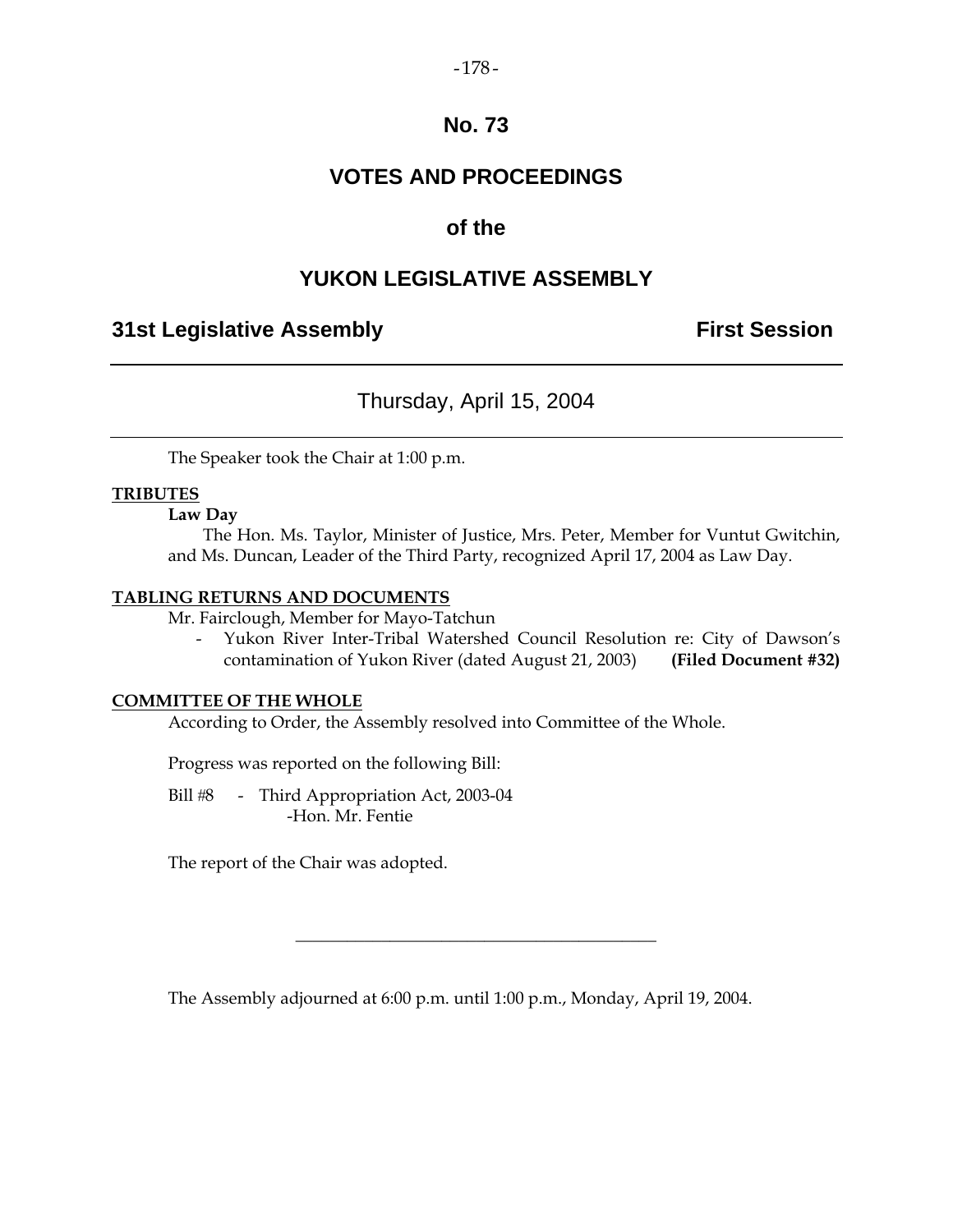### $-178-$

# **No. 73**

# **VOTES AND PROCEEDINGS**

# **of the**

# **YUKON LEGISLATIVE ASSEMBLY**

# **31st Legislative Assembly The Contract Session**

# Thursday, April 15, 2004

The Speaker took the Chair at 1:00 p.m.

### **TRIBUTES**

### **Law Day**

 The Hon. Ms. Taylor, Minister of Justice, Mrs. Peter, Member for Vuntut Gwitchin, and Ms. Duncan, Leader of the Third Party, recognized April 17, 2004 as Law Day.

### **TABLING RETURNS AND DOCUMENTS**

Mr. Fairclough, Member for Mayo-Tatchun

 - Yukon River Inter-Tribal Watershed Council Resolution re: City of Dawson's contamination of Yukon River (dated August 21, 2003) **(Filed Document #32)** 

### **COMMITTEE OF THE WHOLE**

According to Order, the Assembly resolved into Committee of the Whole.

Progress was reported on the following Bill:

Bill #8 - Third Appropriation Act, 2003-04 -Hon. Mr. Fentie

The report of the Chair was adopted.

The Assembly adjourned at 6:00 p.m. until 1:00 p.m., Monday, April 19, 2004.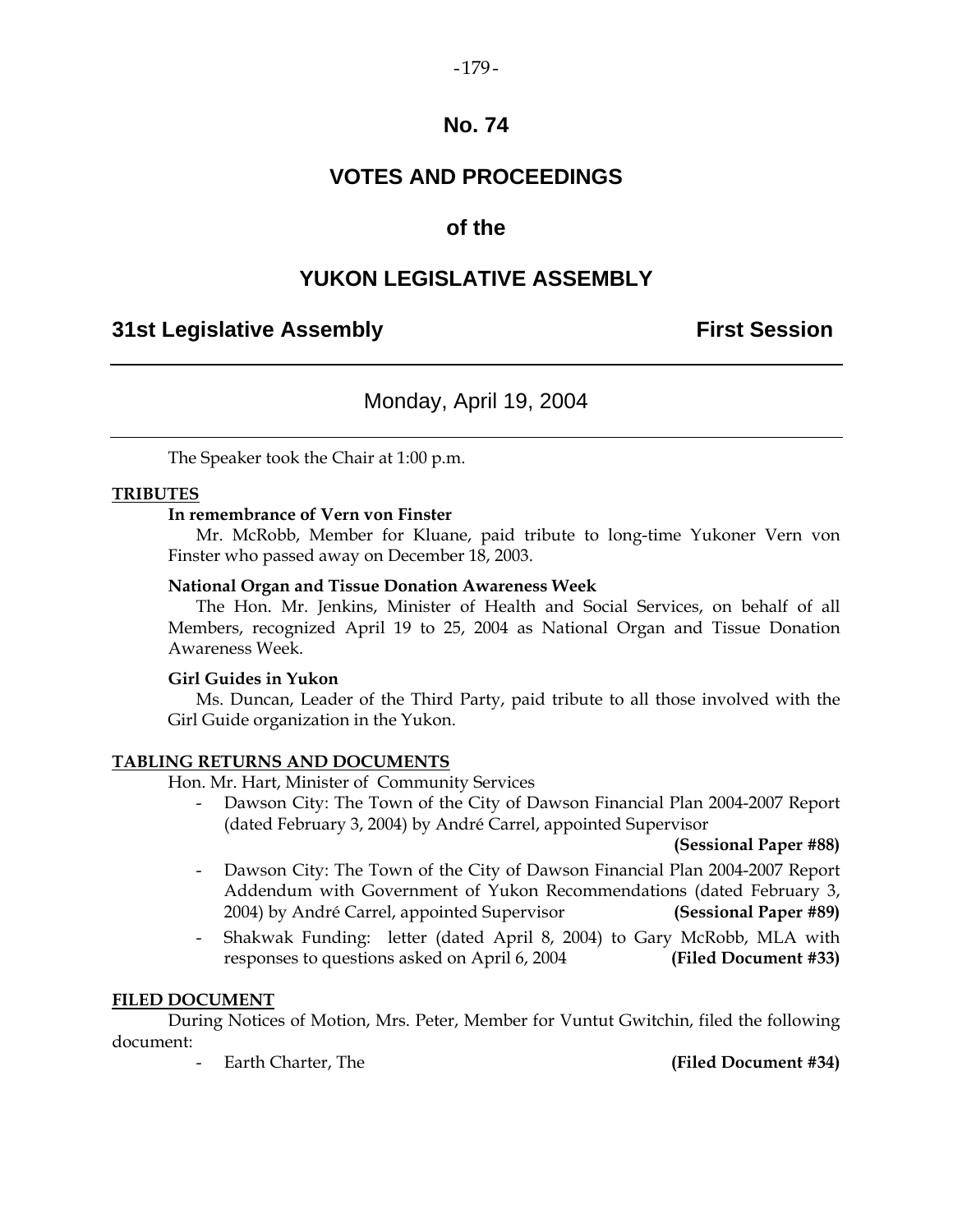### $-179-$

# **No. 74**

# **VOTES AND PROCEEDINGS**

# **of the**

# **YUKON LEGISLATIVE ASSEMBLY**

# **31st Legislative Assembly First Session**

# Monday, April 19, 2004

The Speaker took the Chair at 1:00 p.m.

### **TRIBUTES**

### **In remembrance of Vern von Finster**

 Mr. McRobb, Member for Kluane, paid tribute to long-time Yukoner Vern von Finster who passed away on December 18, 2003.

### **National Organ and Tissue Donation Awareness Week**

 The Hon. Mr. Jenkins, Minister of Health and Social Services, on behalf of all Members, recognized April 19 to 25, 2004 as National Organ and Tissue Donation Awareness Week.

### **Girl Guides in Yukon**

 Ms. Duncan, Leader of the Third Party, paid tribute to all those involved with the Girl Guide organization in the Yukon.

### **TABLING RETURNS AND DOCUMENTS**

Hon. Mr. Hart, Minister of Community Services

 - Dawson City: The Town of the City of Dawson Financial Plan 2004-2007 Report (dated February 3, 2004) by André Carrel, appointed Supervisor

 **(Sessional Paper #88)** 

- Dawson City: The Town of the City of Dawson Financial Plan 2004-2007 Report Addendum with Government of Yukon Recommendations (dated February 3, 2004) by André Carrel, appointed Supervisor **(Sessional Paper #89)**
- Shakwak Funding: letter (dated April 8, 2004) to Gary McRobb, MLA with responses to questions asked on April 6, 2004 **(Filed Document #33)**

### **FILED DOCUMENT**

 During Notices of Motion, Mrs. Peter, Member for Vuntut Gwitchin, filed the following document:

Earth Charter, The **(Filed Document #34)**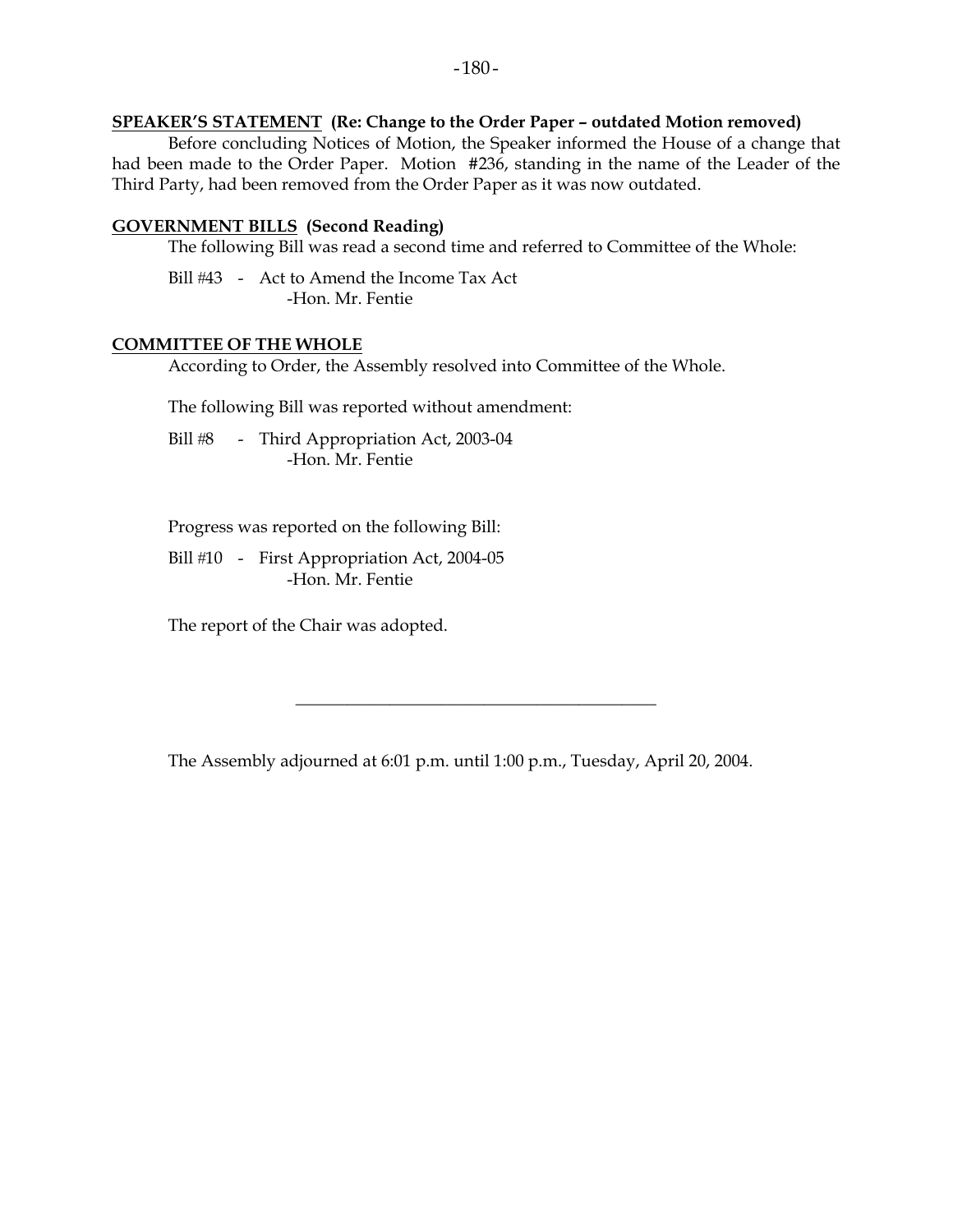### **SPEAKER'S STATEMENT (Re: Change to the Order Paper – outdated Motion removed)**

 Before concluding Notices of Motion, the Speaker informed the House of a change that had been made to the Order Paper. Motion #236, standing in the name of the Leader of the Third Party, had been removed from the Order Paper as it was now outdated.

### **GOVERNMENT BILLS (Second Reading)**

The following Bill was read a second time and referred to Committee of the Whole:

Bill #43 - Act to Amend the Income Tax Act -Hon. Mr. Fentie

### **COMMITTEE OF THE WHOLE**

According to Order, the Assembly resolved into Committee of the Whole.

The following Bill was reported without amendment:

Bill #8 - Third Appropriation Act, 2003-04 -Hon. Mr. Fentie

Progress was reported on the following Bill:

Bill #10 - First Appropriation Act, 2004-05 -Hon. Mr. Fentie

The report of the Chair was adopted.

The Assembly adjourned at 6:01 p.m. until 1:00 p.m., Tuesday, April 20, 2004.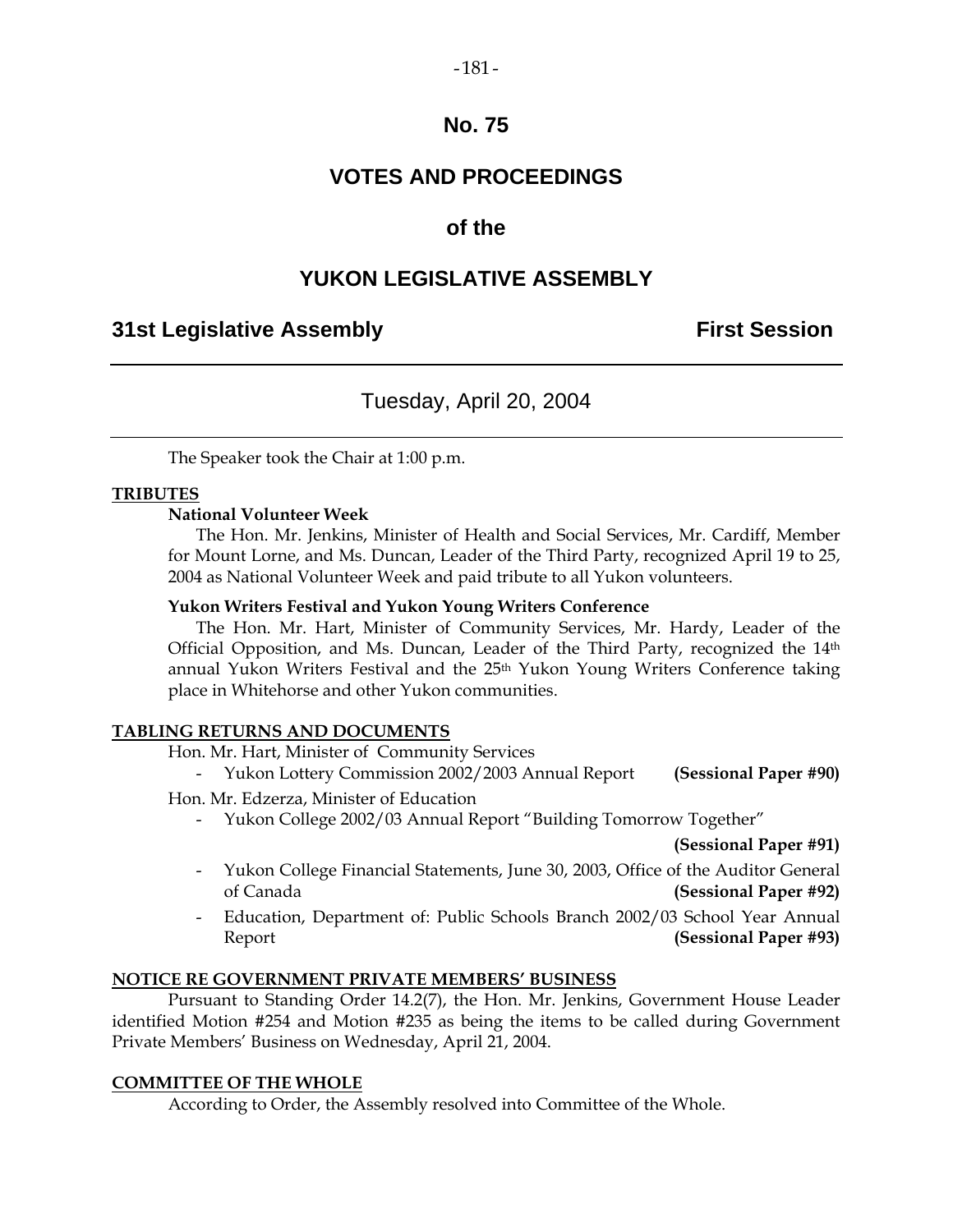### $-181-$

# **No. 75**

# **VOTES AND PROCEEDINGS**

# **of the**

# **YUKON LEGISLATIVE ASSEMBLY**

# **31st Legislative Assembly First Session**

# Tuesday, April 20, 2004

The Speaker took the Chair at 1:00 p.m.

### **TRIBUTES**

### **National Volunteer Week**

 The Hon. Mr. Jenkins, Minister of Health and Social Services, Mr. Cardiff, Member for Mount Lorne, and Ms. Duncan, Leader of the Third Party, recognized April 19 to 25, 2004 as National Volunteer Week and paid tribute to all Yukon volunteers.

### **Yukon Writers Festival and Yukon Young Writers Conference**

 The Hon. Mr. Hart, Minister of Community Services, Mr. Hardy, Leader of the Official Opposition, and Ms. Duncan, Leader of the Third Party, recognized the 14th annual Yukon Writers Festival and the 25<sup>th</sup> Yukon Young Writers Conference taking place in Whitehorse and other Yukon communities.

### **TABLING RETURNS AND DOCUMENTS**

Hon. Mr. Hart, Minister of Community Services

- Yukon Lottery Commission 2002/2003 Annual Report **(Sessional Paper #90)** 

Hon. Mr. Edzerza, Minister of Education

- Yukon College 2002/03 Annual Report "Building Tomorrow Together"

 **(Sessional Paper #91)** 

- Yukon College Financial Statements, June 30, 2003, Office of the Auditor General of Canada **(Sessional Paper #92)**
- Education, Department of: Public Schools Branch 2002/03 School Year Annual Report **(Sessional Paper #93)**

### **NOTICE RE GOVERNMENT PRIVATE MEMBERS' BUSINESS**

 Pursuant to Standing Order 14.2(7), the Hon. Mr. Jenkins, Government House Leader identified Motion #254 and Motion #235 as being the items to be called during Government Private Members' Business on Wednesday, April 21, 2004.

### **COMMITTEE OF THE WHOLE**

According to Order, the Assembly resolved into Committee of the Whole.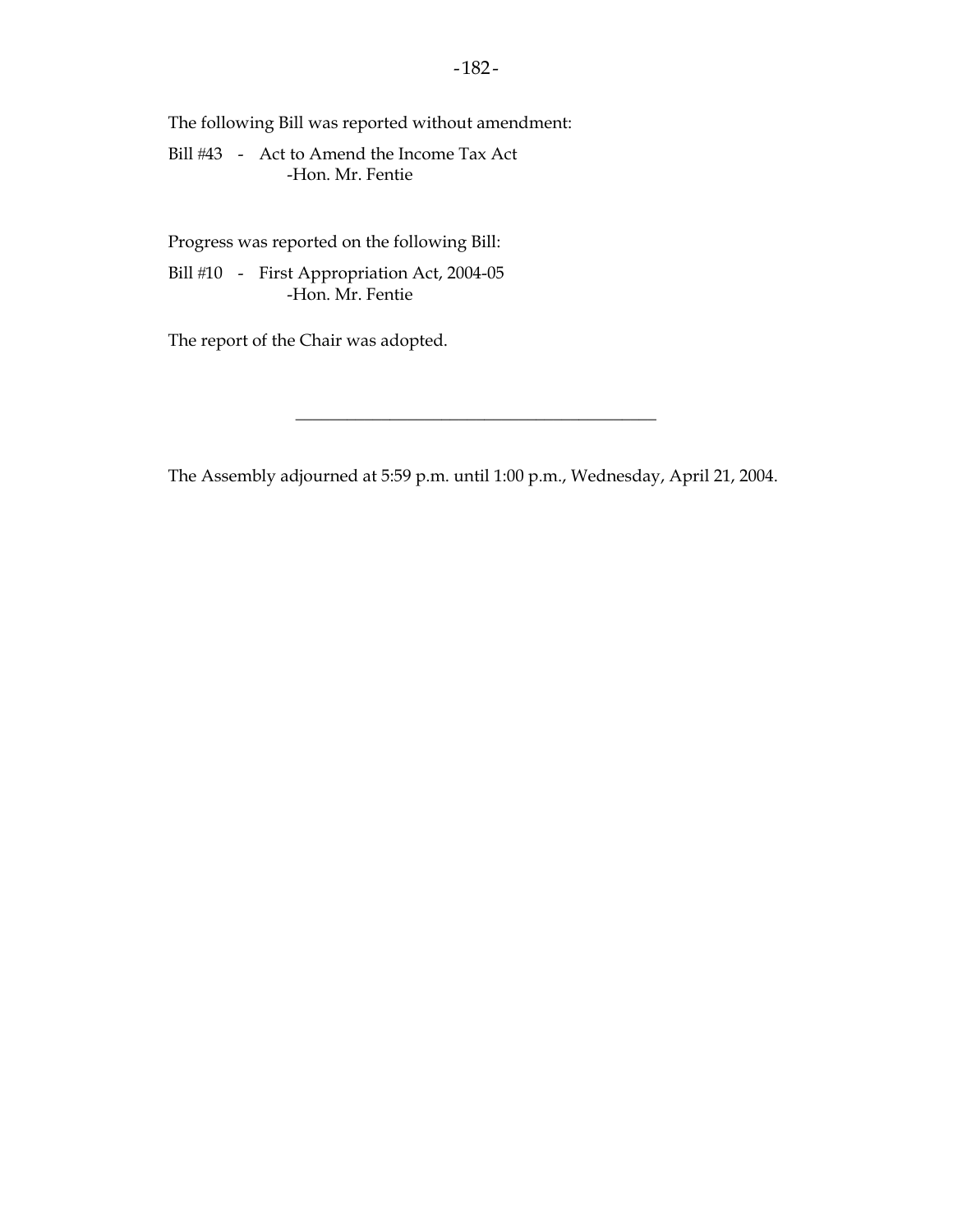The following Bill was reported without amendment:

Bill #43 - Act to Amend the Income Tax Act -Hon. Mr. Fentie

Progress was reported on the following Bill:

Bill #10 - First Appropriation Act, 2004-05 -Hon. Mr. Fentie

The report of the Chair was adopted.

The Assembly adjourned at 5:59 p.m. until 1:00 p.m., Wednesday, April 21, 2004.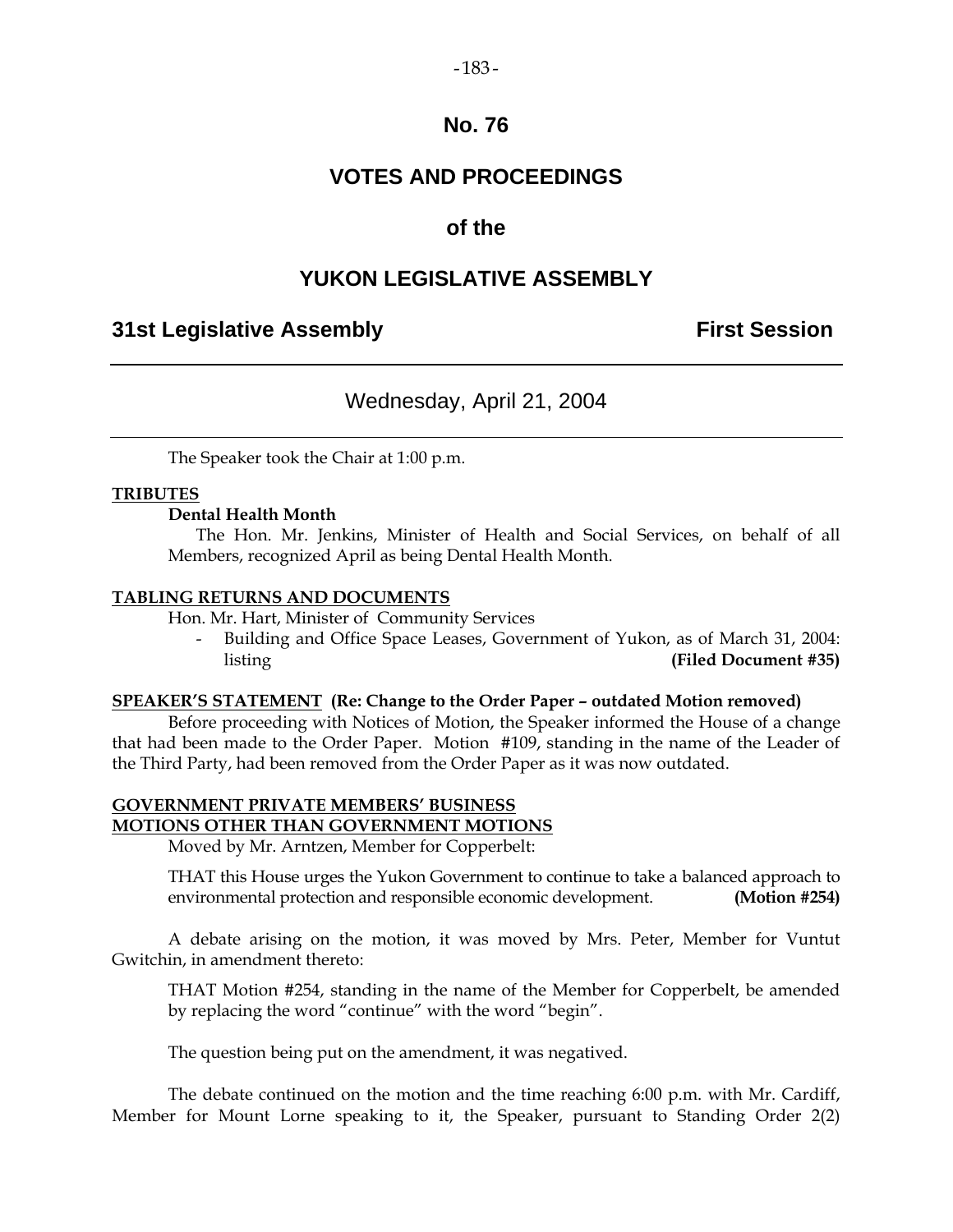### $-183-$

# **No. 76**

# **VOTES AND PROCEEDINGS**

# **of the**

# **YUKON LEGISLATIVE ASSEMBLY**

# **31st Legislative Assembly First Session**

# Wednesday, April 21, 2004

The Speaker took the Chair at 1:00 p.m.

### **TRIBUTES**

### **Dental Health Month**

 The Hon. Mr. Jenkins, Minister of Health and Social Services, on behalf of all Members, recognized April as being Dental Health Month.

### **TABLING RETURNS AND DOCUMENTS**

Hon. Mr. Hart, Minister of Community Services

Building and Office Space Leases, Government of Yukon, as of March 31, 2004: listing **(Filed Document #35)** 

### **SPEAKER'S STATEMENT (Re: Change to the Order Paper – outdated Motion removed)**

 Before proceeding with Notices of Motion, the Speaker informed the House of a change that had been made to the Order Paper. Motion #109, standing in the name of the Leader of the Third Party, had been removed from the Order Paper as it was now outdated.

### **GOVERNMENT PRIVATE MEMBERS' BUSINESS MOTIONS OTHER THAN GOVERNMENT MOTIONS**

Moved by Mr. Arntzen, Member for Copperbelt:

 THAT this House urges the Yukon Government to continue to take a balanced approach to environmental protection and responsible economic development. **(Motion #254)** 

 A debate arising on the motion, it was moved by Mrs. Peter, Member for Vuntut Gwitchin, in amendment thereto:

 THAT Motion #254, standing in the name of the Member for Copperbelt, be amended by replacing the word "continue" with the word "begin".

The question being put on the amendment, it was negatived.

 The debate continued on the motion and the time reaching 6:00 p.m. with Mr. Cardiff, Member for Mount Lorne speaking to it, the Speaker, pursuant to Standing Order 2(2)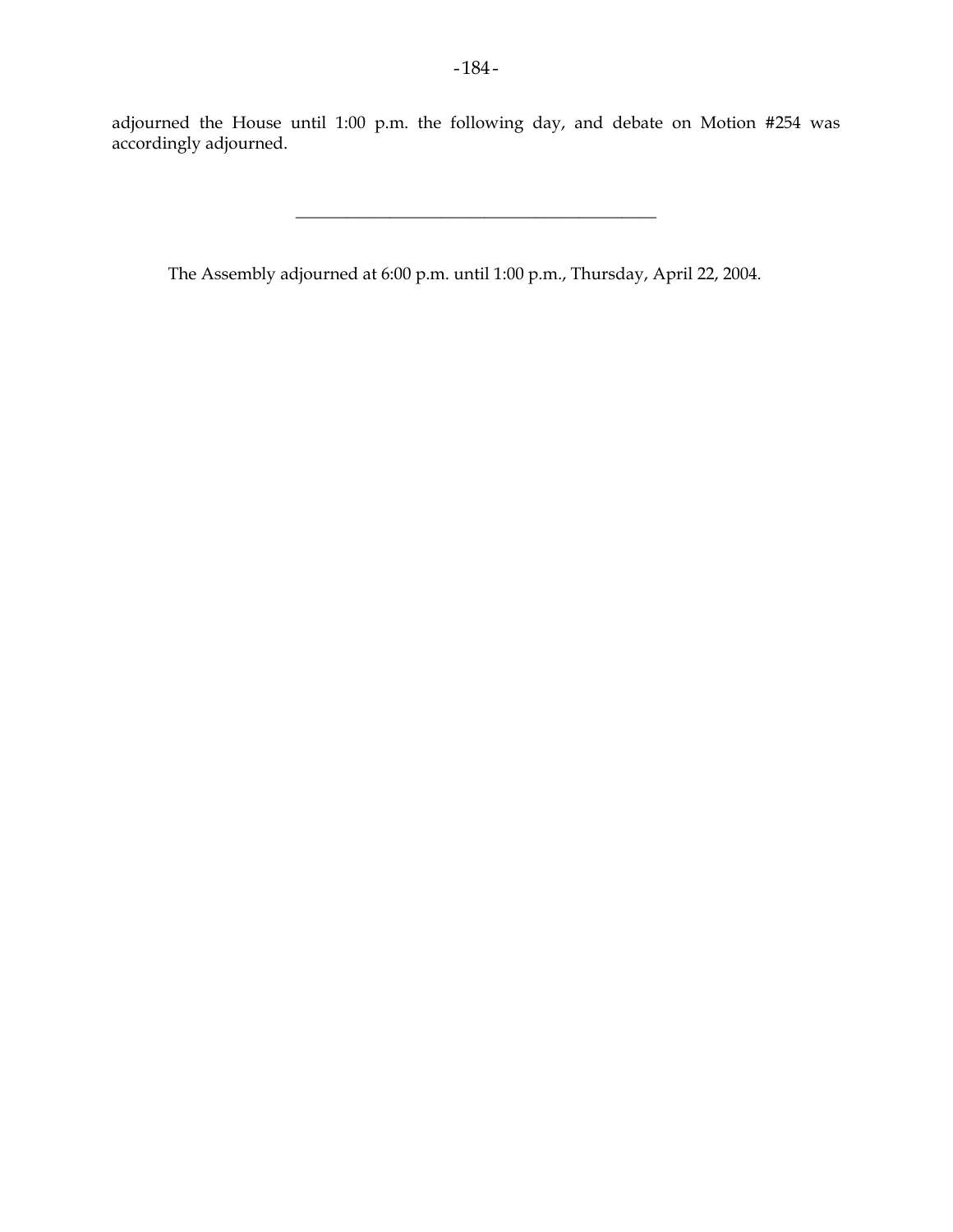adjourned the House until 1:00 p.m. the following day, and debate on Motion #254 was accordingly adjourned.

 $\frac{1}{2}$  , and the set of the set of the set of the set of the set of the set of the set of the set of the set of the set of the set of the set of the set of the set of the set of the set of the set of the set of the set

The Assembly adjourned at 6:00 p.m. until 1:00 p.m., Thursday, April 22, 2004.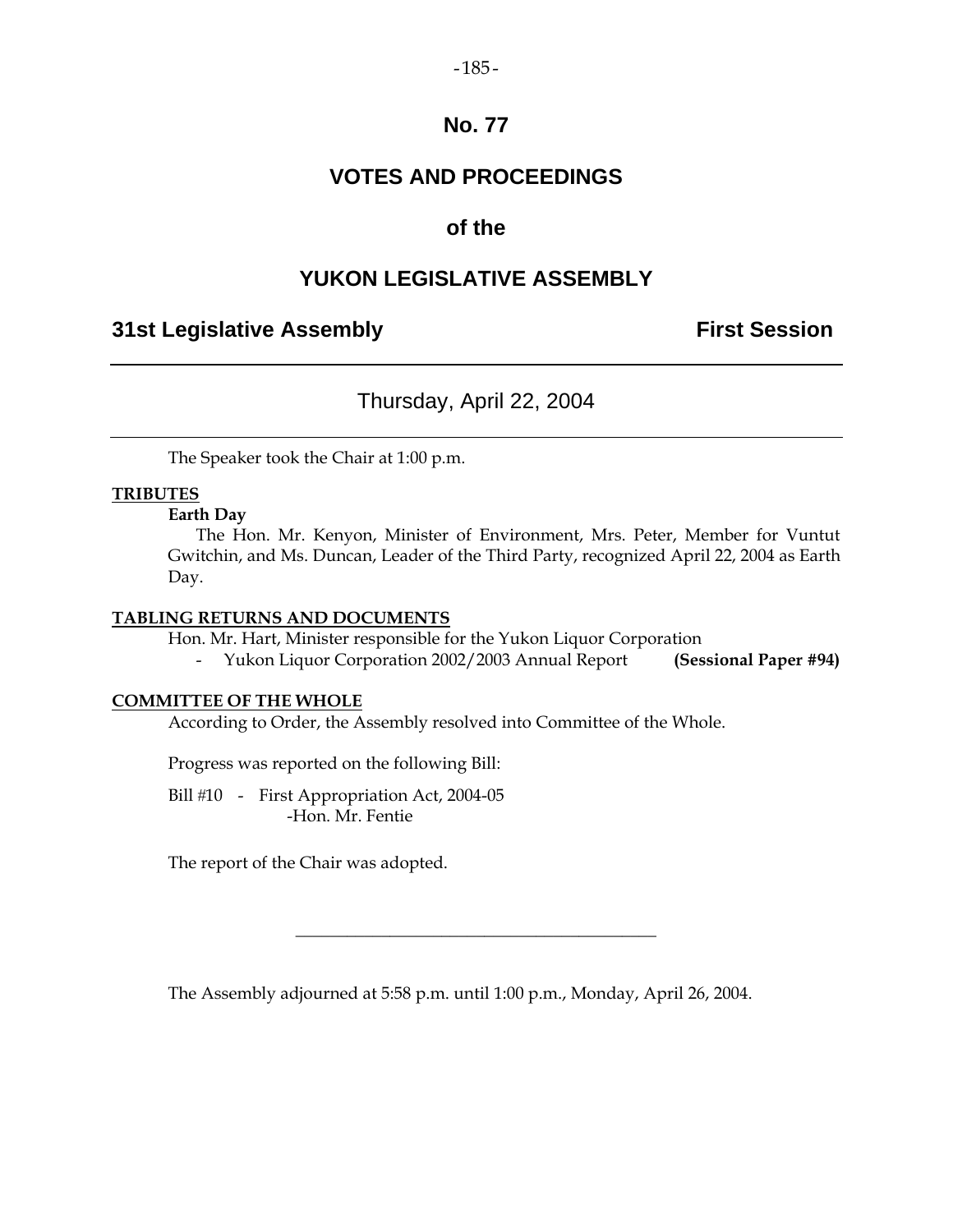### $-185-$

# **No. 77**

# **VOTES AND PROCEEDINGS**

# **of the**

# **YUKON LEGISLATIVE ASSEMBLY**

# **31st Legislative Assembly The Contract Session**

# Thursday, April 22, 2004

The Speaker took the Chair at 1:00 p.m.

### **TRIBUTES**

### **Earth Day**

 The Hon. Mr. Kenyon, Minister of Environment, Mrs. Peter, Member for Vuntut Gwitchin, and Ms. Duncan, Leader of the Third Party, recognized April 22, 2004 as Earth Day.

### **TABLING RETURNS AND DOCUMENTS**

Hon. Mr. Hart, Minister responsible for the Yukon Liquor Corporation

- Yukon Liquor Corporation 2002/2003 Annual Report **(Sessional Paper #94)** 

### **COMMITTEE OF THE WHOLE**

According to Order, the Assembly resolved into Committee of the Whole.

Progress was reported on the following Bill:

Bill #10 - First Appropriation Act, 2004-05 -Hon. Mr. Fentie

The report of the Chair was adopted.

The Assembly adjourned at 5:58 p.m. until 1:00 p.m., Monday, April 26, 2004.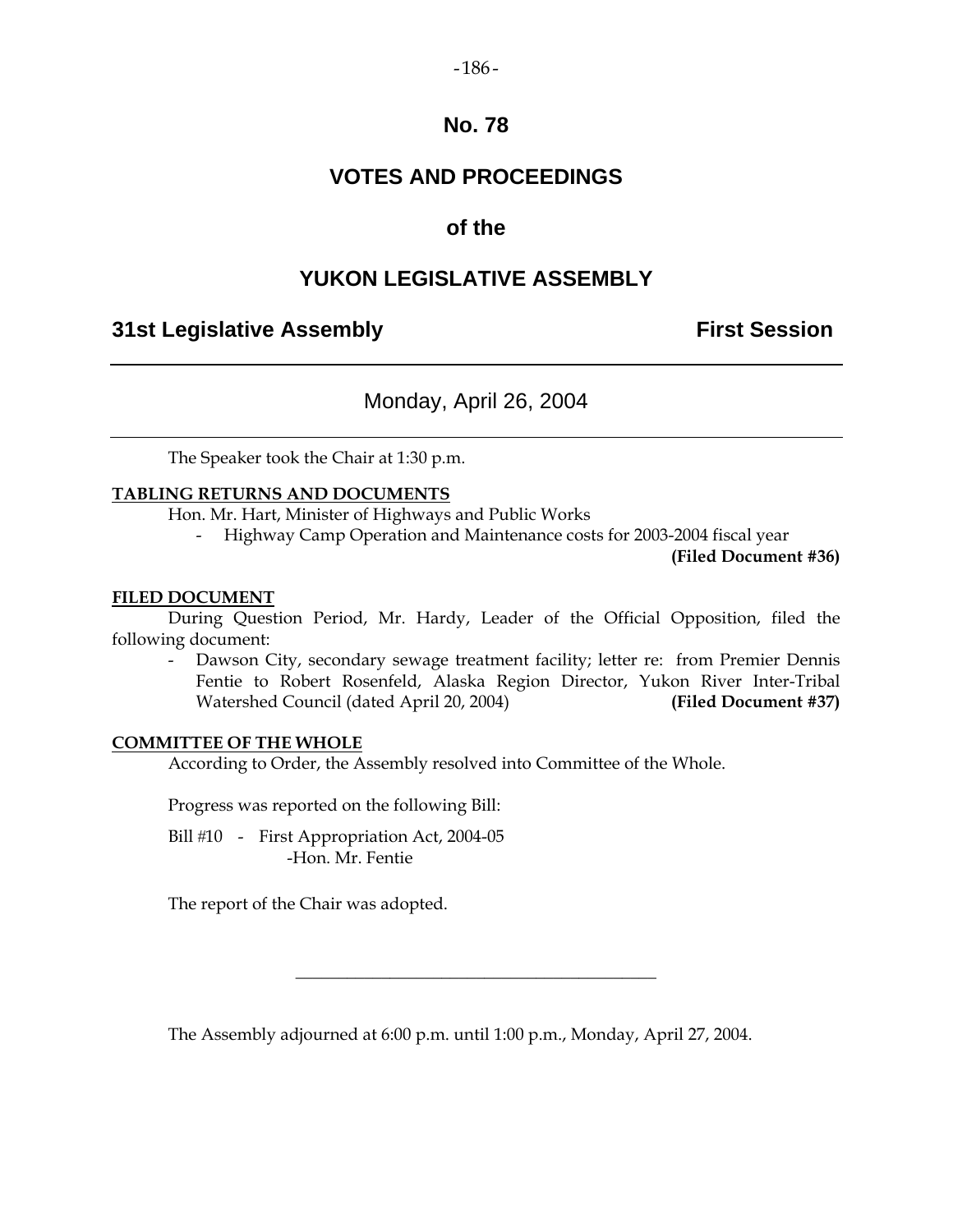#### $-186-$

### **No. 78**

# **VOTES AND PROCEEDINGS**

# **of the**

# **YUKON LEGISLATIVE ASSEMBLY**

# **31st Legislative Assembly First Session**

# Monday, April 26, 2004

The Speaker took the Chair at 1:30 p.m.

### **TABLING RETURNS AND DOCUMENTS**

Hon. Mr. Hart, Minister of Highways and Public Works

- Highway Camp Operation and Maintenance costs for 2003-2004 fiscal year

**(Filed Document #36)** 

### **FILED DOCUMENT**

 During Question Period, Mr. Hardy, Leader of the Official Opposition, filed the following document:

 - Dawson City, secondary sewage treatment facility; letter re: from Premier Dennis Fentie to Robert Rosenfeld, Alaska Region Director, Yukon River Inter-Tribal Watershed Council (dated April 20, 2004) **(Filed Document #37)** 

### **COMMITTEE OF THE WHOLE**

According to Order, the Assembly resolved into Committee of the Whole.

Progress was reported on the following Bill:

Bill #10 - First Appropriation Act, 2004-05 -Hon. Mr. Fentie

The report of the Chair was adopted.

The Assembly adjourned at 6:00 p.m. until 1:00 p.m., Monday, April 27, 2004.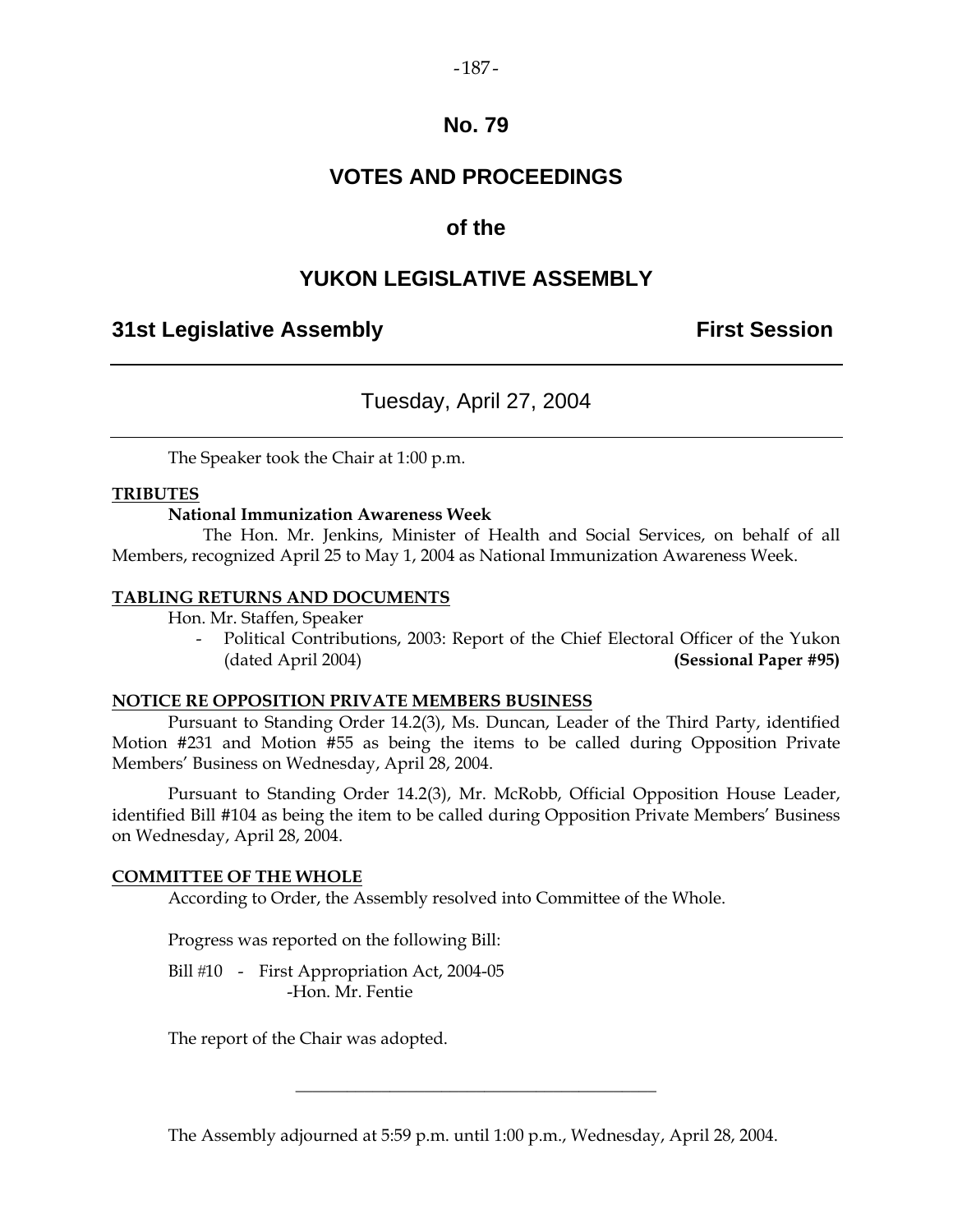### $-187-$

### **No. 79**

# **VOTES AND PROCEEDINGS**

### **of the**

## **YUKON LEGISLATIVE ASSEMBLY**

### **31st Legislative Assembly First Session**

# Tuesday, April 27, 2004

The Speaker took the Chair at 1:00 p.m.

### **TRIBUTES**

### **National Immunization Awareness Week**

 The Hon. Mr. Jenkins, Minister of Health and Social Services, on behalf of all Members, recognized April 25 to May 1, 2004 as National Immunization Awareness Week.

#### **TABLING RETURNS AND DOCUMENTS**

Hon. Mr. Staffen, Speaker

Political Contributions, 2003: Report of the Chief Electoral Officer of the Yukon (dated April 2004) **(Sessional Paper #95)** 

#### **NOTICE RE OPPOSITION PRIVATE MEMBERS BUSINESS**

 Pursuant to Standing Order 14.2(3), Ms. Duncan, Leader of the Third Party, identified Motion #231 and Motion #55 as being the items to be called during Opposition Private Members' Business on Wednesday, April 28, 2004.

 Pursuant to Standing Order 14.2(3), Mr. McRobb, Official Opposition House Leader, identified Bill #104 as being the item to be called during Opposition Private Members' Business on Wednesday, April 28, 2004.

### **COMMITTEE OF THE WHOLE**

According to Order, the Assembly resolved into Committee of the Whole.

Progress was reported on the following Bill:

Bill #10 - First Appropriation Act, 2004-05 -Hon. Mr. Fentie

The report of the Chair was adopted.

The Assembly adjourned at 5:59 p.m. until 1:00 p.m., Wednesday, April 28, 2004.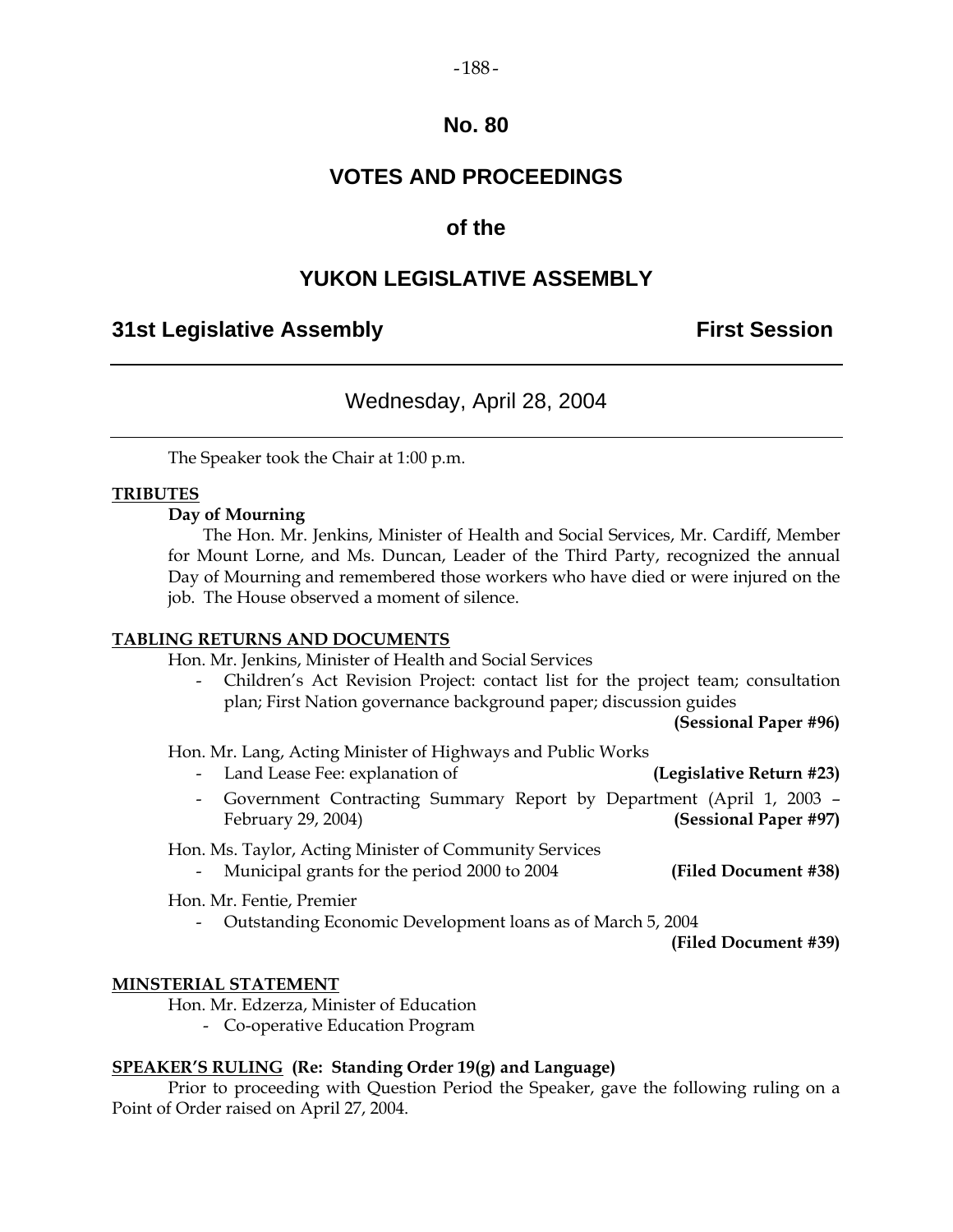#### $-188-$

### **No. 80**

# **VOTES AND PROCEEDINGS**

### **of the**

# **YUKON LEGISLATIVE ASSEMBLY**

### **31st Legislative Assembly First Session**

## Wednesday, April 28, 2004

The Speaker took the Chair at 1:00 p.m.

### **TRIBUTES**

#### **Day of Mourning**

 The Hon. Mr. Jenkins, Minister of Health and Social Services, Mr. Cardiff, Member for Mount Lorne, and Ms. Duncan, Leader of the Third Party, recognized the annual Day of Mourning and remembered those workers who have died or were injured on the job. The House observed a moment of silence.

### **TABLING RETURNS AND DOCUMENTS**

Hon. Mr. Jenkins, Minister of Health and Social Services

 - Children's Act Revision Project: contact list for the project team; consultation plan; First Nation governance background paper; discussion guides

 **(Sessional Paper #96)** 

Hon. Mr. Lang, Acting Minister of Highways and Public Works

- Land Lease Fee: explanation of **(Legislative Return #23)**
- Government Contracting Summary Report by Department (April 1, 2003 February 29, 2004) **(Sessional Paper #97)**

Hon. Ms. Taylor, Acting Minister of Community Services

- Municipal grants for the period 2000 to 2004 **(Filed Document #38)** 

Hon. Mr. Fentie, Premier

- Outstanding Economic Development loans as of March 5, 2004

**(Filed Document #39)**

### **MINSTERIAL STATEMENT**

Hon. Mr. Edzerza, Minister of Education

- Co-operative Education Program

### **SPEAKER'S RULING (Re: Standing Order 19(g) and Language)**

 Prior to proceeding with Question Period the Speaker, gave the following ruling on a Point of Order raised on April 27, 2004.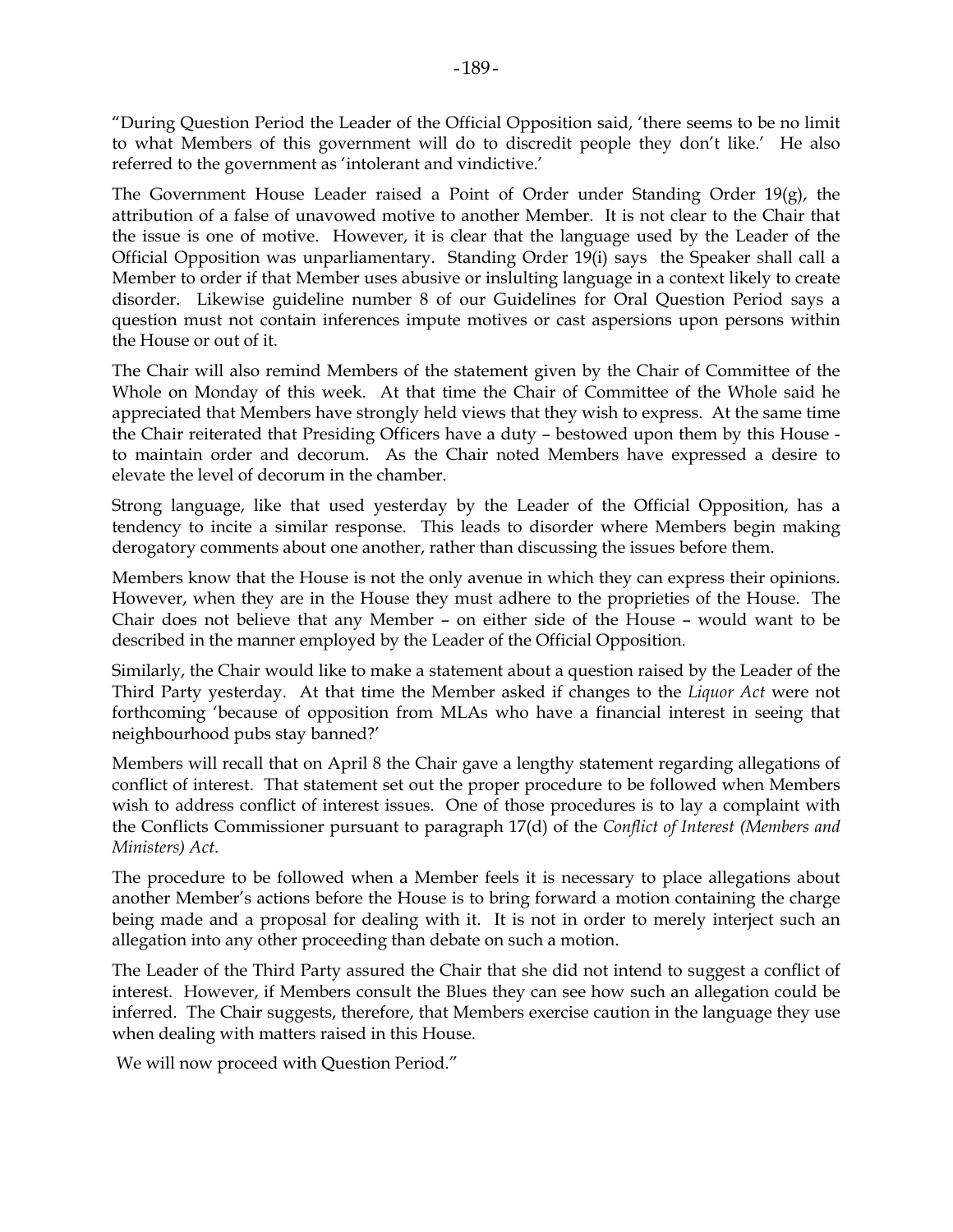"During Question Period the Leader of the Official Opposition said, 'there seems to be no limit to what Members of this government will do to discredit people they don't like.' He also referred to the government as 'intolerant and vindictive.'

The Government House Leader raised a Point of Order under Standing Order 19(g), the attribution of a false of unavowed motive to another Member. It is not clear to the Chair that the issue is one of motive. However, it is clear that the language used by the Leader of the Official Opposition was unparliamentary. Standing Order 19(i) says the Speaker shall call a Member to order if that Member uses abusive or inslulting language in a context likely to create disorder. Likewise guideline number 8 of our Guidelines for Oral Question Period says a question must not contain inferences impute motives or cast aspersions upon persons within the House or out of it.

The Chair will also remind Members of the statement given by the Chair of Committee of the Whole on Monday of this week. At that time the Chair of Committee of the Whole said he appreciated that Members have strongly held views that they wish to express. At the same time the Chair reiterated that Presiding Officers have a duty – bestowed upon them by this House to maintain order and decorum. As the Chair noted Members have expressed a desire to elevate the level of decorum in the chamber.

Strong language, like that used yesterday by the Leader of the Official Opposition, has a tendency to incite a similar response. This leads to disorder where Members begin making derogatory comments about one another, rather than discussing the issues before them.

Members know that the House is not the only avenue in which they can express their opinions. However, when they are in the House they must adhere to the proprieties of the House. The Chair does not believe that any Member – on either side of the House – would want to be described in the manner employed by the Leader of the Official Opposition.

Similarly, the Chair would like to make a statement about a question raised by the Leader of the Third Party yesterday. At that time the Member asked if changes to the *Liquor Act* were not forthcoming 'because of opposition from MLAs who have a financial interest in seeing that neighbourhood pubs stay banned?'

Members will recall that on April 8 the Chair gave a lengthy statement regarding allegations of conflict of interest. That statement set out the proper procedure to be followed when Members wish to address conflict of interest issues. One of those procedures is to lay a complaint with the Conflicts Commissioner pursuant to paragraph 17(d) of the *Conflict of Interest (Members and Ministers) Act*.

The procedure to be followed when a Member feels it is necessary to place allegations about another Member's actions before the House is to bring forward a motion containing the charge being made and a proposal for dealing with it. It is not in order to merely interject such an allegation into any other proceeding than debate on such a motion.

The Leader of the Third Party assured the Chair that she did not intend to suggest a conflict of interest. However, if Members consult the Blues they can see how such an allegation could be inferred. The Chair suggests, therefore, that Members exercise caution in the language they use when dealing with matters raised in this House.

We will now proceed with Question Period."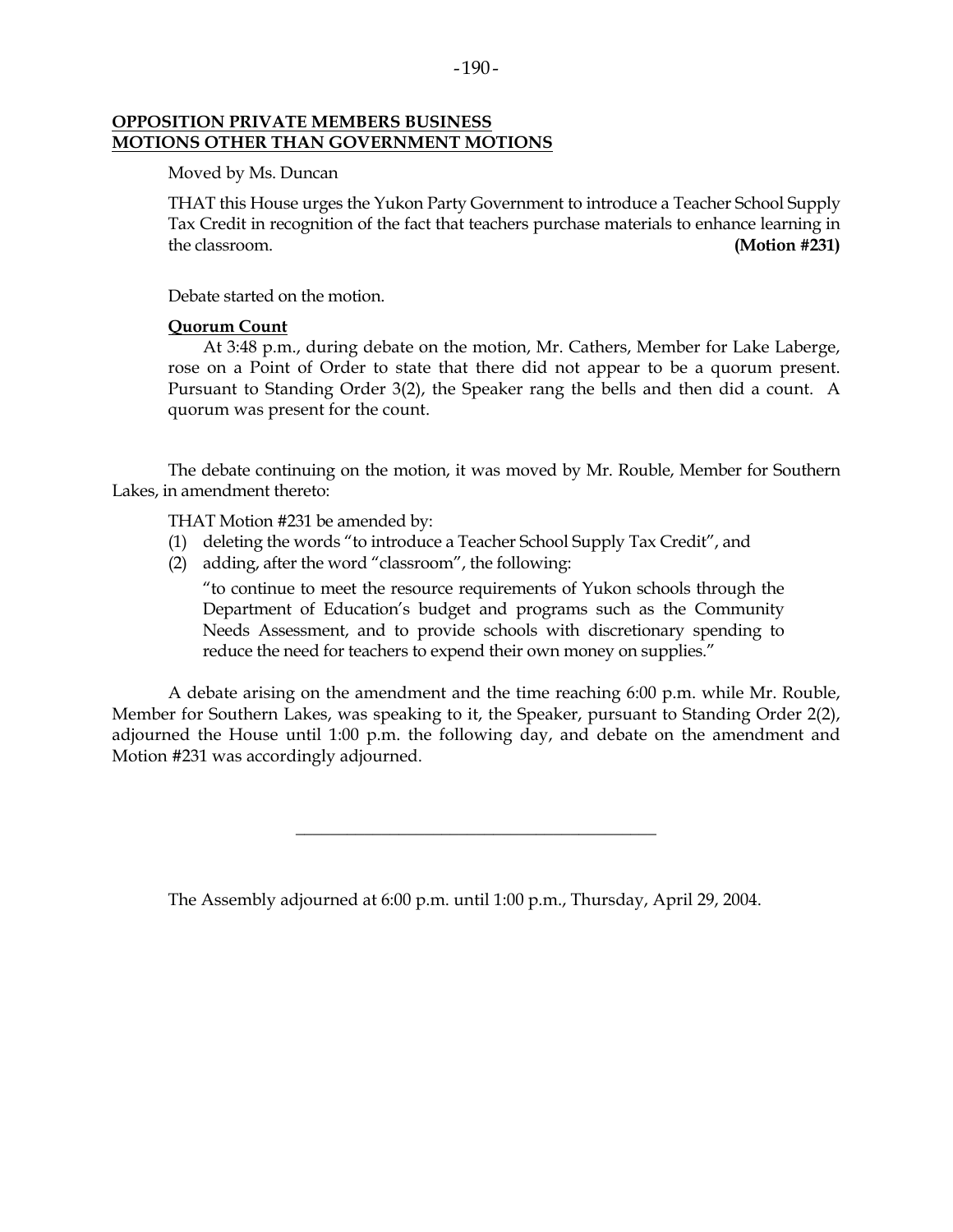#### **OPPOSITION PRIVATE MEMBERS BUSINESS MOTIONS OTHER THAN GOVERNMENT MOTIONS**

Moved by Ms. Duncan

 THAT this House urges the Yukon Party Government to introduce a Teacher School Supply Tax Credit in recognition of the fact that teachers purchase materials to enhance learning in the classroom. **(Motion #231)**

Debate started on the motion.

### **Quorum Count**

 At 3:48 p.m., during debate on the motion, Mr. Cathers, Member for Lake Laberge, rose on a Point of Order to state that there did not appear to be a quorum present. Pursuant to Standing Order 3(2), the Speaker rang the bells and then did a count. A quorum was present for the count.

 The debate continuing on the motion, it was moved by Mr. Rouble, Member for Southern Lakes, in amendment thereto:

THAT Motion #231 be amended by:

- (1) deleting the words "to introduce a Teacher School Supply Tax Credit", and
- (2) adding, after the word "classroom", the following:

 "to continue to meet the resource requirements of Yukon schools through the Department of Education's budget and programs such as the Community Needs Assessment, and to provide schools with discretionary spending to reduce the need for teachers to expend their own money on supplies."

 A debate arising on the amendment and the time reaching 6:00 p.m. while Mr. Rouble, Member for Southern Lakes, was speaking to it, the Speaker, pursuant to Standing Order 2(2), adjourned the House until 1:00 p.m. the following day, and debate on the amendment and Motion #231 was accordingly adjourned.

\_\_\_\_\_\_\_\_\_\_\_\_\_\_\_\_\_\_\_\_\_\_\_\_\_\_\_\_\_\_\_\_\_\_\_\_\_\_\_\_\_\_

The Assembly adjourned at 6:00 p.m. until 1:00 p.m., Thursday, April 29, 2004.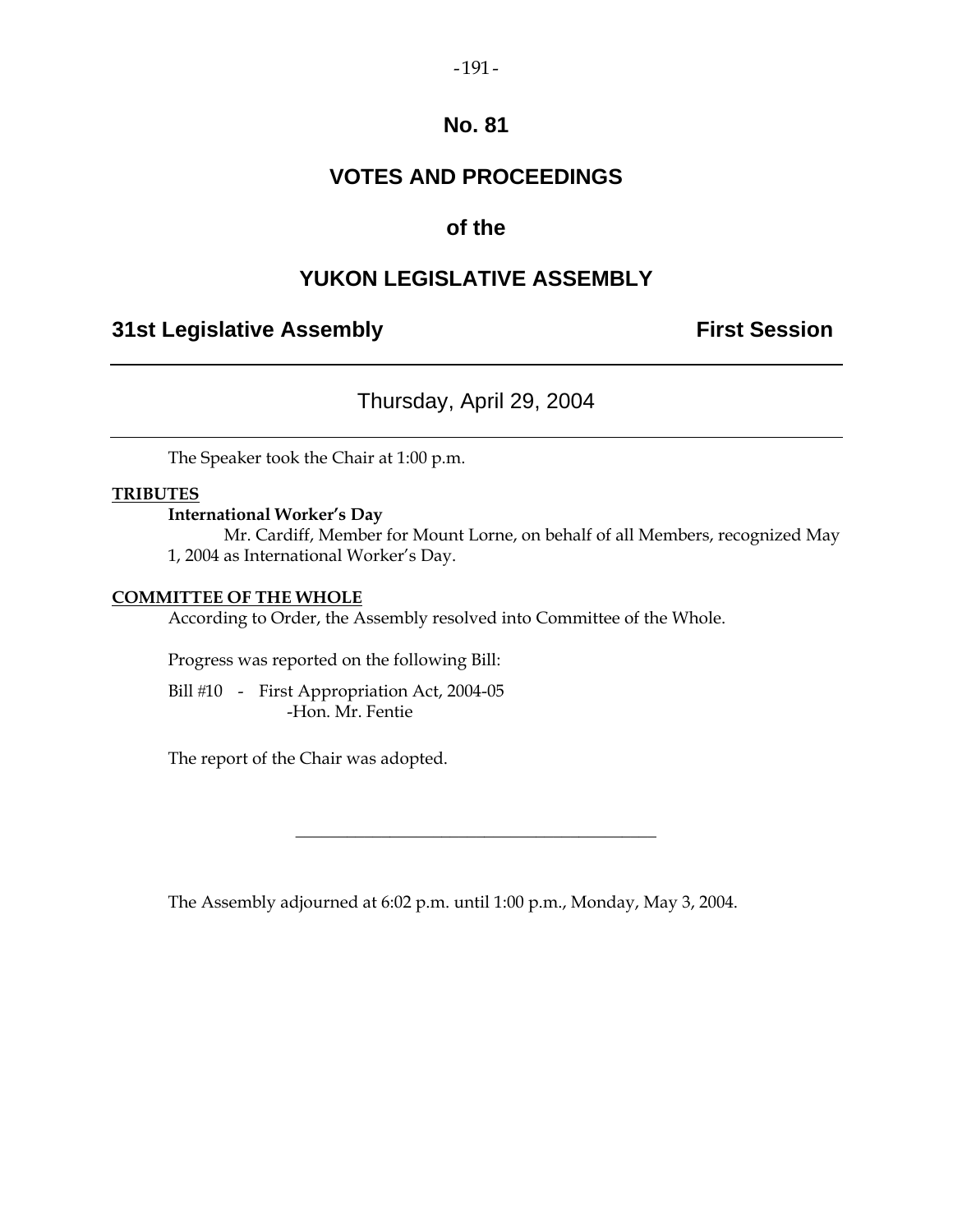### $-191-$

### **No. 81**

# **VOTES AND PROCEEDINGS**

# **of the**

# **YUKON LEGISLATIVE ASSEMBLY**

# **31st Legislative Assembly The Contract Session**

# Thursday, April 29, 2004

The Speaker took the Chair at 1:00 p.m.

### **TRIBUTES**

### **International Worker's Day**

 Mr. Cardiff, Member for Mount Lorne, on behalf of all Members, recognized May 1, 2004 as International Worker's Day.

### **COMMITTEE OF THE WHOLE**

According to Order, the Assembly resolved into Committee of the Whole.

Progress was reported on the following Bill:

Bill #10 - First Appropriation Act, 2004-05 -Hon. Mr. Fentie

The report of the Chair was adopted.

The Assembly adjourned at 6:02 p.m. until 1:00 p.m., Monday, May 3, 2004.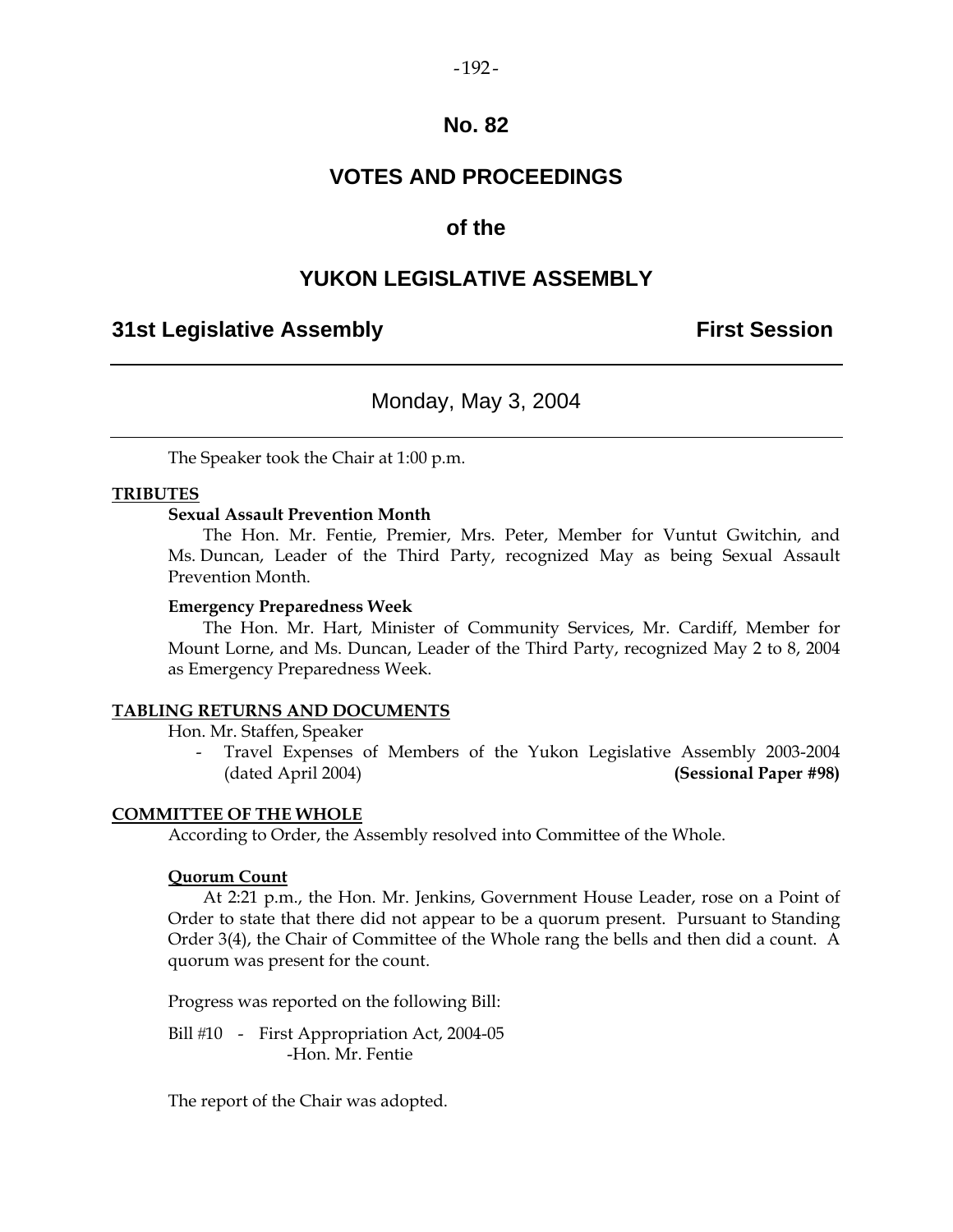#### $-192-$

### **No. 82**

# **VOTES AND PROCEEDINGS**

### **of the**

### **YUKON LEGISLATIVE ASSEMBLY**

### **31st Legislative Assembly First Session**

### Monday, May 3, 2004

The Speaker took the Chair at 1:00 p.m.

#### **TRIBUTES**

### **Sexual Assault Prevention Month**

 The Hon. Mr. Fentie, Premier, Mrs. Peter, Member for Vuntut Gwitchin, and Ms. Duncan, Leader of the Third Party, recognized May as being Sexual Assault Prevention Month.

#### **Emergency Preparedness Week**

 The Hon. Mr. Hart, Minister of Community Services, Mr. Cardiff, Member for Mount Lorne, and Ms. Duncan, Leader of the Third Party, recognized May 2 to 8, 2004 as Emergency Preparedness Week.

#### **TABLING RETURNS AND DOCUMENTS**

Hon. Mr. Staffen, Speaker

Travel Expenses of Members of the Yukon Legislative Assembly 2003-2004 (dated April 2004) **(Sessional Paper #98)** 

### **COMMITTEE OF THE WHOLE**

According to Order, the Assembly resolved into Committee of the Whole.

#### **Quorum Count**

 At 2:21 p.m., the Hon. Mr. Jenkins, Government House Leader, rose on a Point of Order to state that there did not appear to be a quorum present. Pursuant to Standing Order 3(4), the Chair of Committee of the Whole rang the bells and then did a count. A quorum was present for the count.

Progress was reported on the following Bill:

Bill #10 - First Appropriation Act, 2004-05 -Hon. Mr. Fentie

The report of the Chair was adopted.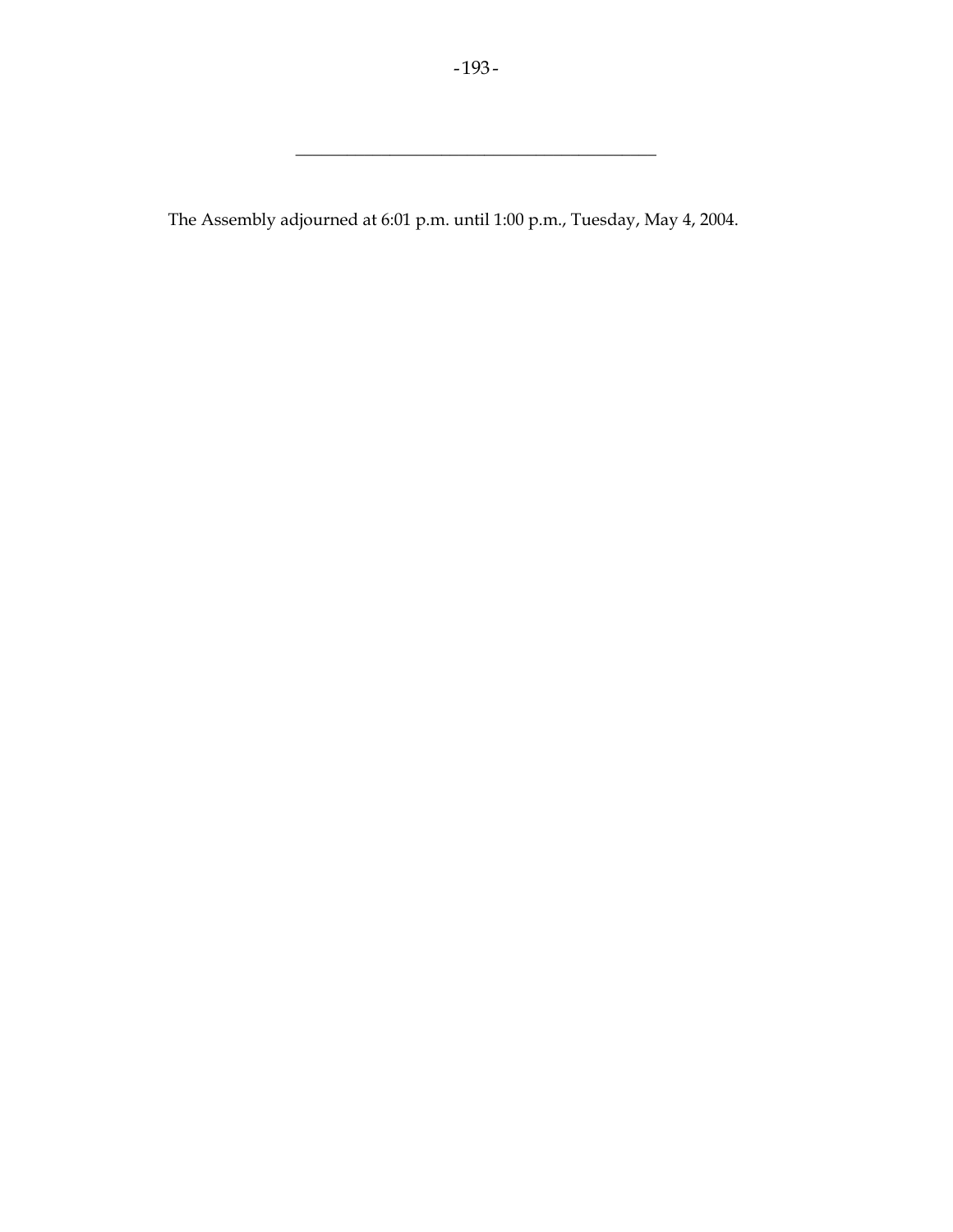\_\_\_\_\_\_\_\_\_\_\_\_\_\_\_\_\_\_\_\_\_\_\_\_\_\_\_\_\_\_\_\_\_\_\_\_\_\_\_\_\_\_

The Assembly adjourned at 6:01 p.m. until 1:00 p.m., Tuesday, May 4, 2004.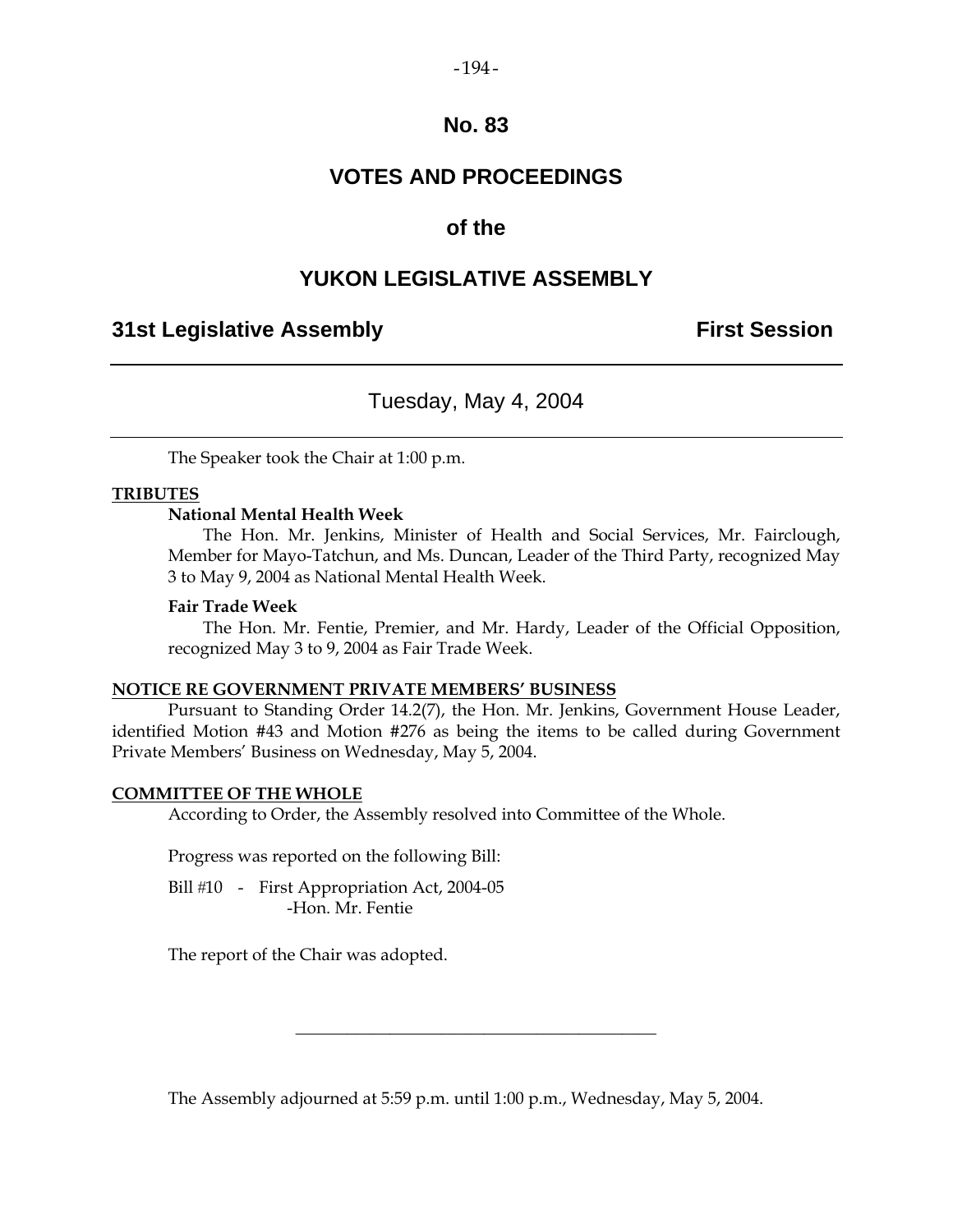### $-194-$

### **No. 83**

# **VOTES AND PROCEEDINGS**

### **of the**

## **YUKON LEGISLATIVE ASSEMBLY**

### **31st Legislative Assembly First Session**

# Tuesday, May 4, 2004

The Speaker took the Chair at 1:00 p.m.

### **TRIBUTES**

### **National Mental Health Week**

 The Hon. Mr. Jenkins, Minister of Health and Social Services, Mr. Fairclough, Member for Mayo-Tatchun, and Ms. Duncan, Leader of the Third Party, recognized May 3 to May 9, 2004 as National Mental Health Week.

#### **Fair Trade Week**

 The Hon. Mr. Fentie, Premier, and Mr. Hardy, Leader of the Official Opposition, recognized May 3 to 9, 2004 as Fair Trade Week.

#### **NOTICE RE GOVERNMENT PRIVATE MEMBERS' BUSINESS**

 Pursuant to Standing Order 14.2(7), the Hon. Mr. Jenkins, Government House Leader, identified Motion #43 and Motion #276 as being the items to be called during Government Private Members' Business on Wednesday, May 5, 2004.

### **COMMITTEE OF THE WHOLE**

According to Order, the Assembly resolved into Committee of the Whole.

Progress was reported on the following Bill:

Bill #10 - First Appropriation Act, 2004-05 -Hon. Mr. Fentie

The report of the Chair was adopted.

The Assembly adjourned at 5:59 p.m. until 1:00 p.m., Wednesday, May 5, 2004.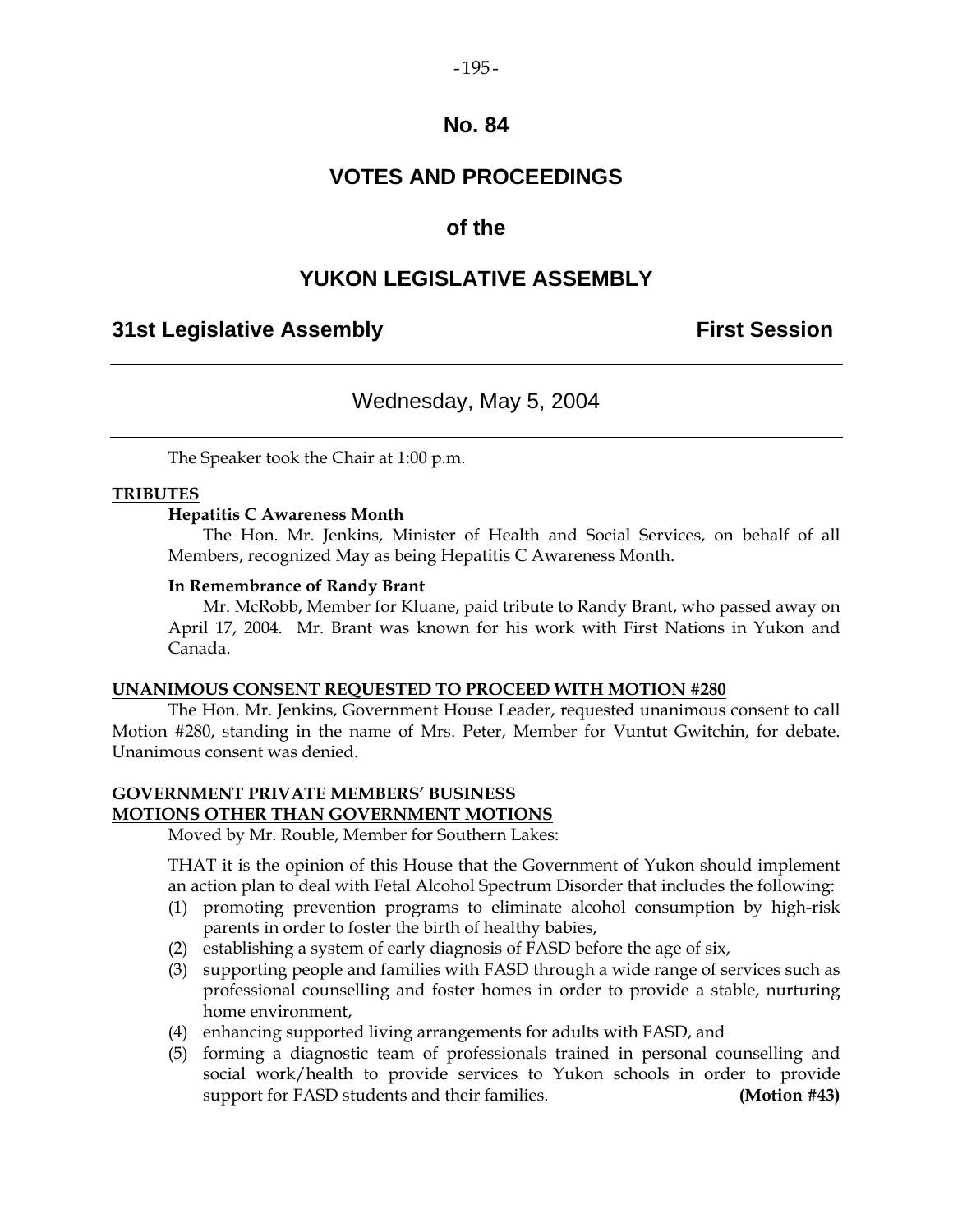### $-195-$

### **No. 84**

# **VOTES AND PROCEEDINGS**

### **of the**

## **YUKON LEGISLATIVE ASSEMBLY**

## **31st Legislative Assembly First Session**

## Wednesday, May 5, 2004

The Speaker took the Chair at 1:00 p.m.

### **TRIBUTES**

### **Hepatitis C Awareness Month**

 The Hon. Mr. Jenkins, Minister of Health and Social Services, on behalf of all Members, recognized May as being Hepatitis C Awareness Month.

#### **In Remembrance of Randy Brant**

 Mr. McRobb, Member for Kluane, paid tribute to Randy Brant, who passed away on April 17, 2004. Mr. Brant was known for his work with First Nations in Yukon and Canada.

#### **UNANIMOUS CONSENT REQUESTED TO PROCEED WITH MOTION #280**

 The Hon. Mr. Jenkins, Government House Leader, requested unanimous consent to call Motion #280, standing in the name of Mrs. Peter, Member for Vuntut Gwitchin, for debate. Unanimous consent was denied.

### **GOVERNMENT PRIVATE MEMBERS' BUSINESS MOTIONS OTHER THAN GOVERNMENT MOTIONS**

Moved by Mr. Rouble, Member for Southern Lakes:

 THAT it is the opinion of this House that the Government of Yukon should implement an action plan to deal with Fetal Alcohol Spectrum Disorder that includes the following:

- (1) promoting prevention programs to eliminate alcohol consumption by high-risk parents in order to foster the birth of healthy babies,
- (2) establishing a system of early diagnosis of FASD before the age of six,
- (3) supporting people and families with FASD through a wide range of services such as professional counselling and foster homes in order to provide a stable, nurturing home environment,
- (4) enhancing supported living arrangements for adults with FASD, and
- (5) forming a diagnostic team of professionals trained in personal counselling and social work/health to provide services to Yukon schools in order to provide support for FASD students and their families. **(Motion #43)**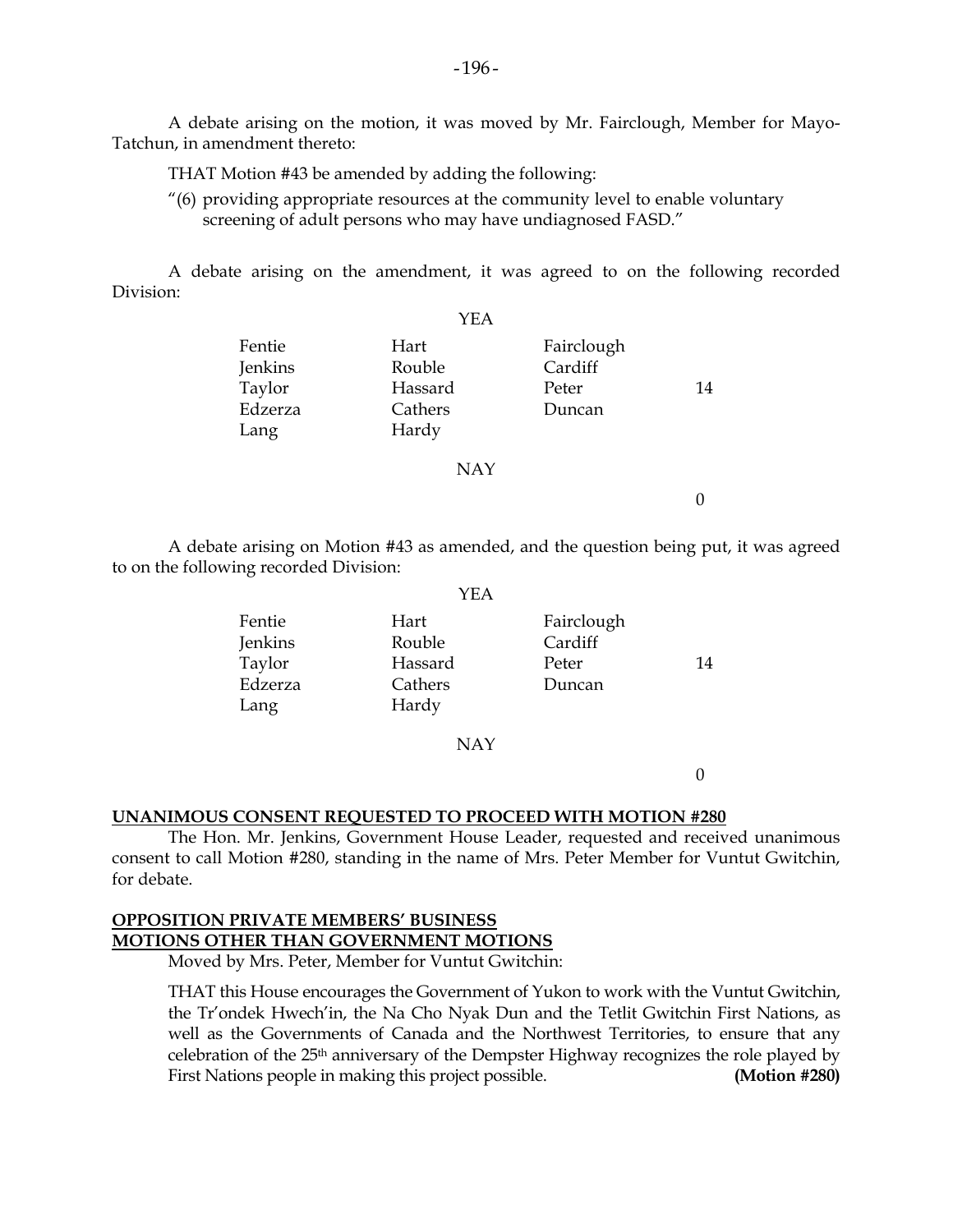A debate arising on the motion, it was moved by Mr. Fairclough, Member for Mayo-Tatchun, in amendment thereto:

THAT Motion #43 be amended by adding the following:

 "(6) providing appropriate resources at the community level to enable voluntary screening of adult persons who may have undiagnosed FASD."

 A debate arising on the amendment, it was agreed to on the following recorded Division:

|                   | YEA            |                       |    |
|-------------------|----------------|-----------------------|----|
| Fentie<br>Jenkins | Hart<br>Rouble | Fairclough<br>Cardiff |    |
| Taylor            | Hassard        | Peter                 | 14 |
| Edzerza           | Cathers        | Duncan                |    |
| Lang              | Hardy          |                       |    |
|                   | <b>NAY</b>     |                       |    |

 $\theta$ 

 A debate arising on Motion #43 as amended, and the question being put, it was agreed to on the following recorded Division:

|                   | YEA              |                       |    |
|-------------------|------------------|-----------------------|----|
| Fentie<br>Jenkins | Hart<br>Rouble   | Fairclough<br>Cardiff |    |
| Taylor            | Hassard          | Peter                 | 14 |
| Edzerza<br>Lang   | Cathers<br>Hardy | Duncan                |    |
|                   |                  |                       |    |

NAY

0

#### **UNANIMOUS CONSENT REQUESTED TO PROCEED WITH MOTION #280**

 The Hon. Mr. Jenkins, Government House Leader, requested and received unanimous consent to call Motion #280, standing in the name of Mrs. Peter Member for Vuntut Gwitchin, for debate.

### **OPPOSITION PRIVATE MEMBERS' BUSINESS MOTIONS OTHER THAN GOVERNMENT MOTIONS**

Moved by Mrs. Peter, Member for Vuntut Gwitchin:

 THAT this House encourages the Government of Yukon to work with the Vuntut Gwitchin, the Tr'ondek Hwech'in, the Na Cho Nyak Dun and the Tetlit Gwitchin First Nations, as well as the Governments of Canada and the Northwest Territories, to ensure that any celebration of the 25th anniversary of the Dempster Highway recognizes the role played by First Nations people in making this project possible. **(Motion #280)**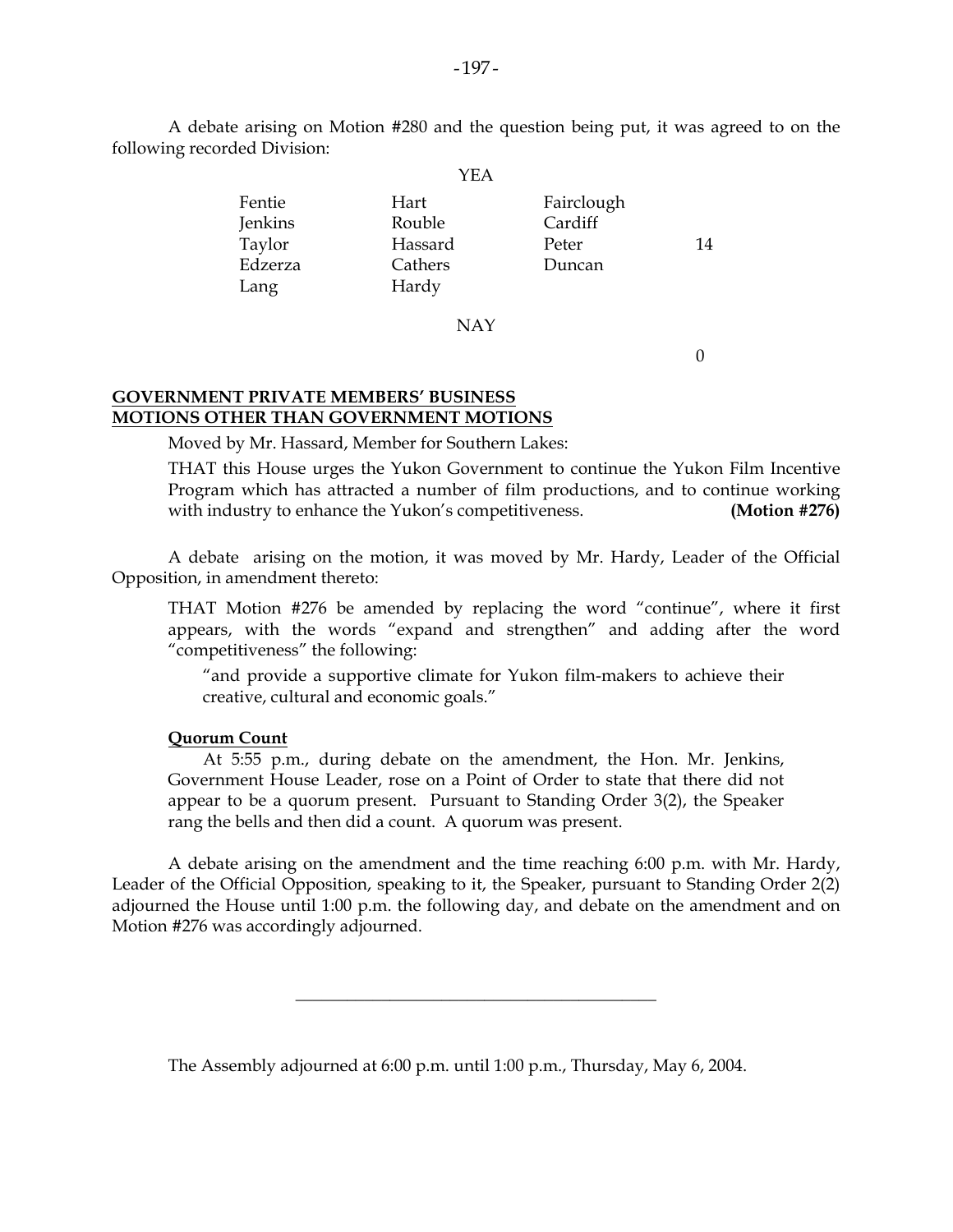A debate arising on Motion #280 and the question being put, it was agreed to on the following recorded Division:

|         | YEA     |            |    |
|---------|---------|------------|----|
| Fentie  | Hart    | Fairclough |    |
| Jenkins | Rouble  | Cardiff    |    |
| Taylor  | Hassard | Peter      | 14 |
| Edzerza | Cathers | Duncan     |    |
| Lang    | Hardy   |            |    |
|         |         |            |    |

NAY

0

### **GOVERNMENT PRIVATE MEMBERS' BUSINESS MOTIONS OTHER THAN GOVERNMENT MOTIONS**

Moved by Mr. Hassard, Member for Southern Lakes:

 THAT this House urges the Yukon Government to continue the Yukon Film Incentive Program which has attracted a number of film productions, and to continue working with industry to enhance the Yukon's competitiveness. **(Motion #276)** 

 A debate arising on the motion, it was moved by Mr. Hardy, Leader of the Official Opposition, in amendment thereto:

 THAT Motion #276 be amended by replacing the word "continue", where it first appears, with the words "expand and strengthen" and adding after the word "competitiveness" the following:

 "and provide a supportive climate for Yukon film-makers to achieve their creative, cultural and economic goals."

### **Quorum Count**

 At 5:55 p.m., during debate on the amendment, the Hon. Mr. Jenkins, Government House Leader, rose on a Point of Order to state that there did not appear to be a quorum present. Pursuant to Standing Order 3(2), the Speaker rang the bells and then did a count. A quorum was present.

 A debate arising on the amendment and the time reaching 6:00 p.m. with Mr. Hardy, Leader of the Official Opposition, speaking to it, the Speaker, pursuant to Standing Order 2(2) adjourned the House until 1:00 p.m. the following day, and debate on the amendment and on Motion #276 was accordingly adjourned.

\_\_\_\_\_\_\_\_\_\_\_\_\_\_\_\_\_\_\_\_\_\_\_\_\_\_\_\_\_\_\_\_\_\_\_\_\_\_\_\_\_\_

The Assembly adjourned at 6:00 p.m. until 1:00 p.m., Thursday, May 6, 2004.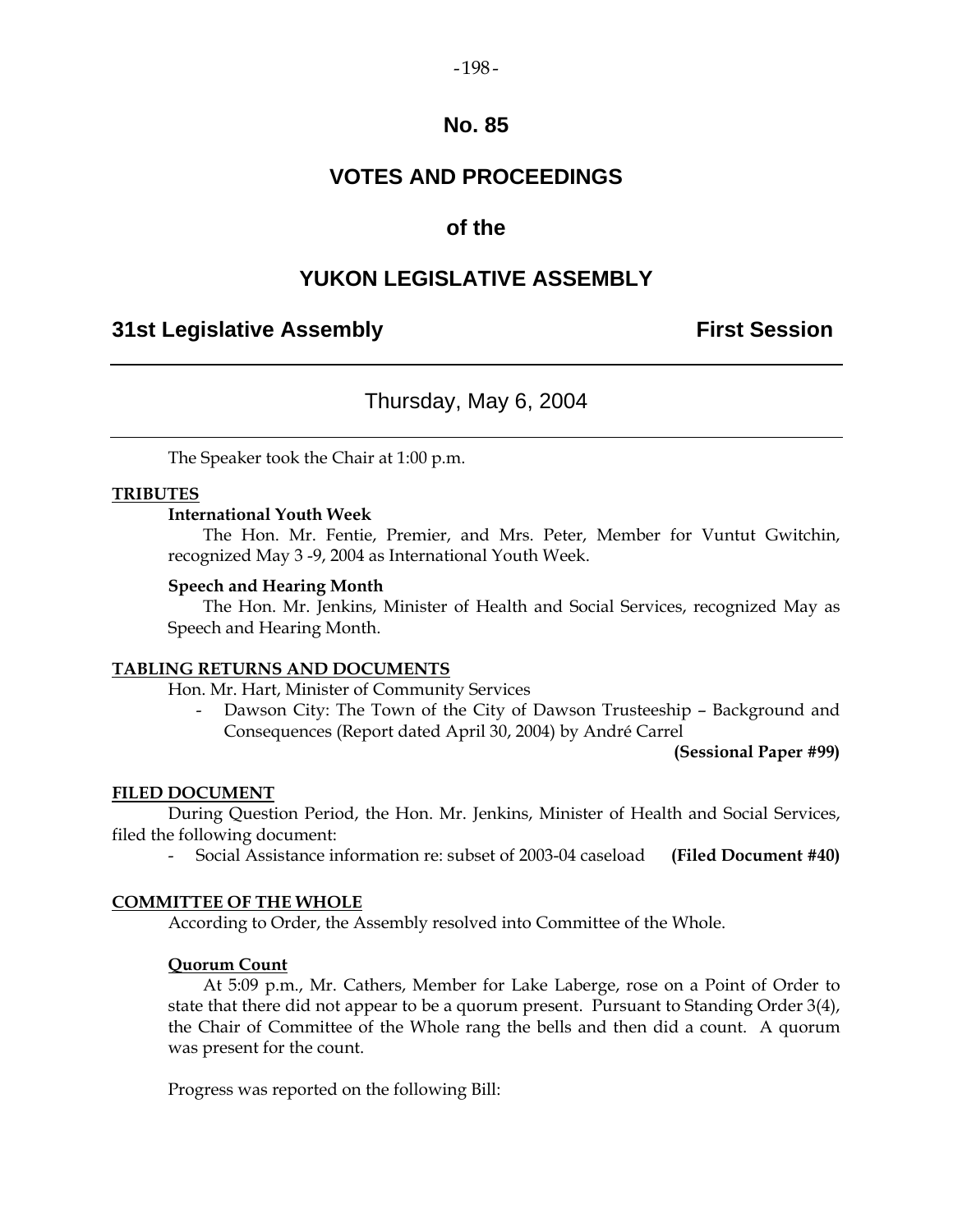#### $-198-$

### **No. 85**

# **VOTES AND PROCEEDINGS**

### **of the**

## **YUKON LEGISLATIVE ASSEMBLY**

### **31st Legislative Assembly First Session**

## Thursday, May 6, 2004

The Speaker took the Chair at 1:00 p.m.

### **TRIBUTES**

### **International Youth Week**

 The Hon. Mr. Fentie, Premier, and Mrs. Peter, Member for Vuntut Gwitchin, recognized May 3 -9, 2004 as International Youth Week.

#### **Speech and Hearing Month**

 The Hon. Mr. Jenkins, Minister of Health and Social Services, recognized May as Speech and Hearing Month.

#### **TABLING RETURNS AND DOCUMENTS**

Hon. Mr. Hart, Minister of Community Services

Dawson City: The Town of the City of Dawson Trusteeship - Background and Consequences (Report dated April 30, 2004) by André Carrel

**(Sessional Paper #99)** 

#### **FILED DOCUMENT**

 During Question Period, the Hon. Mr. Jenkins, Minister of Health and Social Services, filed the following document:

- Social Assistance information re: subset of 2003-04 caseload **(Filed Document #40)** 

#### **COMMITTEE OF THE WHOLE**

According to Order, the Assembly resolved into Committee of the Whole.

#### **Quorum Count**

 At 5:09 p.m., Mr. Cathers, Member for Lake Laberge, rose on a Point of Order to state that there did not appear to be a quorum present. Pursuant to Standing Order 3(4), the Chair of Committee of the Whole rang the bells and then did a count. A quorum was present for the count.

Progress was reported on the following Bill: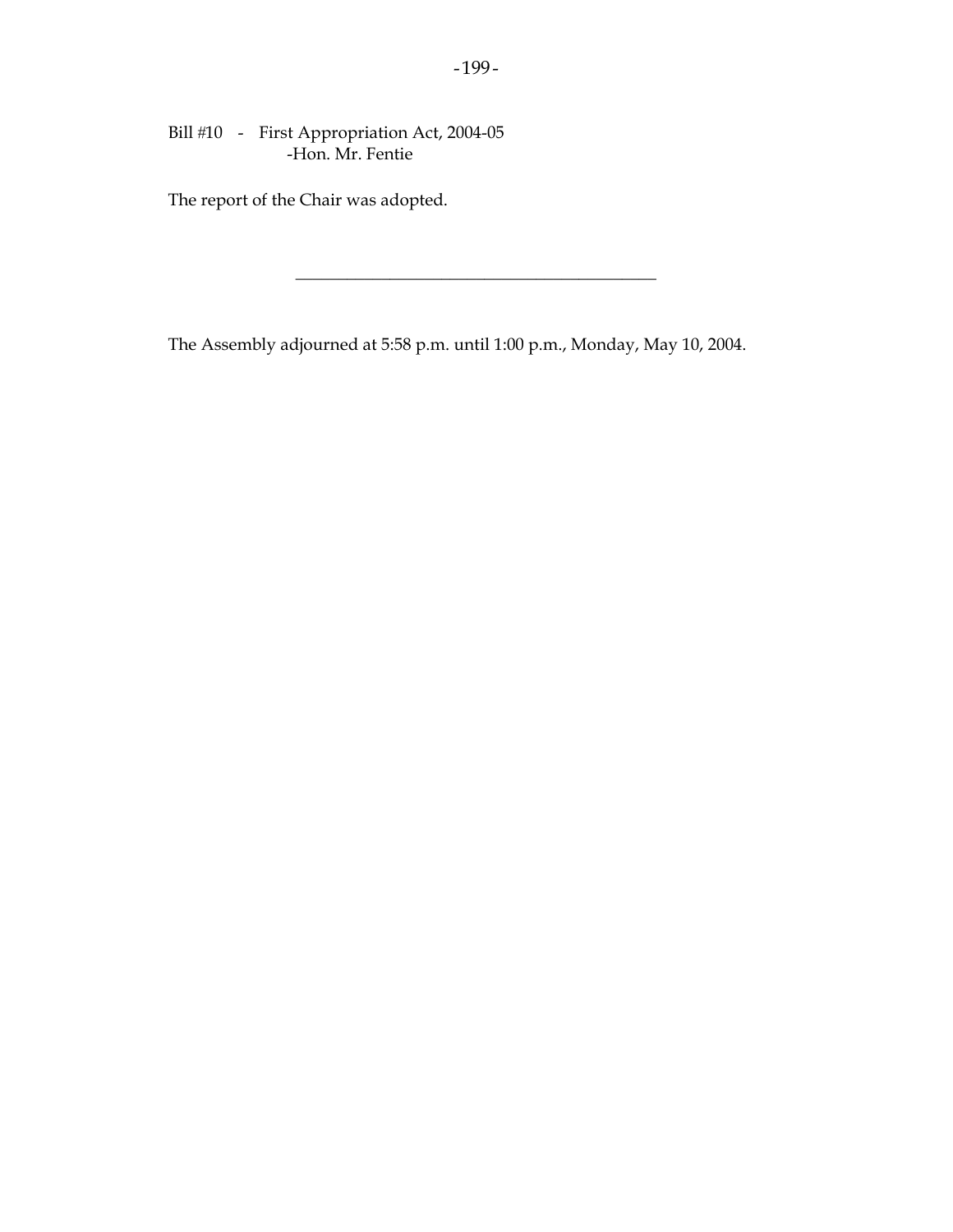Bill #10 - First Appropriation Act, 2004-05 -Hon. Mr. Fentie

The report of the Chair was adopted.

The Assembly adjourned at 5:58 p.m. until 1:00 p.m., Monday, May 10, 2004.

 $\_$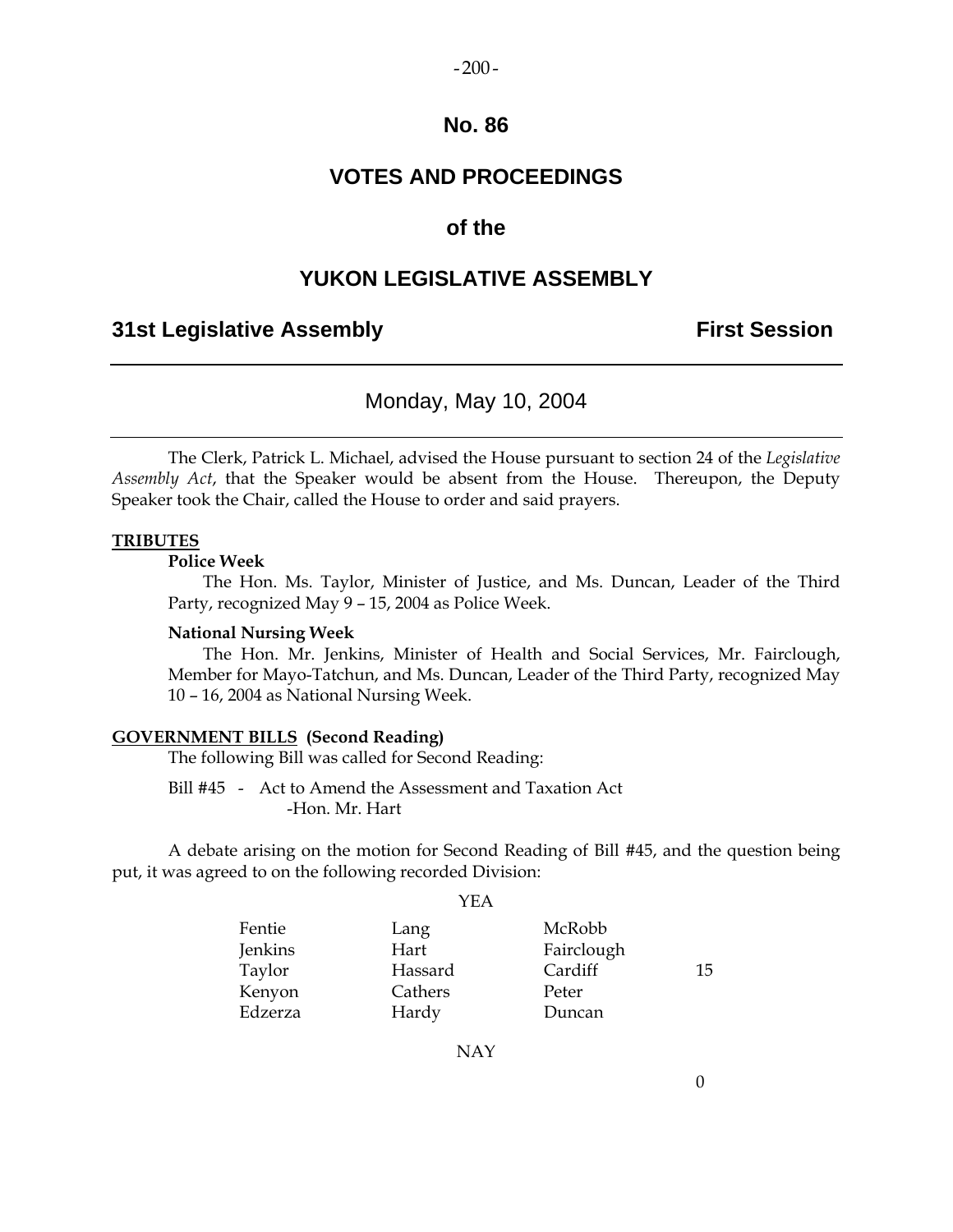#### $-200-$

### **No. 86**

# **VOTES AND PROCEEDINGS**

### **of the**

### **YUKON LEGISLATIVE ASSEMBLY**

### **31st Legislative Assembly First Session**

## Monday, May 10, 2004

 The Clerk, Patrick L. Michael, advised the House pursuant to section 24 of the *Legislative Assembly Act*, that the Speaker would be absent from the House. Thereupon, the Deputy Speaker took the Chair, called the House to order and said prayers.

#### **TRIBUTES**

 **Police Week** 

 The Hon. Ms. Taylor, Minister of Justice, and Ms. Duncan, Leader of the Third Party, recognized May 9 – 15, 2004 as Police Week.

#### **National Nursing Week**

 The Hon. Mr. Jenkins, Minister of Health and Social Services, Mr. Fairclough, Member for Mayo-Tatchun, and Ms. Duncan, Leader of the Third Party, recognized May 10 – 16, 2004 as National Nursing Week.

### **GOVERNMENT BILLS (Second Reading)**

The following Bill was called for Second Reading:

 Bill #45 - Act to Amend the Assessment and Taxation Act -Hon. Mr. Hart

 A debate arising on the motion for Second Reading of Bill #45, and the question being put, it was agreed to on the following recorded Division:

YEA

| Fentie  | Lang    | McRobb     |    |
|---------|---------|------------|----|
| Jenkins | Hart    | Fairclough |    |
| Taylor  | Hassard | Cardiff    | 15 |
| Kenyon  | Cathers | Peter      |    |
| Edzerza | Hardy   | Duncan     |    |

NAY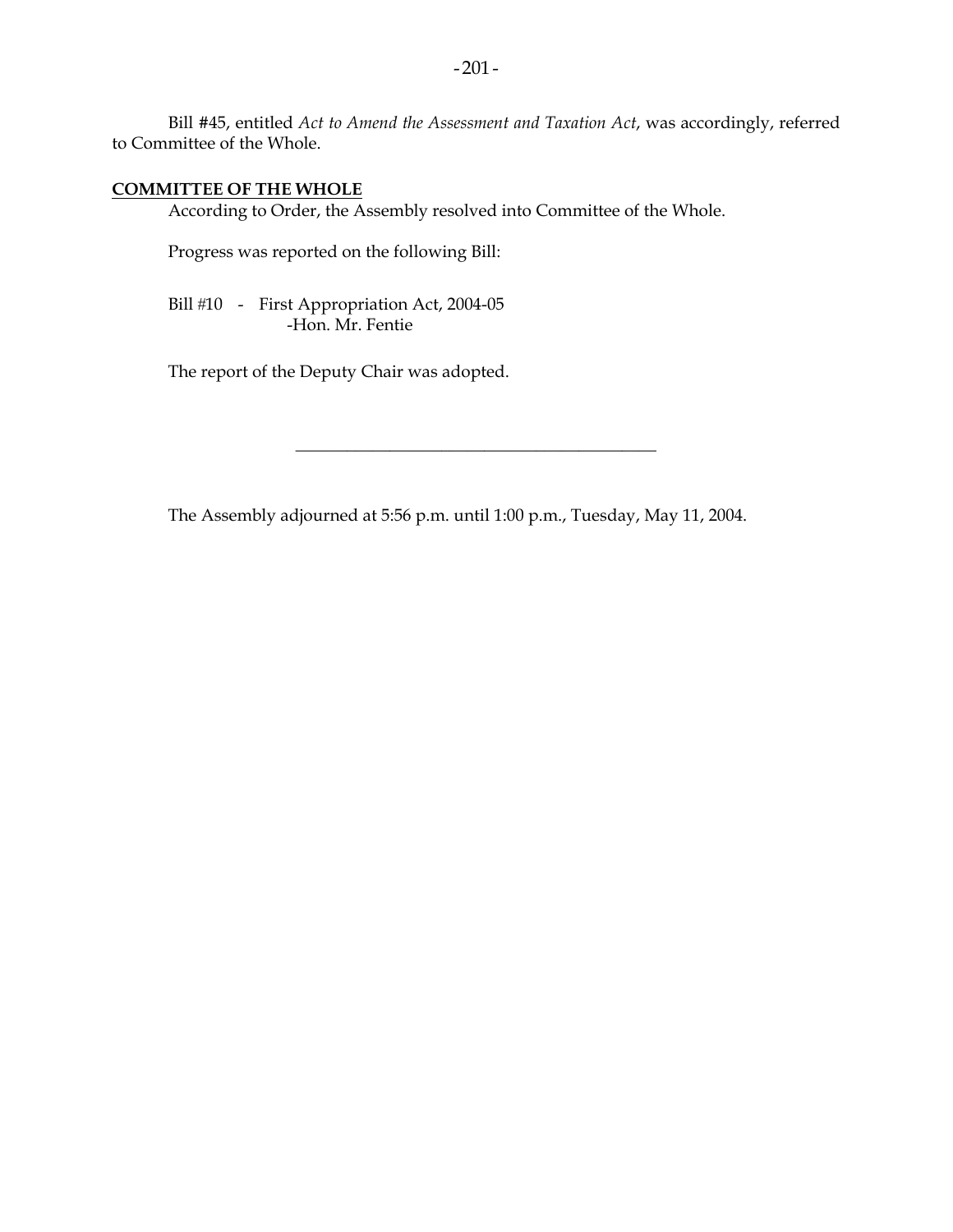Bill #45, entitled *Act to Amend the Assessment and Taxation Act*, was accordingly, referred to Committee of the Whole.

#### **COMMITTEE OF THE WHOLE**

According to Order, the Assembly resolved into Committee of the Whole.

Progress was reported on the following Bill:

Bill #10 - First Appropriation Act, 2004-05 -Hon. Mr. Fentie

The report of the Deputy Chair was adopted.

The Assembly adjourned at 5:56 p.m. until 1:00 p.m., Tuesday, May 11, 2004.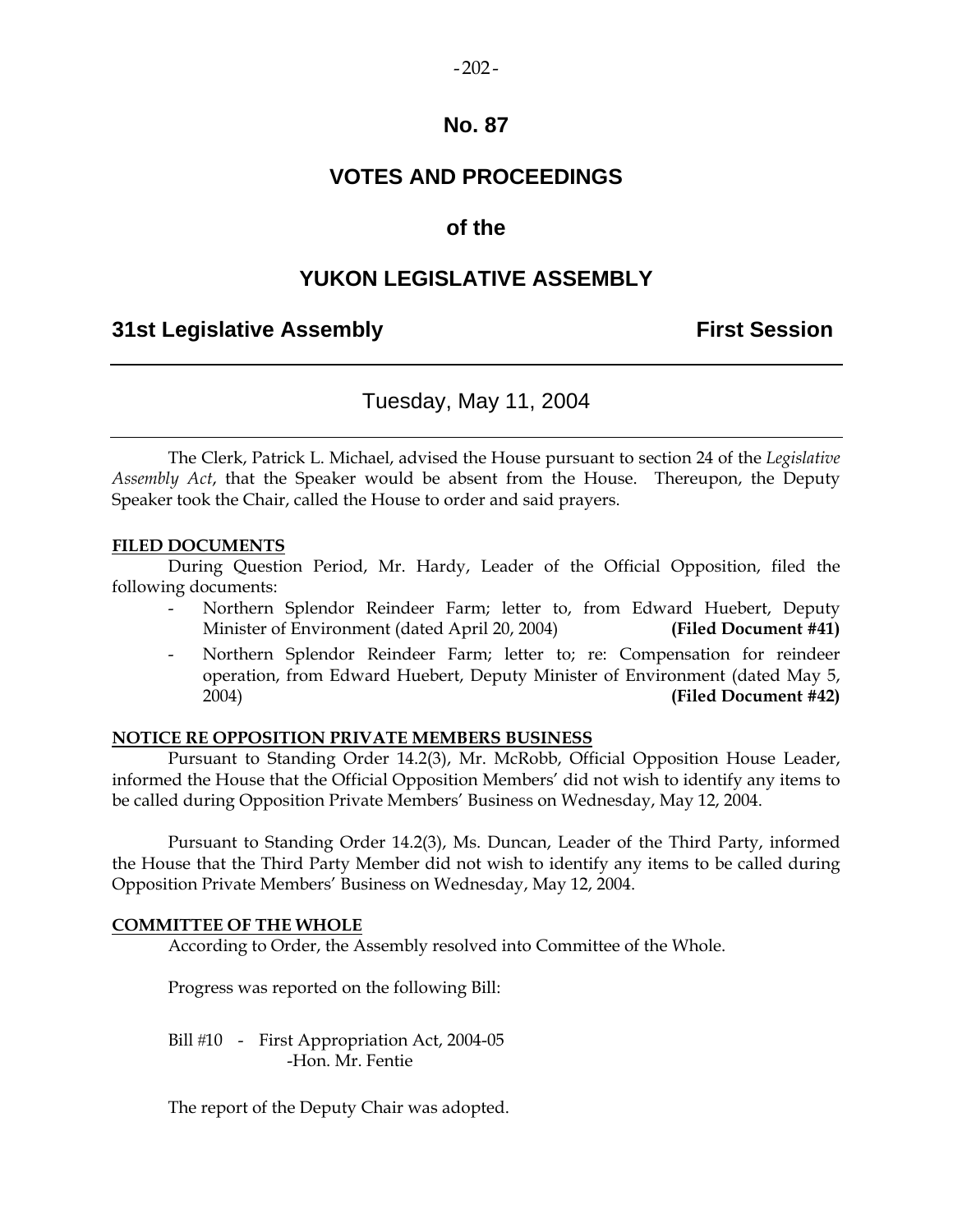### $-202-$

### **No. 87**

### **VOTES AND PROCEEDINGS**

### **of the**

### **YUKON LEGISLATIVE ASSEMBLY**

### **31st Legislative Assembly First Session**

### Tuesday, May 11, 2004

 The Clerk, Patrick L. Michael, advised the House pursuant to section 24 of the *Legislative Assembly Act*, that the Speaker would be absent from the House. Thereupon, the Deputy Speaker took the Chair, called the House to order and said prayers.

#### **FILED DOCUMENTS**

 During Question Period, Mr. Hardy, Leader of the Official Opposition, filed the following documents:

- Northern Splendor Reindeer Farm; letter to, from Edward Huebert, Deputy Minister of Environment (dated April 20, 2004) **(Filed Document #41)**
- Northern Splendor Reindeer Farm; letter to; re: Compensation for reindeer operation, from Edward Huebert, Deputy Minister of Environment (dated May 5, 2004) **(Filed Document #42)**

#### **NOTICE RE OPPOSITION PRIVATE MEMBERS BUSINESS**

 Pursuant to Standing Order 14.2(3), Mr. McRobb, Official Opposition House Leader, informed the House that the Official Opposition Members' did not wish to identify any items to be called during Opposition Private Members' Business on Wednesday, May 12, 2004.

 Pursuant to Standing Order 14.2(3), Ms. Duncan, Leader of the Third Party, informed the House that the Third Party Member did not wish to identify any items to be called during Opposition Private Members' Business on Wednesday, May 12, 2004.

#### **COMMITTEE OF THE WHOLE**

According to Order, the Assembly resolved into Committee of the Whole.

Progress was reported on the following Bill:

Bill #10 - First Appropriation Act, 2004-05 -Hon. Mr. Fentie

The report of the Deputy Chair was adopted.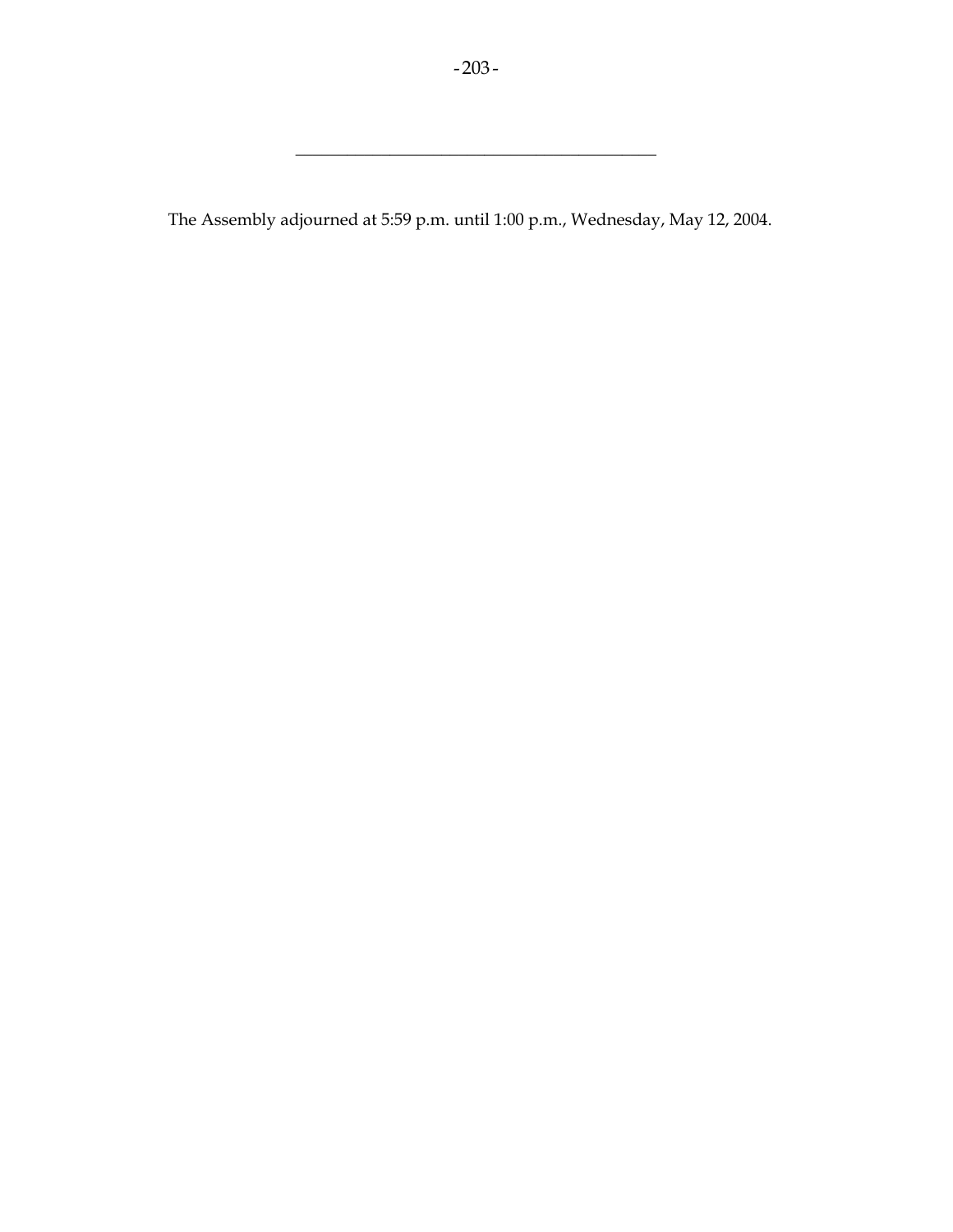\_\_\_\_\_\_\_\_\_\_\_\_\_\_\_\_\_\_\_\_\_\_\_\_\_\_\_\_\_\_\_\_\_\_\_\_\_\_\_\_\_\_

The Assembly adjourned at 5:59 p.m. until 1:00 p.m., Wednesday, May 12, 2004.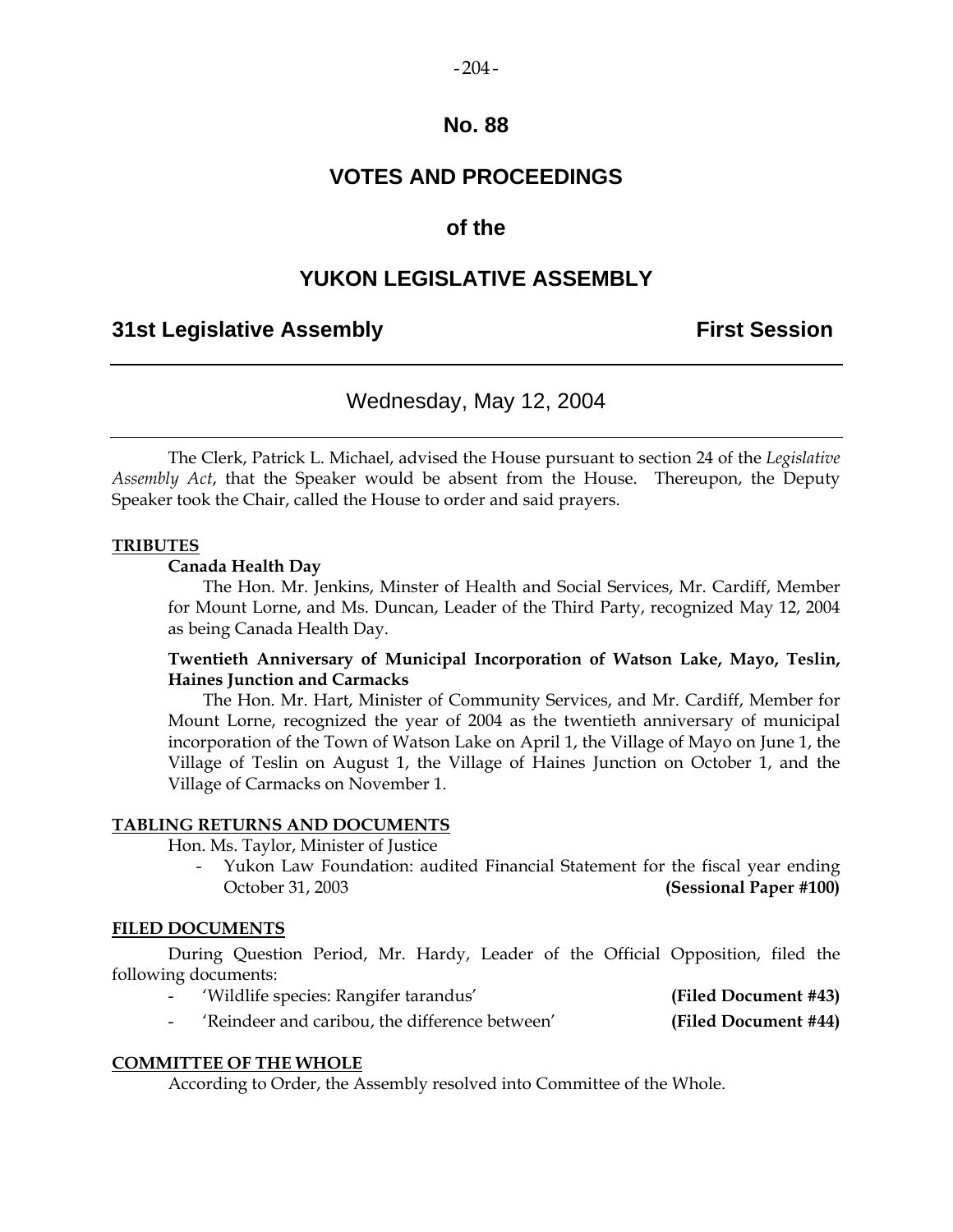#### $-204-$

### **No. 88**

# **VOTES AND PROCEEDINGS**

### **of the**

### **YUKON LEGISLATIVE ASSEMBLY**

### **31st Legislative Assembly First Session**

### Wednesday, May 12, 2004

 The Clerk, Patrick L. Michael, advised the House pursuant to section 24 of the *Legislative Assembly Act*, that the Speaker would be absent from the House. Thereupon, the Deputy Speaker took the Chair, called the House to order and said prayers.

#### **TRIBUTES**

#### **Canada Health Day**

 The Hon. Mr. Jenkins, Minster of Health and Social Services, Mr. Cardiff, Member for Mount Lorne, and Ms. Duncan, Leader of the Third Party, recognized May 12, 2004 as being Canada Health Day.

### **Twentieth Anniversary of Municipal Incorporation of Watson Lake, Mayo, Teslin, Haines Junction and Carmacks**

 The Hon. Mr. Hart, Minister of Community Services, and Mr. Cardiff, Member for Mount Lorne, recognized the year of 2004 as the twentieth anniversary of municipal incorporation of the Town of Watson Lake on April 1, the Village of Mayo on June 1, the Village of Teslin on August 1, the Village of Haines Junction on October 1, and the Village of Carmacks on November 1.

#### **TABLING RETURNS AND DOCUMENTS**

Hon. Ms. Taylor, Minister of Justice

Yukon Law Foundation: audited Financial Statement for the fiscal year ending October 31, 2003 **(Sessional Paper #100)** 

### **FILED DOCUMENTS**

 During Question Period, Mr. Hardy, Leader of the Official Opposition, filed the following documents:

- 'Wildlife species: Rangifer tarandus' **(Filed Document #43)**
- 'Reindeer and caribou, the difference between' **(Filed Document #44)**

#### **COMMITTEE OF THE WHOLE**

According to Order, the Assembly resolved into Committee of the Whole.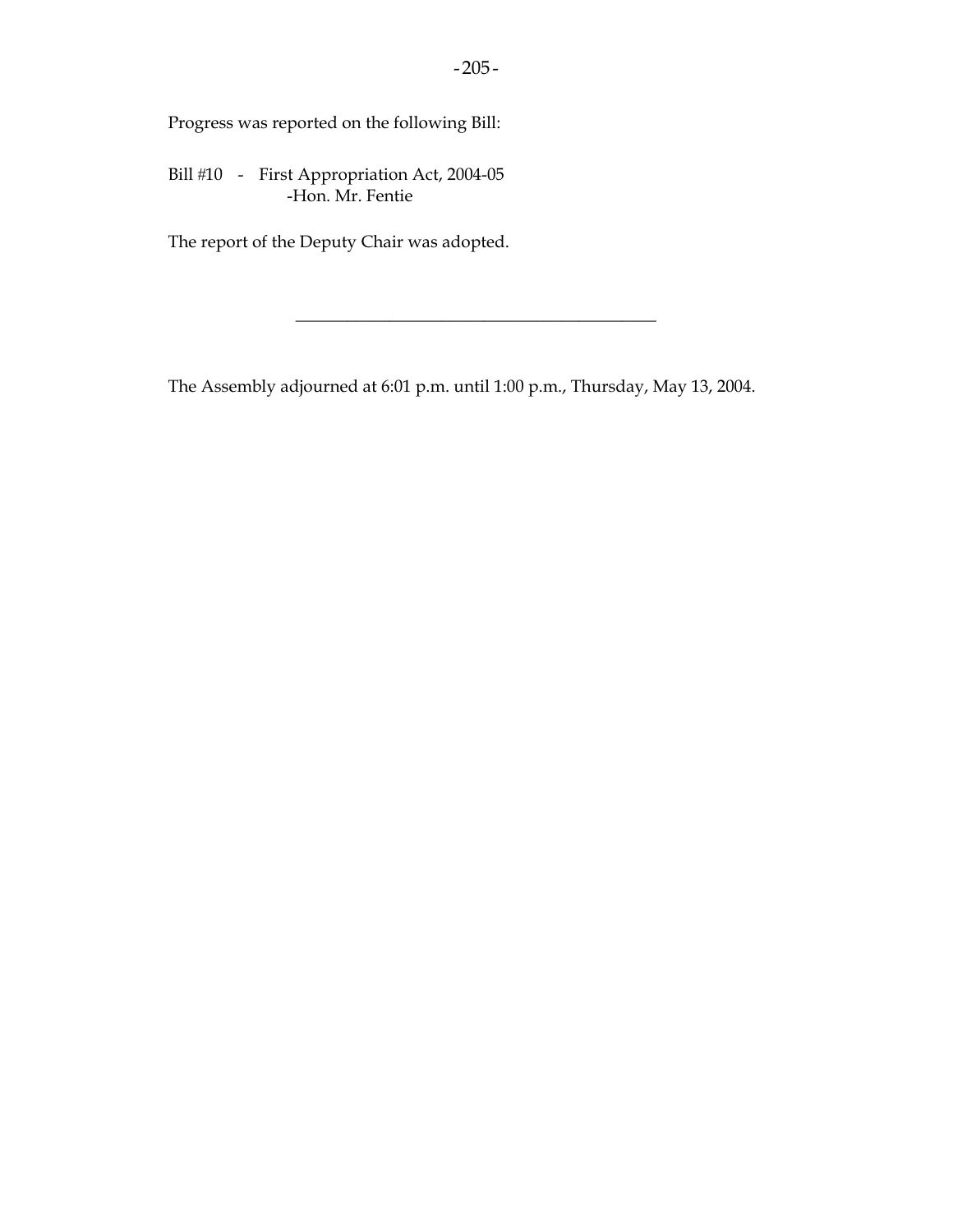Progress was reported on the following Bill:

Bill #10 - First Appropriation Act, 2004-05 -Hon. Mr. Fentie

The report of the Deputy Chair was adopted.

The Assembly adjourned at 6:01 p.m. until 1:00 p.m., Thursday, May 13, 2004.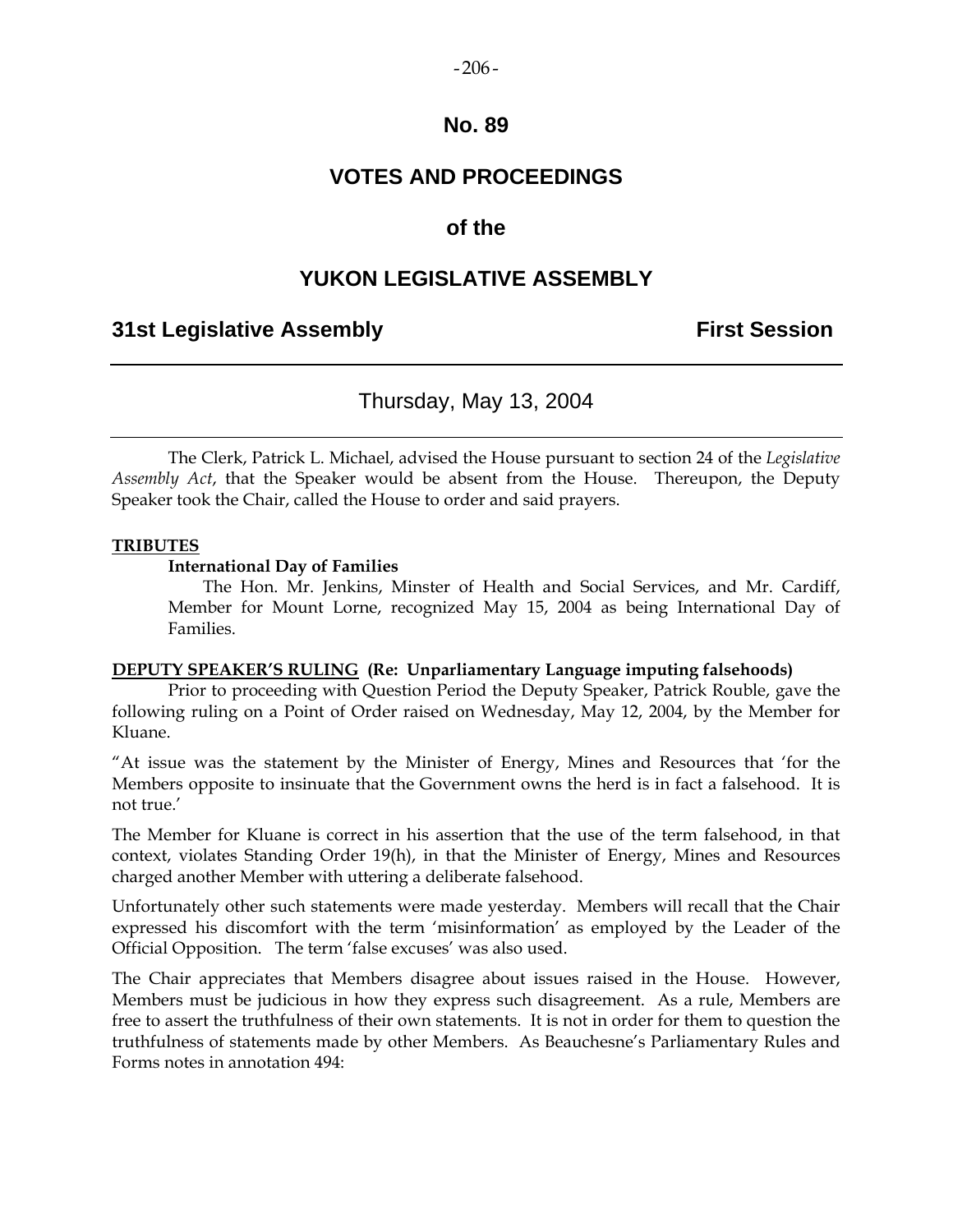#### $-206-$

### **No. 89**

# **VOTES AND PROCEEDINGS**

### **of the**

## **YUKON LEGISLATIVE ASSEMBLY**

### **31st Legislative Assembly First Session**

## Thursday, May 13, 2004

 The Clerk, Patrick L. Michael, advised the House pursuant to section 24 of the *Legislative Assembly Act*, that the Speaker would be absent from the House. Thereupon, the Deputy Speaker took the Chair, called the House to order and said prayers.

#### **TRIBUTES**

#### **International Day of Families**

 The Hon. Mr. Jenkins, Minster of Health and Social Services, and Mr. Cardiff, Member for Mount Lorne, recognized May 15, 2004 as being International Day of Families.

#### **DEPUTY SPEAKER'S RULING (Re: Unparliamentary Language imputing falsehoods)**

 Prior to proceeding with Question Period the Deputy Speaker, Patrick Rouble, gave the following ruling on a Point of Order raised on Wednesday, May 12, 2004, by the Member for Kluane.

"At issue was the statement by the Minister of Energy, Mines and Resources that 'for the Members opposite to insinuate that the Government owns the herd is in fact a falsehood. It is not true.'

The Member for Kluane is correct in his assertion that the use of the term falsehood, in that context, violates Standing Order 19(h), in that the Minister of Energy, Mines and Resources charged another Member with uttering a deliberate falsehood.

Unfortunately other such statements were made yesterday. Members will recall that the Chair expressed his discomfort with the term 'misinformation' as employed by the Leader of the Official Opposition. The term 'false excuses' was also used.

The Chair appreciates that Members disagree about issues raised in the House. However, Members must be judicious in how they express such disagreement. As a rule, Members are free to assert the truthfulness of their own statements. It is not in order for them to question the truthfulness of statements made by other Members. As Beauchesne's Parliamentary Rules and Forms notes in annotation 494: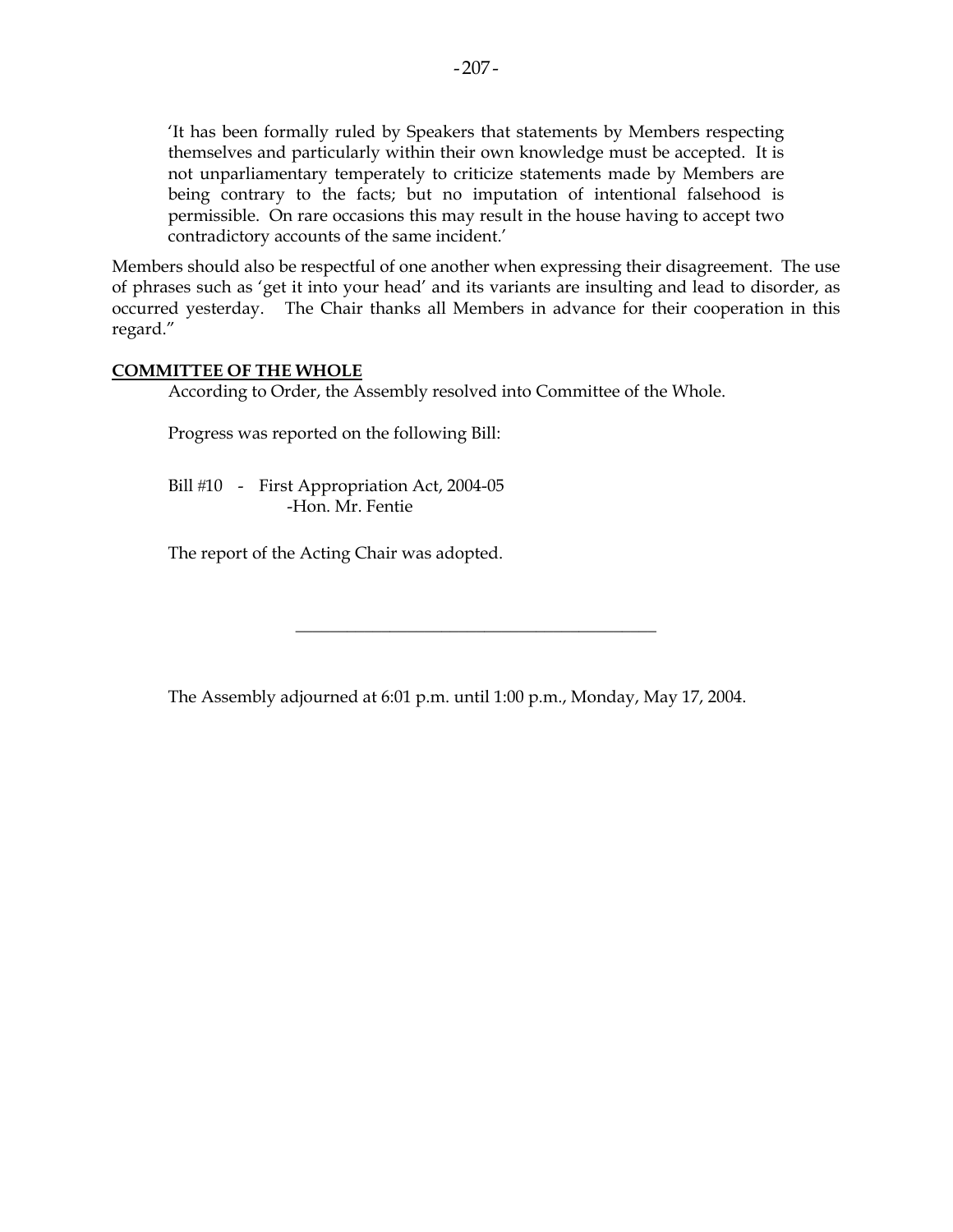'It has been formally ruled by Speakers that statements by Members respecting themselves and particularly within their own knowledge must be accepted. It is not unparliamentary temperately to criticize statements made by Members are being contrary to the facts; but no imputation of intentional falsehood is permissible. On rare occasions this may result in the house having to accept two contradictory accounts of the same incident.'

Members should also be respectful of one another when expressing their disagreement. The use of phrases such as 'get it into your head' and its variants are insulting and lead to disorder, as occurred yesterday. The Chair thanks all Members in advance for their cooperation in this regard."

### **COMMITTEE OF THE WHOLE**

According to Order, the Assembly resolved into Committee of the Whole.

Progress was reported on the following Bill:

Bill #10 - First Appropriation Act, 2004-05 -Hon. Mr. Fentie

The report of the Acting Chair was adopted.

The Assembly adjourned at 6:01 p.m. until 1:00 p.m., Monday, May 17, 2004.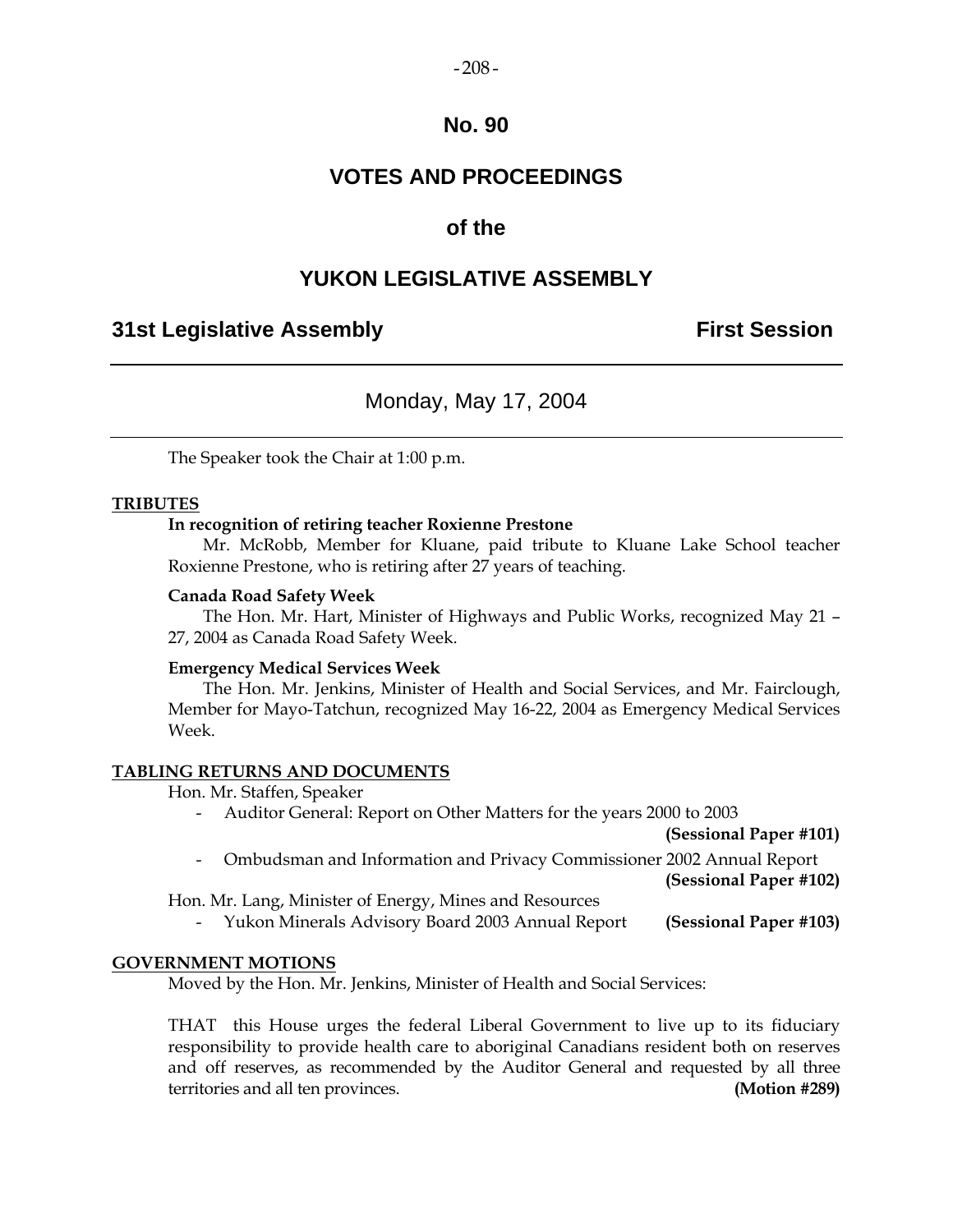#### $-208-$

### **No. 90**

# **VOTES AND PROCEEDINGS**

### **of the**

## **YUKON LEGISLATIVE ASSEMBLY**

### **31st Legislative Assembly First Session**

## Monday, May 17, 2004

The Speaker took the Chair at 1:00 p.m.

### **TRIBUTES**

#### **In recognition of retiring teacher Roxienne Prestone**

 Mr. McRobb, Member for Kluane, paid tribute to Kluane Lake School teacher Roxienne Prestone, who is retiring after 27 years of teaching.

#### **Canada Road Safety Week**

 The Hon. Mr. Hart, Minister of Highways and Public Works, recognized May 21 – 27, 2004 as Canada Road Safety Week.

#### **Emergency Medical Services Week**

 The Hon. Mr. Jenkins, Minister of Health and Social Services, and Mr. Fairclough, Member for Mayo-Tatchun, recognized May 16-22, 2004 as Emergency Medical Services Week.

#### **TABLING RETURNS AND DOCUMENTS**

Hon. Mr. Staffen, Speaker

- Auditor General: Report on Other Matters for the years 2000 to 2003

 **(Sessional Paper #101)** 

- Ombudsman and Information and Privacy Commissioner 2002 Annual Report

**(Sessional Paper #102)**

Hon. Mr. Lang, Minister of Energy, Mines and Resources

- Yukon Minerals Advisory Board 2003 Annual Report **(Sessional Paper #103)**

#### **GOVERNMENT MOTIONS**

Moved by the Hon. Mr. Jenkins, Minister of Health and Social Services:

 THAT this House urges the federal Liberal Government to live up to its fiduciary responsibility to provide health care to aboriginal Canadians resident both on reserves and off reserves, as recommended by the Auditor General and requested by all three territories and all ten provinces. **(Motion #289)**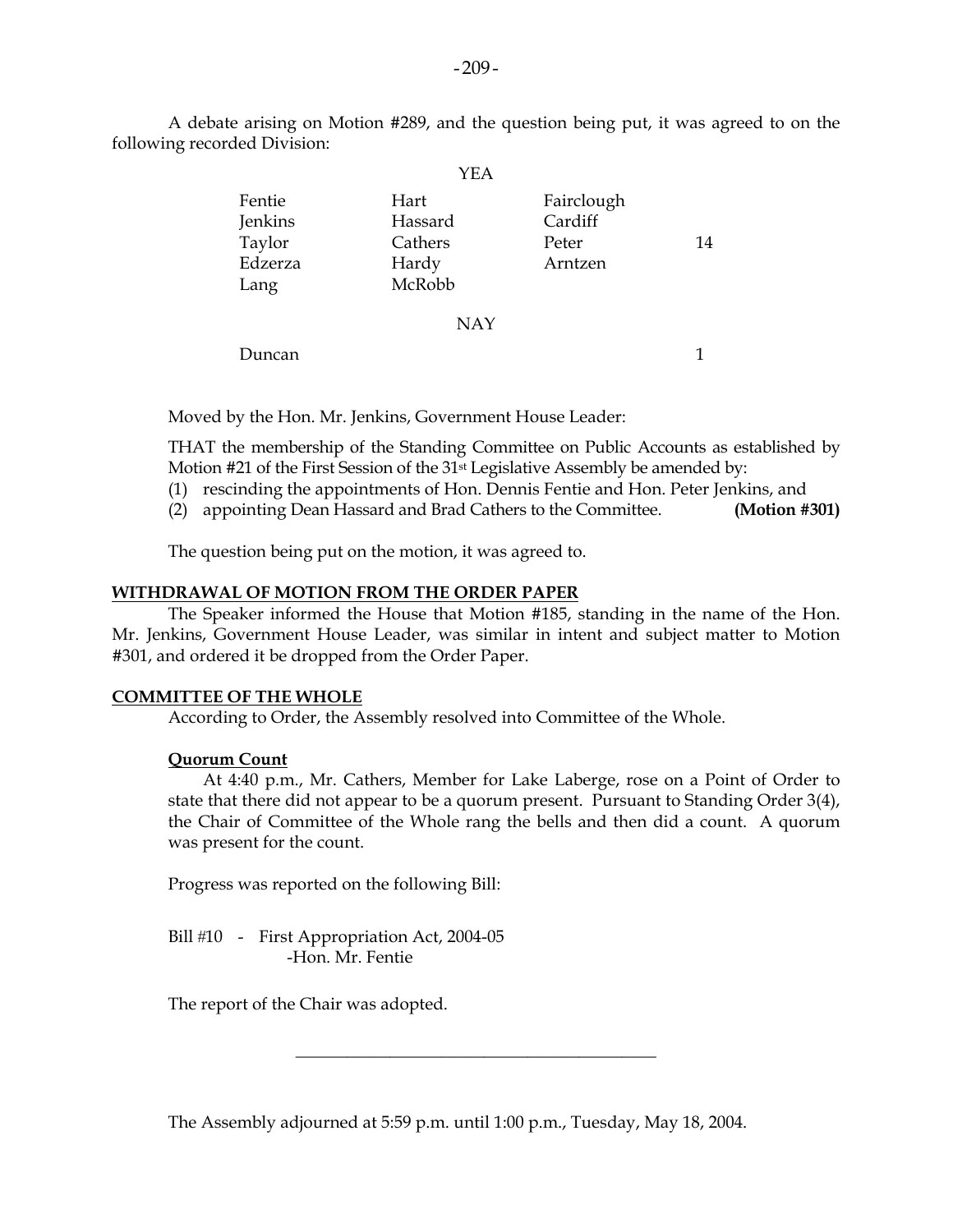A debate arising on Motion #289, and the question being put, it was agreed to on the following recorded Division:

 $\sim$ 

| 14 |
|----|
|    |
|    |
|    |
|    |

Duncan 1

Moved by the Hon. Mr. Jenkins, Government House Leader:

 THAT the membership of the Standing Committee on Public Accounts as established by Motion #21 of the First Session of the 31<sup>st</sup> Legislative Assembly be amended by:

- (1) rescinding the appointments of Hon. Dennis Fentie and Hon. Peter Jenkins, and
- (2) appointing Dean Hassard and Brad Cathers to the Committee. **(Motion #301)**

The question being put on the motion, it was agreed to.

#### **WITHDRAWAL OF MOTION FROM THE ORDER PAPER**

 The Speaker informed the House that Motion #185, standing in the name of the Hon. Mr. Jenkins, Government House Leader, was similar in intent and subject matter to Motion #301, and ordered it be dropped from the Order Paper.

### **COMMITTEE OF THE WHOLE**

According to Order, the Assembly resolved into Committee of the Whole.

#### **Quorum Count**

 At 4:40 p.m., Mr. Cathers, Member for Lake Laberge, rose on a Point of Order to state that there did not appear to be a quorum present. Pursuant to Standing Order 3(4), the Chair of Committee of the Whole rang the bells and then did a count. A quorum was present for the count.

Progress was reported on the following Bill:

Bill #10 - First Appropriation Act, 2004-05 -Hon. Mr. Fentie

The report of the Chair was adopted.

The Assembly adjourned at 5:59 p.m. until 1:00 p.m., Tuesday, May 18, 2004.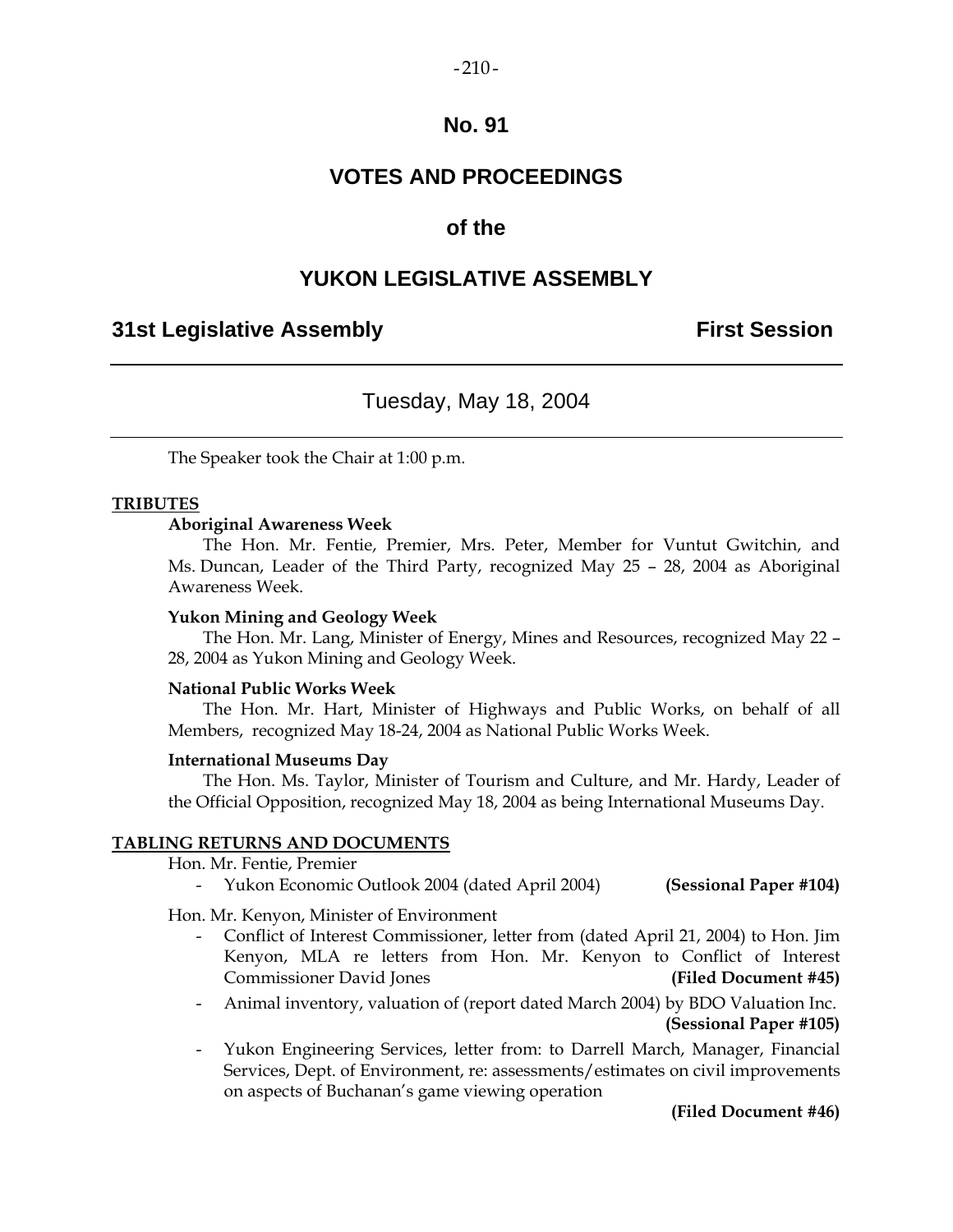### $-210-$

### **No. 91**

## **VOTES AND PROCEEDINGS**

### **of the**

### **YUKON LEGISLATIVE ASSEMBLY**

### **31st Legislative Assembly First Session**

## Tuesday, May 18, 2004

The Speaker took the Chair at 1:00 p.m.

### **TRIBUTES**

#### **Aboriginal Awareness Week**

 The Hon. Mr. Fentie, Premier, Mrs. Peter, Member for Vuntut Gwitchin, and Ms. Duncan, Leader of the Third Party, recognized May 25 – 28, 2004 as Aboriginal Awareness Week.

#### **Yukon Mining and Geology Week**

 The Hon. Mr. Lang, Minister of Energy, Mines and Resources, recognized May 22 – 28, 2004 as Yukon Mining and Geology Week.

#### **National Public Works Week**

 The Hon. Mr. Hart, Minister of Highways and Public Works, on behalf of all Members, recognized May 18-24, 2004 as National Public Works Week.

#### **International Museums Day**

 The Hon. Ms. Taylor, Minister of Tourism and Culture, and Mr. Hardy, Leader of the Official Opposition, recognized May 18, 2004 as being International Museums Day.

#### **TABLING RETURNS AND DOCUMENTS**

Hon. Mr. Fentie, Premier

- Yukon Economic Outlook 2004 (dated April 2004) **(Sessional Paper #104)** 

Hon. Mr. Kenyon, Minister of Environment

- Conflict of Interest Commissioner, letter from (dated April 21, 2004) to Hon. Jim Kenyon, MLA re letters from Hon. Mr. Kenyon to Conflict of Interest Commissioner David Jones **(Filed Document #45)**
- Animal inventory, valuation of (report dated March 2004) by BDO Valuation Inc. **(Sessional Paper #105)**
- Yukon Engineering Services, letter from: to Darrell March, Manager, Financial Services, Dept. of Environment, re: assessments/estimates on civil improvements on aspects of Buchanan's game viewing operation

**(Filed Document #46)**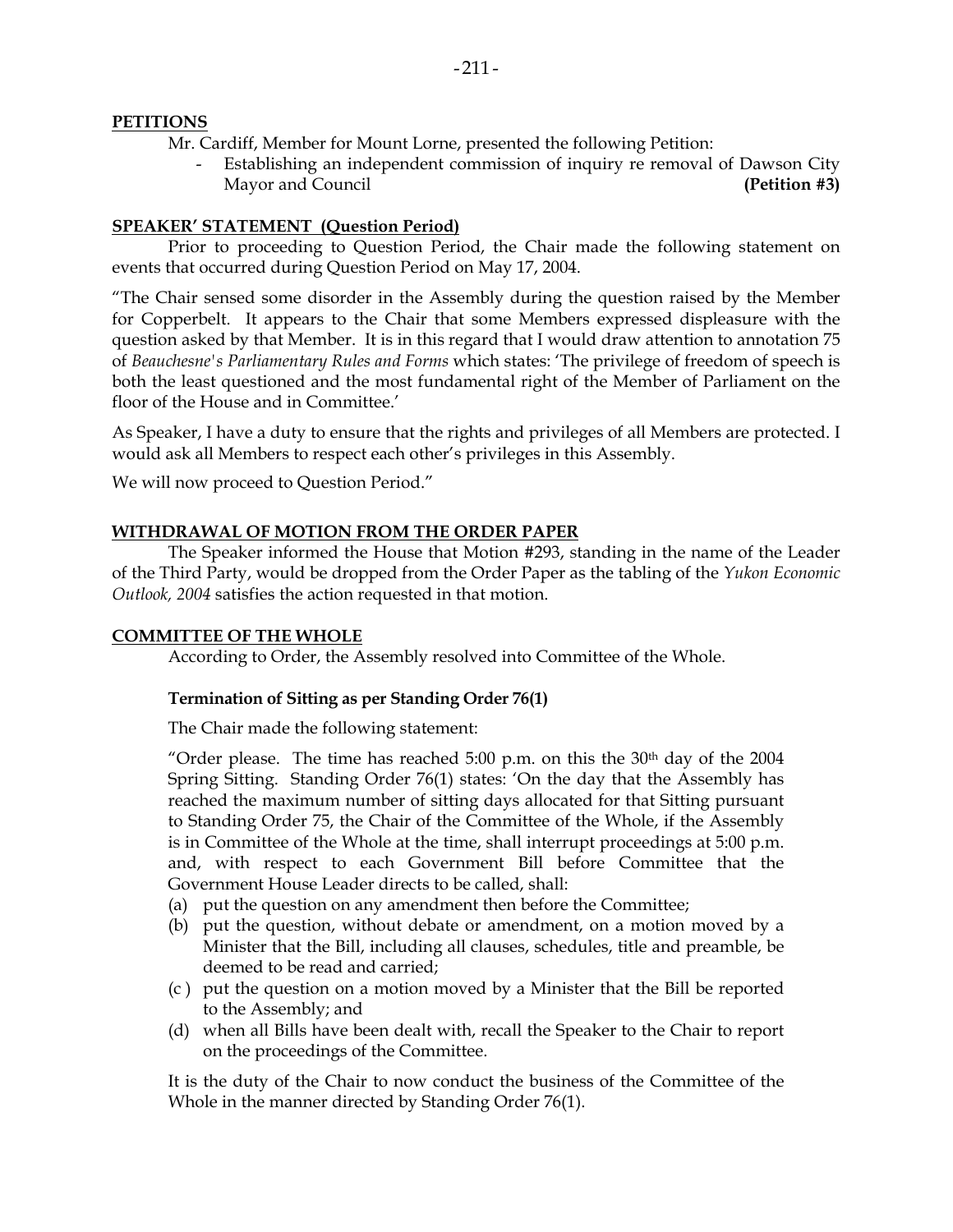### **PETITIONS**

Mr. Cardiff, Member for Mount Lorne, presented the following Petition:

 - Establishing an independent commission of inquiry re removal of Dawson City Mayor and Council **(Petition #3)**

### **SPEAKER' STATEMENT (Question Period)**

Prior to proceeding to Question Period, the Chair made the following statement on events that occurred during Question Period on May 17, 2004.

"The Chair sensed some disorder in the Assembly during the question raised by the Member for Copperbelt. It appears to the Chair that some Members expressed displeasure with the question asked by that Member. It is in this regard that I would draw attention to annotation 75 of *Beauchesne's Parliamentary Rules and Forms* which states: 'The privilege of freedom of speech is both the least questioned and the most fundamental right of the Member of Parliament on the floor of the House and in Committee.'

As Speaker, I have a duty to ensure that the rights and privileges of all Members are protected. I would ask all Members to respect each other's privileges in this Assembly.

We will now proceed to Question Period."

### **WITHDRAWAL OF MOTION FROM THE ORDER PAPER**

 The Speaker informed the House that Motion #293, standing in the name of the Leader of the Third Party, would be dropped from the Order Paper as the tabling of the *Yukon Economic Outlook, 2004* satisfies the action requested in that motion.

### **COMMITTEE OF THE WHOLE**

According to Order, the Assembly resolved into Committee of the Whole.

### **Termination of Sitting as per Standing Order 76(1)**

The Chair made the following statement:

"Order please. The time has reached 5:00 p.m. on this the  $30<sup>th</sup>$  day of the  $2004$ Spring Sitting. Standing Order 76(1) states: 'On the day that the Assembly has reached the maximum number of sitting days allocated for that Sitting pursuant to Standing Order 75, the Chair of the Committee of the Whole, if the Assembly is in Committee of the Whole at the time, shall interrupt proceedings at 5:00 p.m. and, with respect to each Government Bill before Committee that the Government House Leader directs to be called, shall:

- (a) put the question on any amendment then before the Committee;
- (b) put the question, without debate or amendment, on a motion moved by a Minister that the Bill, including all clauses, schedules, title and preamble, be deemed to be read and carried;
- (c ) put the question on a motion moved by a Minister that the Bill be reported to the Assembly; and
- (d) when all Bills have been dealt with, recall the Speaker to the Chair to report on the proceedings of the Committee.

It is the duty of the Chair to now conduct the business of the Committee of the Whole in the manner directed by Standing Order 76(1).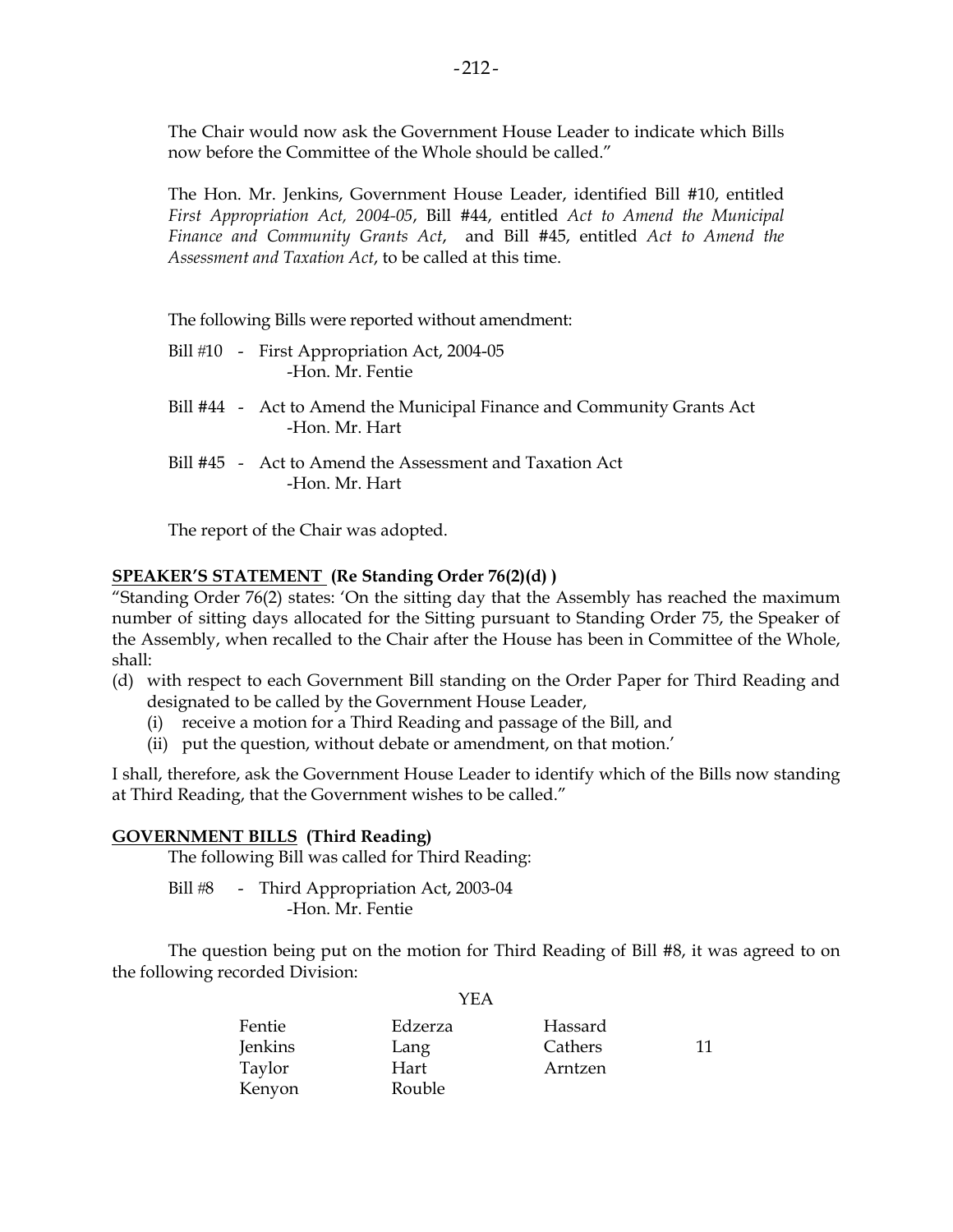The Chair would now ask the Government House Leader to indicate which Bills now before the Committee of the Whole should be called."

The Hon. Mr. Jenkins, Government House Leader, identified Bill #10, entitled *First Appropriation Act, 2004-05*, Bill #44, entitled *Act to Amend the Municipal Finance and Community Grants Act*, and Bill #45, entitled *Act to Amend the Assessment and Taxation Act*, to be called at this time.

The following Bills were reported without amendment:

- Bill #10 First Appropriation Act, 2004-05 -Hon. Mr. Fentie
- Bill #44 Act to Amend the Municipal Finance and Community Grants Act -Hon. Mr. Hart
- Bill #45 Act to Amend the Assessment and Taxation Act -Hon. Mr. Hart

The report of the Chair was adopted.

### **SPEAKER'S STATEMENT (Re Standing Order 76(2)(d) )**

"Standing Order 76(2) states: 'On the sitting day that the Assembly has reached the maximum number of sitting days allocated for the Sitting pursuant to Standing Order 75, the Speaker of the Assembly, when recalled to the Chair after the House has been in Committee of the Whole, shall:

- (d) with respect to each Government Bill standing on the Order Paper for Third Reading and designated to be called by the Government House Leader,
	- (i) receive a motion for a Third Reading and passage of the Bill, and
	- (ii) put the question, without debate or amendment, on that motion.'

I shall, therefore, ask the Government House Leader to identify which of the Bills now standing at Third Reading, that the Government wishes to be called."

### **GOVERNMENT BILLS (Third Reading)**

The following Bill was called for Third Reading:

Bill #8 - Third Appropriation Act, 2003-04 -Hon. Mr. Fentie

 The question being put on the motion for Third Reading of Bill #8, it was agreed to on the following recorded Division:

YEA

| Fentie         | Edzerza | Hassard |    |
|----------------|---------|---------|----|
| <b>Jenkins</b> | Lang    | Cathers | 11 |
| Taylor         | Hart    | Arntzen |    |
| Kenyon         | Rouble  |         |    |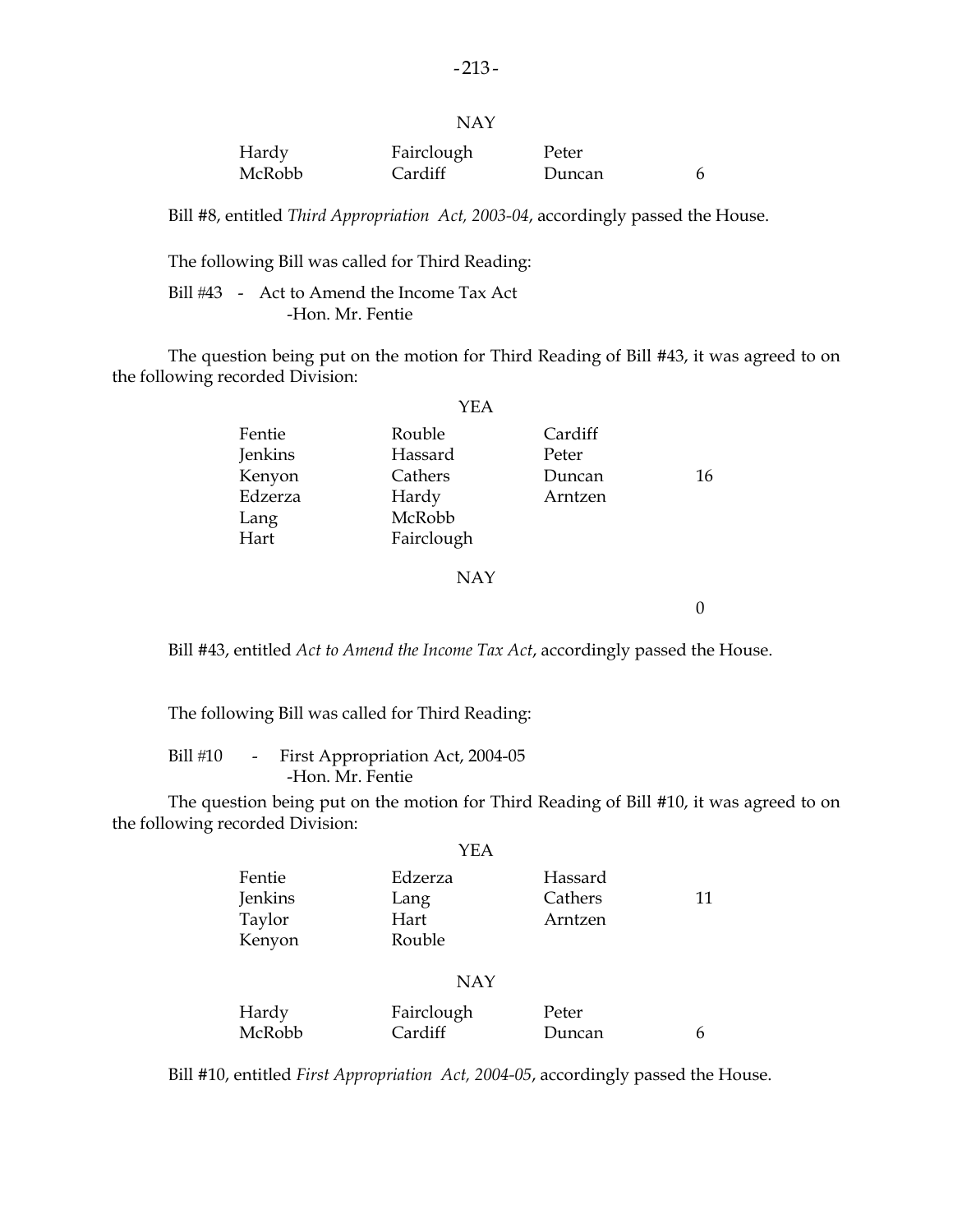| × |  |
|---|--|
|   |  |

| Hardy  | Fairclough | Peter  |  |
|--------|------------|--------|--|
| McRobb | Cardiff    | Duncan |  |

Bill #8, entitled *Third Appropriation Act, 2003-04*, accordingly passed the House.

The following Bill was called for Third Reading:

Bill #43 - Act to Amend the Income Tax Act -Hon. Mr. Fentie

 The question being put on the motion for Third Reading of Bill #43, it was agreed to on the following recorded Division:

|         | YEA        |         |    |
|---------|------------|---------|----|
| Fentie  | Rouble     | Cardiff |    |
| Jenkins | Hassard    | Peter   |    |
| Kenyon  | Cathers    | Duncan  | 16 |
| Edzerza | Hardy      | Arntzen |    |
| Lang    | McRobb     |         |    |
| Hart    | Fairclough |         |    |
|         |            |         |    |

#### NAY

 $\overline{0}$ 

Bill #43, entitled *Act to Amend the Income Tax Act*, accordingly passed the House.

The following Bill was called for Third Reading:

Bill #10 - First Appropriation Act, 2004-05 -Hon. Mr. Fentie

 The question being put on the motion for Third Reading of Bill #10, it was agreed to on the following recorded Division:

|         | YEA     |         |    |
|---------|---------|---------|----|
| Fentie  | Edzerza | Hassard |    |
| Jenkins | Lang    | Cathers | 11 |
| Taylor  | Hart    | Arntzen |    |
| Kenyon  | Rouble  |         |    |
|         |         |         |    |

#### NAY

| Hardy  | Fairclough | Peter  |  |
|--------|------------|--------|--|
| McRobb | Cardiff    | Duncan |  |

Bill #10, entitled *First Appropriation Act, 2004-05*, accordingly passed the House.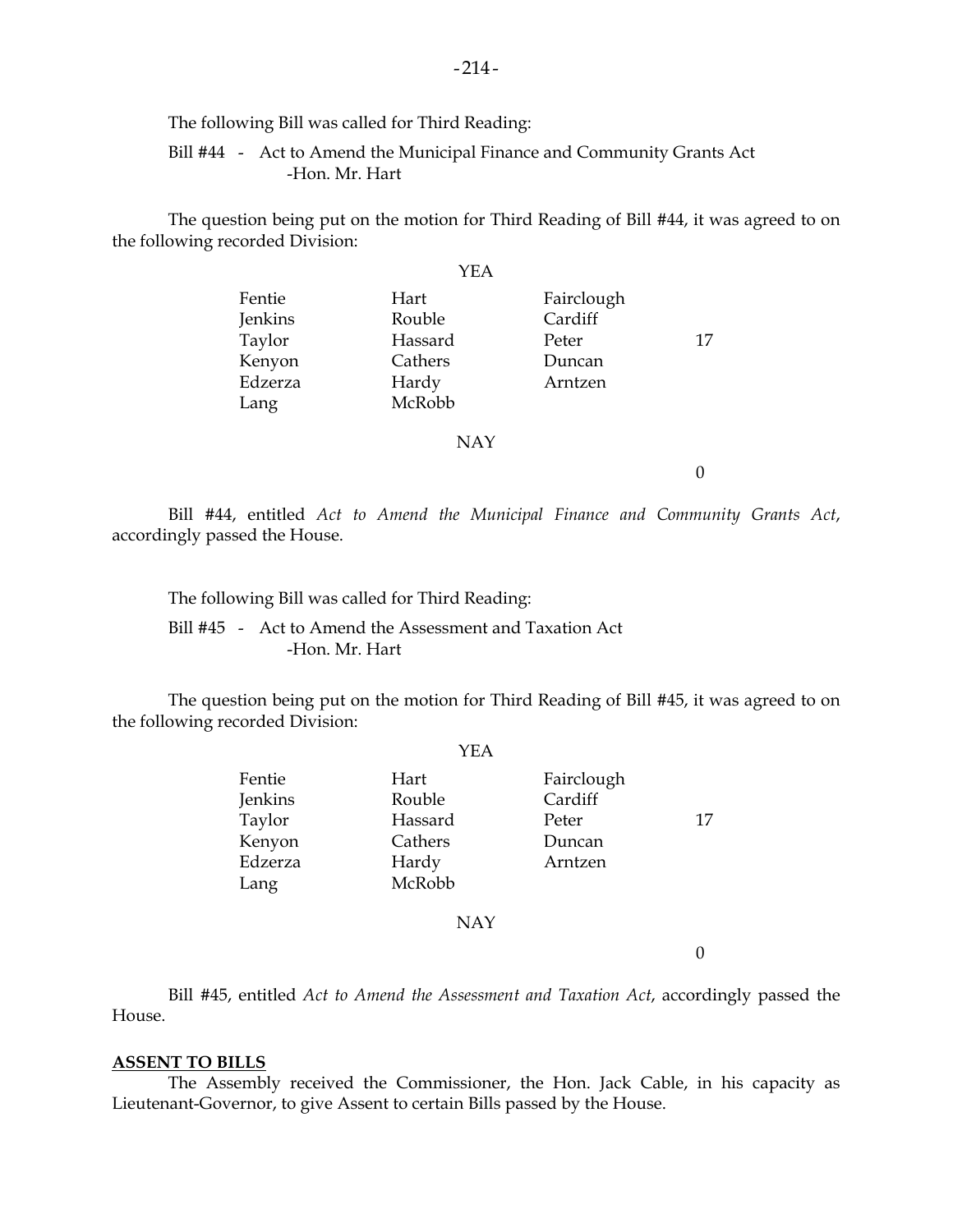The following Bill was called for Third Reading:

 Bill #44 - Act to Amend the Municipal Finance and Community Grants Act -Hon. Mr. Hart

 The question being put on the motion for Third Reading of Bill #44, it was agreed to on the following recorded Division:

|         | YEA     |            |    |
|---------|---------|------------|----|
| Fentie  | Hart    | Fairclough |    |
| Jenkins | Rouble  | Cardiff    |    |
| Taylor  | Hassard | Peter      | 17 |
| Kenyon  | Cathers | Duncan     |    |
| Edzerza | Hardy   | Arntzen    |    |
| Lang    | McRobb  |            |    |

#### NAY

0

 Bill #44, entitled *Act to Amend the Municipal Finance and Community Grants Act*, accordingly passed the House.

The following Bill was called for Third Reading:

 Bill #45 - Act to Amend the Assessment and Taxation Act -Hon. Mr. Hart

 The question being put on the motion for Third Reading of Bill #45, it was agreed to on the following recorded Division:

|         | YEA     |            |    |
|---------|---------|------------|----|
| Fentie  | Hart    | Fairclough |    |
| Jenkins | Rouble  | Cardiff    |    |
| Taylor  | Hassard | Peter      | 17 |
| Kenyon  | Cathers | Duncan     |    |
| Edzerza | Hardy   | Arntzen    |    |
| Lang    | McRobb  |            |    |
|         |         |            |    |

NAY

 $\Omega$ 

 Bill #45, entitled *Act to Amend the Assessment and Taxation Act*, accordingly passed the House.

#### **ASSENT TO BILLS**

 The Assembly received the Commissioner, the Hon. Jack Cable, in his capacity as Lieutenant-Governor, to give Assent to certain Bills passed by the House.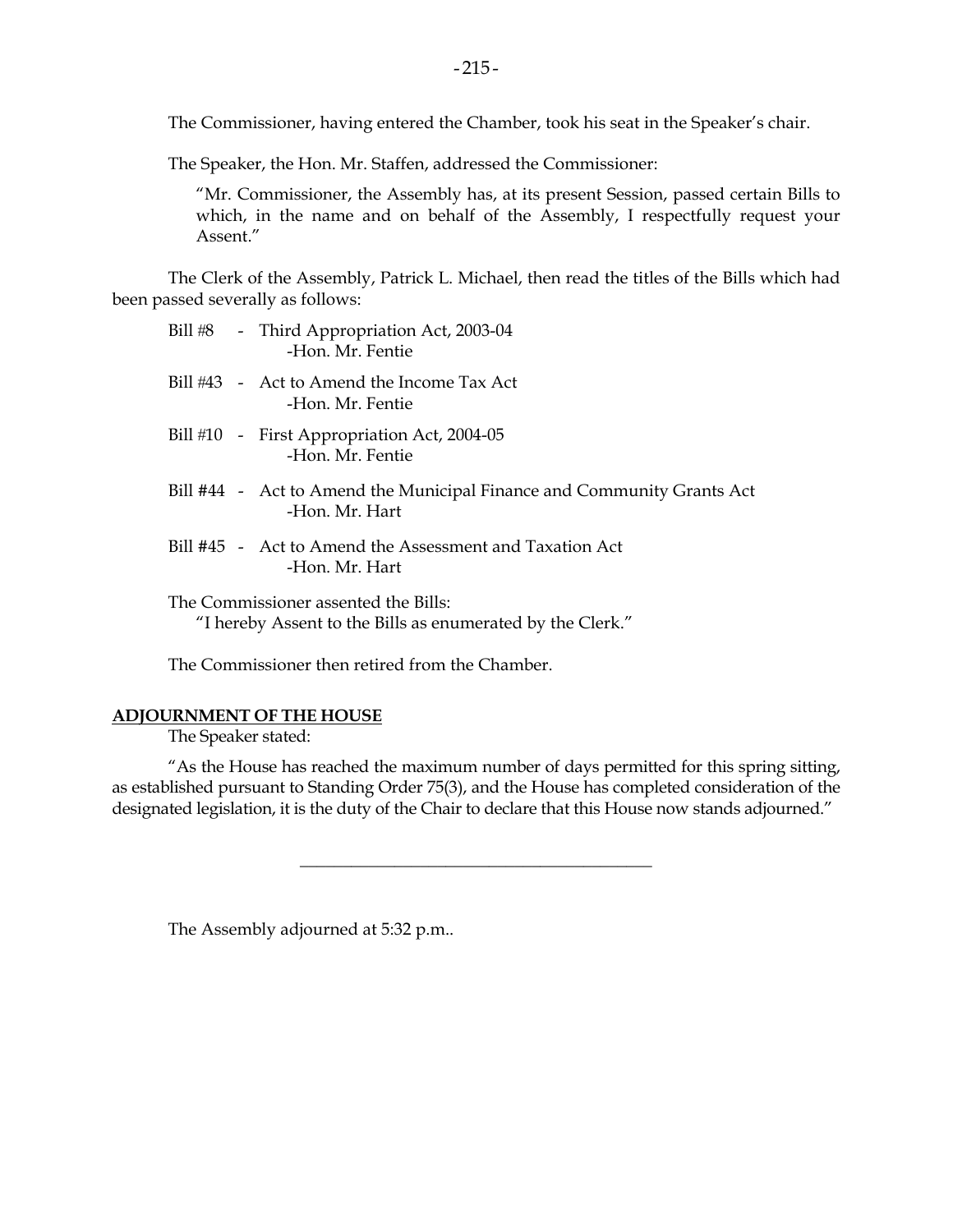The Commissioner, having entered the Chamber, took his seat in the Speaker's chair.

The Speaker, the Hon. Mr. Staffen, addressed the Commissioner:

 "Mr. Commissioner, the Assembly has, at its present Session, passed certain Bills to which, in the name and on behalf of the Assembly, I respectfully request your Assent"

 The Clerk of the Assembly, Patrick L. Michael, then read the titles of the Bills which had been passed severally as follows:

| Bill #8 | - Third Appropriation Act, 2003-04 |
|---------|------------------------------------|
|         | -Hon. Mr. Fentie                   |

- Bill #43 Act to Amend the Income Tax Act -Hon. Mr. Fentie
- Bill #10 First Appropriation Act, 2004-05 -Hon. Mr. Fentie
- Bill #44 Act to Amend the Municipal Finance and Community Grants Act -Hon. Mr. Hart
- Bill #45 Act to Amend the Assessment and Taxation Act -Hon. Mr. Hart

 The Commissioner assented the Bills: "I hereby Assent to the Bills as enumerated by the Clerk."

The Commissioner then retired from the Chamber.

### **ADJOURNMENT OF THE HOUSE**

The Speaker stated:

 "As the House has reached the maximum number of days permitted for this spring sitting, as established pursuant to Standing Order 75(3), and the House has completed consideration of the designated legislation, it is the duty of the Chair to declare that this House now stands adjourned."

\_\_\_\_\_\_\_\_\_\_\_\_\_\_\_\_\_\_\_\_\_\_\_\_\_\_\_\_\_\_\_\_\_\_\_\_\_\_\_\_\_

The Assembly adjourned at 5:32 p.m..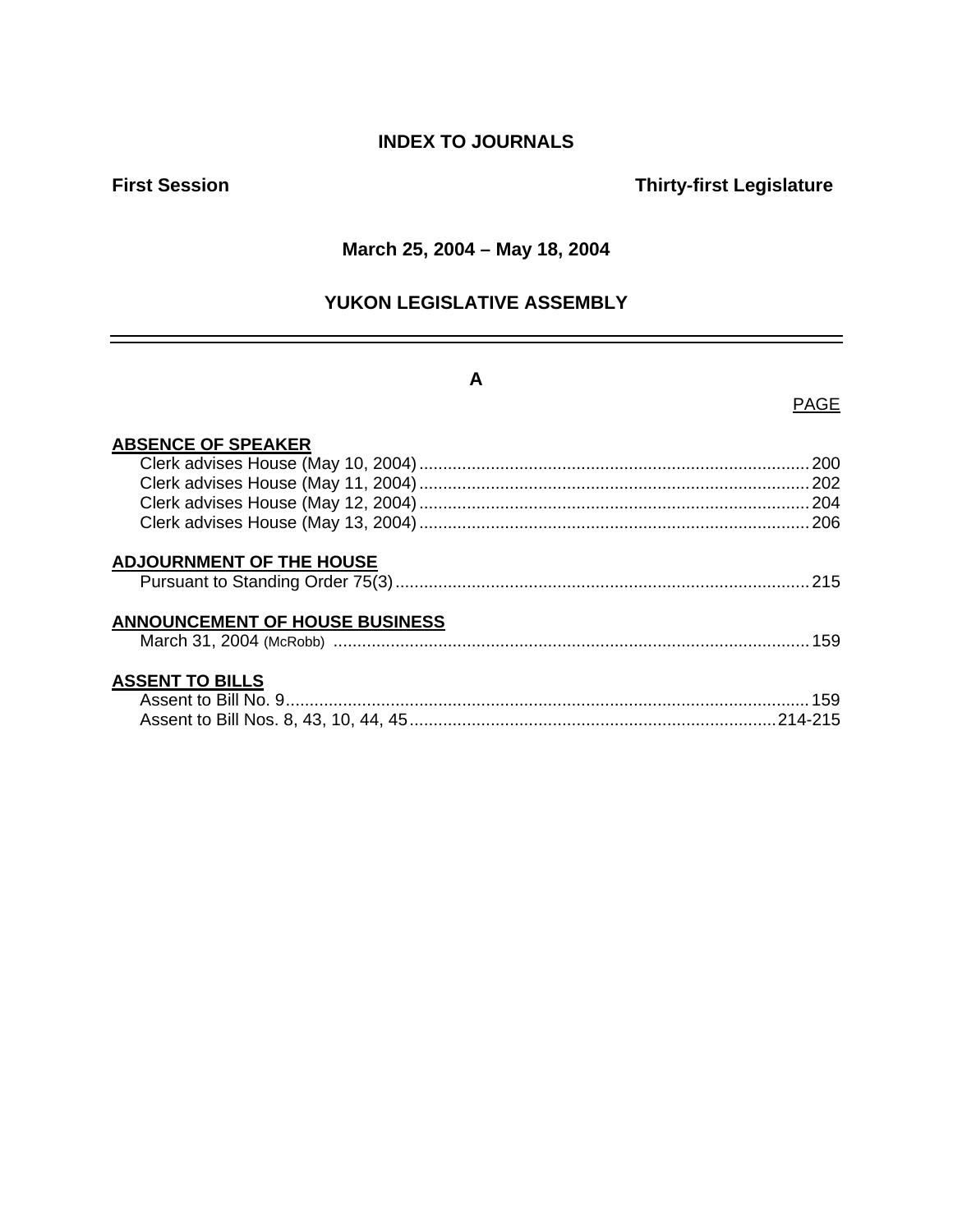# **INDEX TO JOURNALS**

# **First Session Contract Contract Contract Contract Contract Contract Contract Contract Contract Contract Contract Contract Contract Contract Contract Contract Contract Contract Contract Contract Contract Contract Contract**

### **March 25, 2004 – May 18, 2004**

# **YUKON LEGISLATIVE ASSEMBLY**

# **A**

### PAGE

| <b>ABSENCE OF SPEAKER</b>             |     |
|---------------------------------------|-----|
|                                       |     |
|                                       |     |
|                                       |     |
|                                       |     |
| <b>ADJOURNMENT OF THE HOUSE</b>       |     |
| <b>ANNOUNCEMENT OF HOUSE BUSINESS</b> | 159 |
| <b>ASSENT TO BILLS</b>                |     |
|                                       |     |
|                                       |     |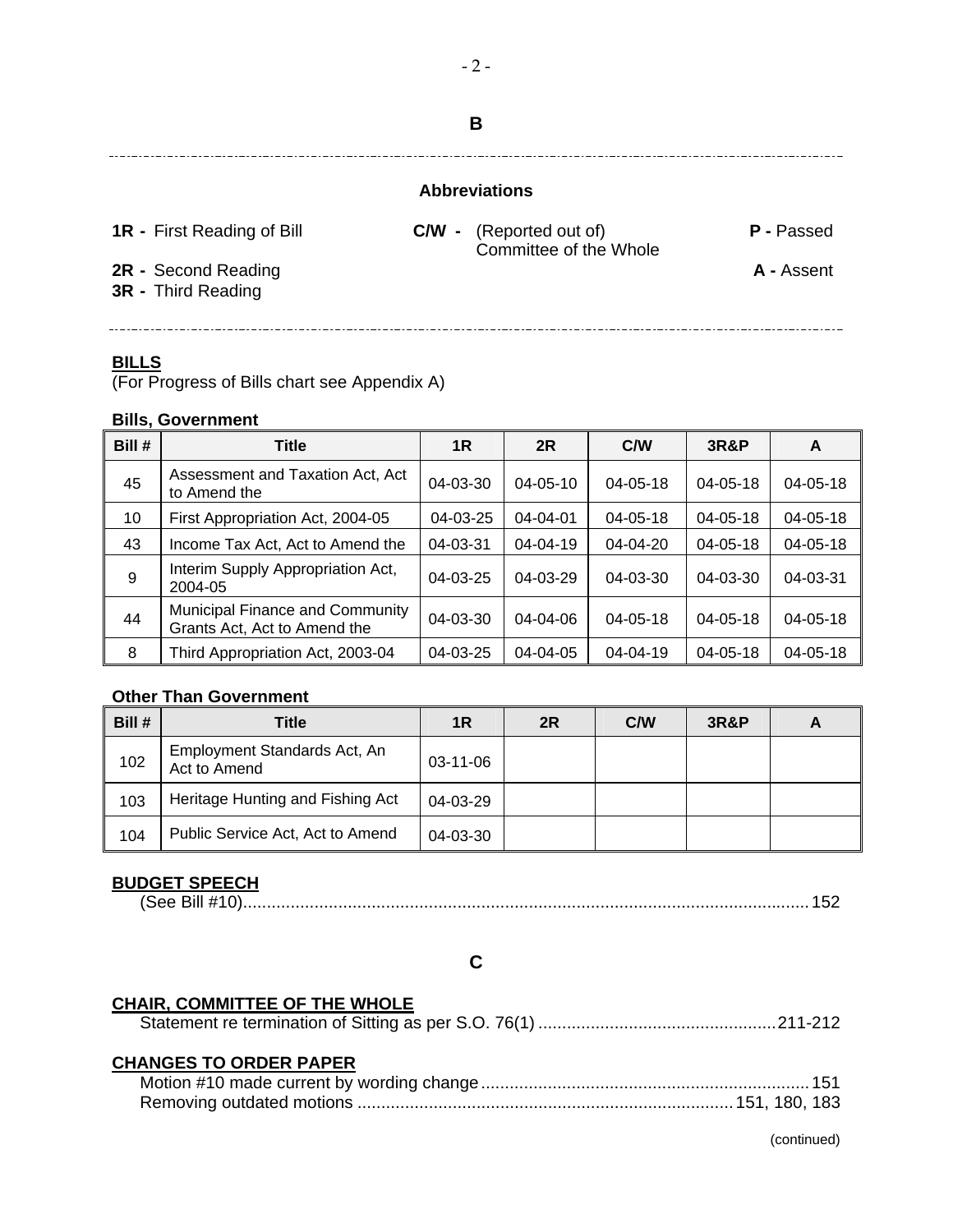### **Abbreviations**

**1R -** First Reading of Bill **C/W -** (Reported out of) **P -** Passed Committee of the Whole

**2R -** Second Reading **A -** Assent

**3R -** Third Reading

### **BILLS**

(For Progress of Bills chart see Appendix A)

### **Bills, Government**

| Bill # | <b>Title</b>                                                    | 1R             | 2R             | C/W            | <b>3R&amp;P</b> | A              |
|--------|-----------------------------------------------------------------|----------------|----------------|----------------|-----------------|----------------|
| 45     | Assessment and Taxation Act, Act<br>to Amend the                | 04-03-30       | $04 - 05 - 10$ | $04 - 05 - 18$ | $04 - 05 - 18$  | $04 - 05 - 18$ |
| 10     | First Appropriation Act, 2004-05                                | 04-03-25       | $04 - 04 - 01$ | $04 - 05 - 18$ | $04 - 05 - 18$  | $04 - 05 - 18$ |
| 43     | Income Tax Act, Act to Amend the                                | 04-03-31       | $04 - 04 - 19$ | $04 - 04 - 20$ | $04 - 05 - 18$  | $04 - 05 - 18$ |
| 9      | Interim Supply Appropriation Act,<br>2004-05                    | 04-03-25       | 04-03-29       | 04-03-30       | $04 - 03 - 30$  | $04 - 03 - 31$ |
| 44     | Municipal Finance and Community<br>Grants Act, Act to Amend the | $04 - 03 - 30$ | $04 - 04 - 06$ | $04 - 05 - 18$ | $04 - 05 - 18$  | $04 - 05 - 18$ |
| 8      | Third Appropriation Act, 2003-04                                | 04-03-25       | 04-04-05       | 04-04-19       | $04 - 05 - 18$  | $04 - 05 - 18$ |

### **Other Than Government**

| Bill # | Title                                        | 1R       | 2R | C/W | <b>3R&amp;P</b> | A |
|--------|----------------------------------------------|----------|----|-----|-----------------|---|
| 102    | Employment Standards Act, An<br>Act to Amend | 03-11-06 |    |     |                 |   |
| 103    | Heritage Hunting and Fishing Act             | 04-03-29 |    |     |                 |   |
| 104    | Public Service Act, Act to Amend             | 04-03-30 |    |     |                 |   |

### **BUDGET SPEECH**

(See Bill #10).......................................................................................................................152

### **C**

### **CHAIR, COMMITTEE OF THE WHOLE**

|--|--|--|

### **CHANGES TO ORDER PAPER**

**B**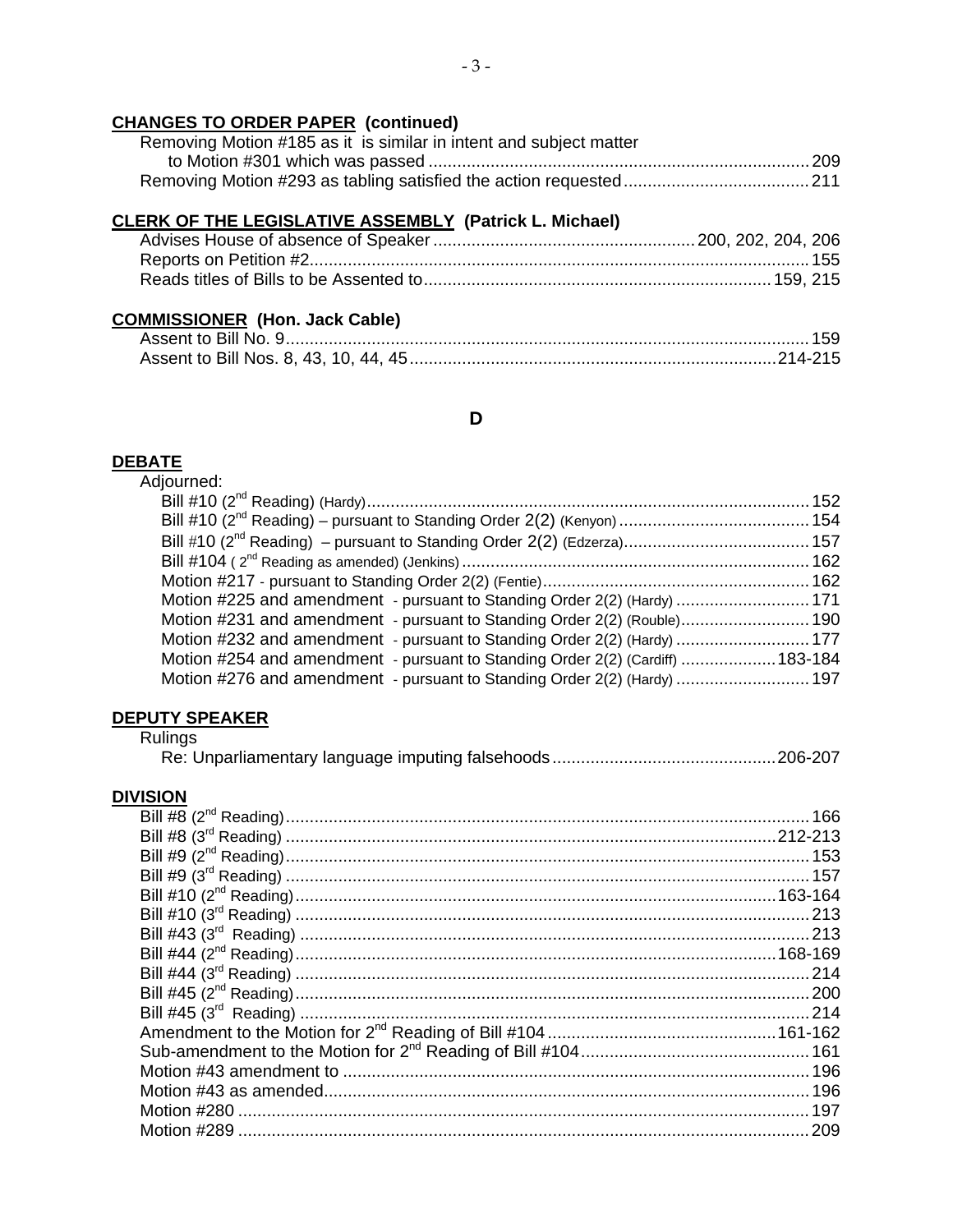# **CHANGES TO ORDER PAPER (continued)**

| Removing Motion #185 as it is similar in intent and subject matter |
|--------------------------------------------------------------------|
|                                                                    |
|                                                                    |

## **CLERK OF THE LEGISLATIVE ASSEMBLY (Patrick L. Michael)**

# **COMMISSIONER (Hon. Jack Cable)**

### **D**

#### **DEBATE**

| Adjourned:                                                                     |  |
|--------------------------------------------------------------------------------|--|
|                                                                                |  |
|                                                                                |  |
|                                                                                |  |
|                                                                                |  |
|                                                                                |  |
| Motion #225 and amendment - pursuant to Standing Order 2(2) (Hardy)  171       |  |
| Motion #231 and amendment - pursuant to Standing Order 2(2) (Rouble) 190       |  |
| Motion #232 and amendment - pursuant to Standing Order 2(2) (Hardy)  177       |  |
| Motion #254 and amendment - pursuant to Standing Order 2(2) (Cardiff)  183-184 |  |
| Motion #276 and amendment - pursuant to Standing Order 2(2) (Hardy)  197       |  |
|                                                                                |  |

### **DEPUTY SPEAKER**

Rulings

### **DIVISION**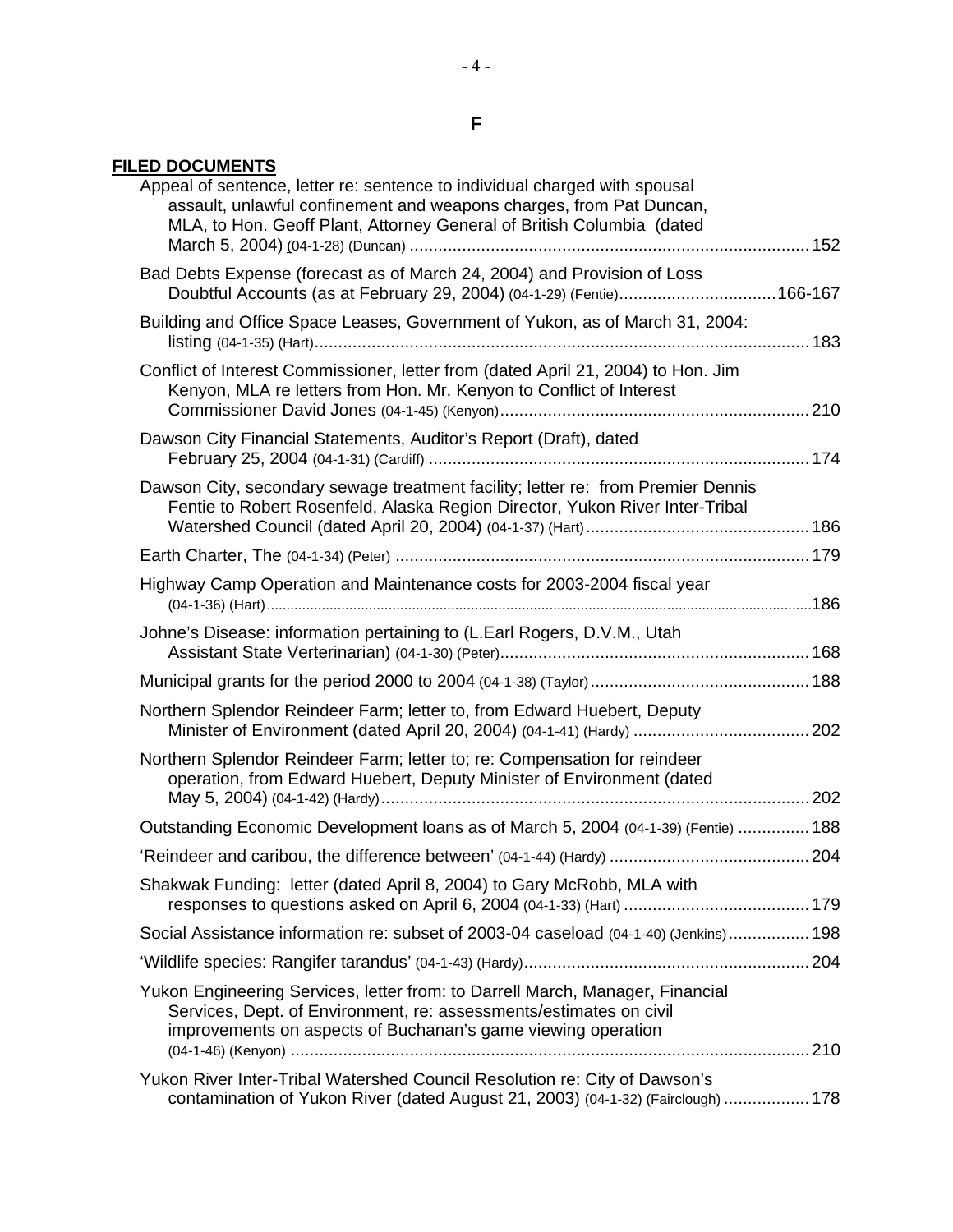# **FILED DOCUMENTS**

| Appeal of sentence, letter re: sentence to individual charged with spousal<br>assault, unlawful confinement and weapons charges, from Pat Duncan,<br>MLA, to Hon. Geoff Plant, Attorney General of British Columbia (dated |  |
|----------------------------------------------------------------------------------------------------------------------------------------------------------------------------------------------------------------------------|--|
| Bad Debts Expense (forecast as of March 24, 2004) and Provision of Loss<br>Doubtful Accounts (as at February 29, 2004) (04-1-29) (Fentie)166-167                                                                           |  |
| Building and Office Space Leases, Government of Yukon, as of March 31, 2004:                                                                                                                                               |  |
| Conflict of Interest Commissioner, letter from (dated April 21, 2004) to Hon. Jim<br>Kenyon, MLA re letters from Hon. Mr. Kenyon to Conflict of Interest                                                                   |  |
| Dawson City Financial Statements, Auditor's Report (Draft), dated                                                                                                                                                          |  |
| Dawson City, secondary sewage treatment facility; letter re: from Premier Dennis<br>Fentie to Robert Rosenfeld, Alaska Region Director, Yukon River Inter-Tribal                                                           |  |
|                                                                                                                                                                                                                            |  |
| Highway Camp Operation and Maintenance costs for 2003-2004 fiscal year                                                                                                                                                     |  |
| Johne's Disease: information pertaining to (L.Earl Rogers, D.V.M., Utah                                                                                                                                                    |  |
|                                                                                                                                                                                                                            |  |
| Northern Splendor Reindeer Farm; letter to, from Edward Huebert, Deputy<br>Minister of Environment (dated April 20, 2004) (04-1-41) (Hardy)  202                                                                           |  |
| Northern Splendor Reindeer Farm; letter to; re: Compensation for reindeer<br>operation, from Edward Huebert, Deputy Minister of Environment (dated                                                                         |  |
| Outstanding Economic Development loans as of March 5, 2004 (04-1-39) (Fentie)  188                                                                                                                                         |  |
|                                                                                                                                                                                                                            |  |
| Shakwak Funding: letter (dated April 8, 2004) to Gary McRobb, MLA with                                                                                                                                                     |  |
| Social Assistance information re: subset of 2003-04 caseload (04-1-40) (Jenkins) 198                                                                                                                                       |  |
|                                                                                                                                                                                                                            |  |
| Yukon Engineering Services, letter from: to Darrell March, Manager, Financial<br>Services, Dept. of Environment, re: assessments/estimates on civil<br>improvements on aspects of Buchanan's game viewing operation        |  |
| Yukon River Inter-Tribal Watershed Council Resolution re: City of Dawson's                                                                                                                                                 |  |
| contamination of Yukon River (dated August 21, 2003) (04-1-32) (Fairclough)  178                                                                                                                                           |  |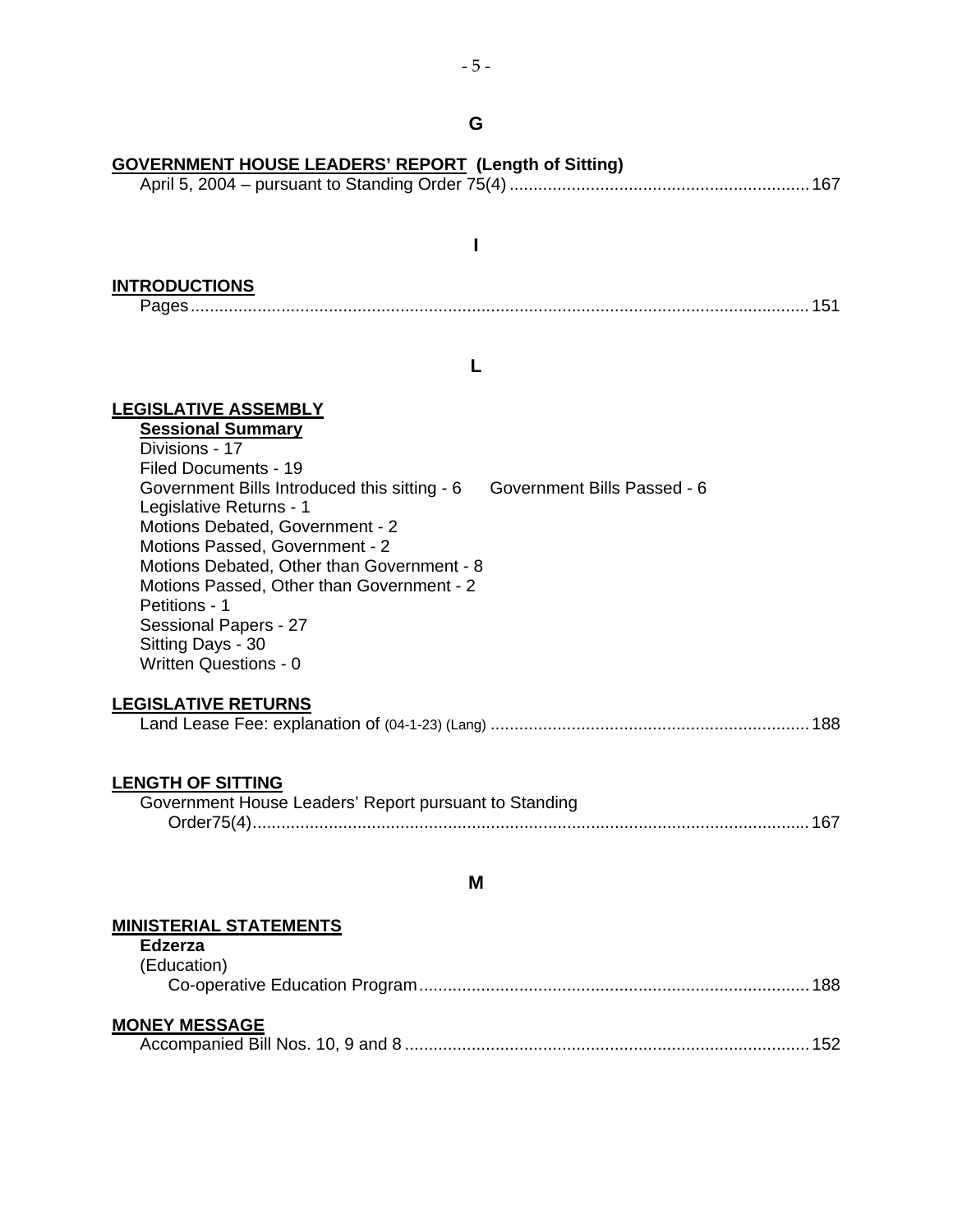## **G**

| <b>GOVERNMENT HOUSE LEADERS' REPORT (Length of Sitting)</b>                       |  |  |  |  |  |
|-----------------------------------------------------------------------------------|--|--|--|--|--|
|                                                                                   |  |  |  |  |  |
|                                                                                   |  |  |  |  |  |
|                                                                                   |  |  |  |  |  |
| <b>INTRODUCTIONS</b>                                                              |  |  |  |  |  |
|                                                                                   |  |  |  |  |  |
|                                                                                   |  |  |  |  |  |
|                                                                                   |  |  |  |  |  |
| <b>LEGISLATIVE ASSEMBLY</b>                                                       |  |  |  |  |  |
| <b>Sessional Summary</b>                                                          |  |  |  |  |  |
| Divisions - 17<br>Filed Documents - 19                                            |  |  |  |  |  |
| Government Bills Passed - 6<br>Government Bills Introduced this sitting - 6       |  |  |  |  |  |
| Legislative Returns - 1                                                           |  |  |  |  |  |
| Motions Debated, Government - 2<br>Motions Passed, Government - 2                 |  |  |  |  |  |
| Motions Debated, Other than Government - 8                                        |  |  |  |  |  |
| Motions Passed, Other than Government - 2<br>Petitions - 1                        |  |  |  |  |  |
| Sessional Papers - 27                                                             |  |  |  |  |  |
| Sitting Days - 30<br><b>Written Questions - 0</b>                                 |  |  |  |  |  |
|                                                                                   |  |  |  |  |  |
| <b>LEGISLATIVE RETURNS</b>                                                        |  |  |  |  |  |
|                                                                                   |  |  |  |  |  |
|                                                                                   |  |  |  |  |  |
| <b>LENGTH OF SITTING</b><br>Government House Leaders' Report pursuant to Standing |  |  |  |  |  |
|                                                                                   |  |  |  |  |  |
|                                                                                   |  |  |  |  |  |
| M                                                                                 |  |  |  |  |  |
| <b>MINISTERIAL STATEMENTS</b>                                                     |  |  |  |  |  |
| <b>Edzerza</b>                                                                    |  |  |  |  |  |
| (Education)<br>188                                                                |  |  |  |  |  |
|                                                                                   |  |  |  |  |  |

### **MONEY MESSAGE**

|--|--|--|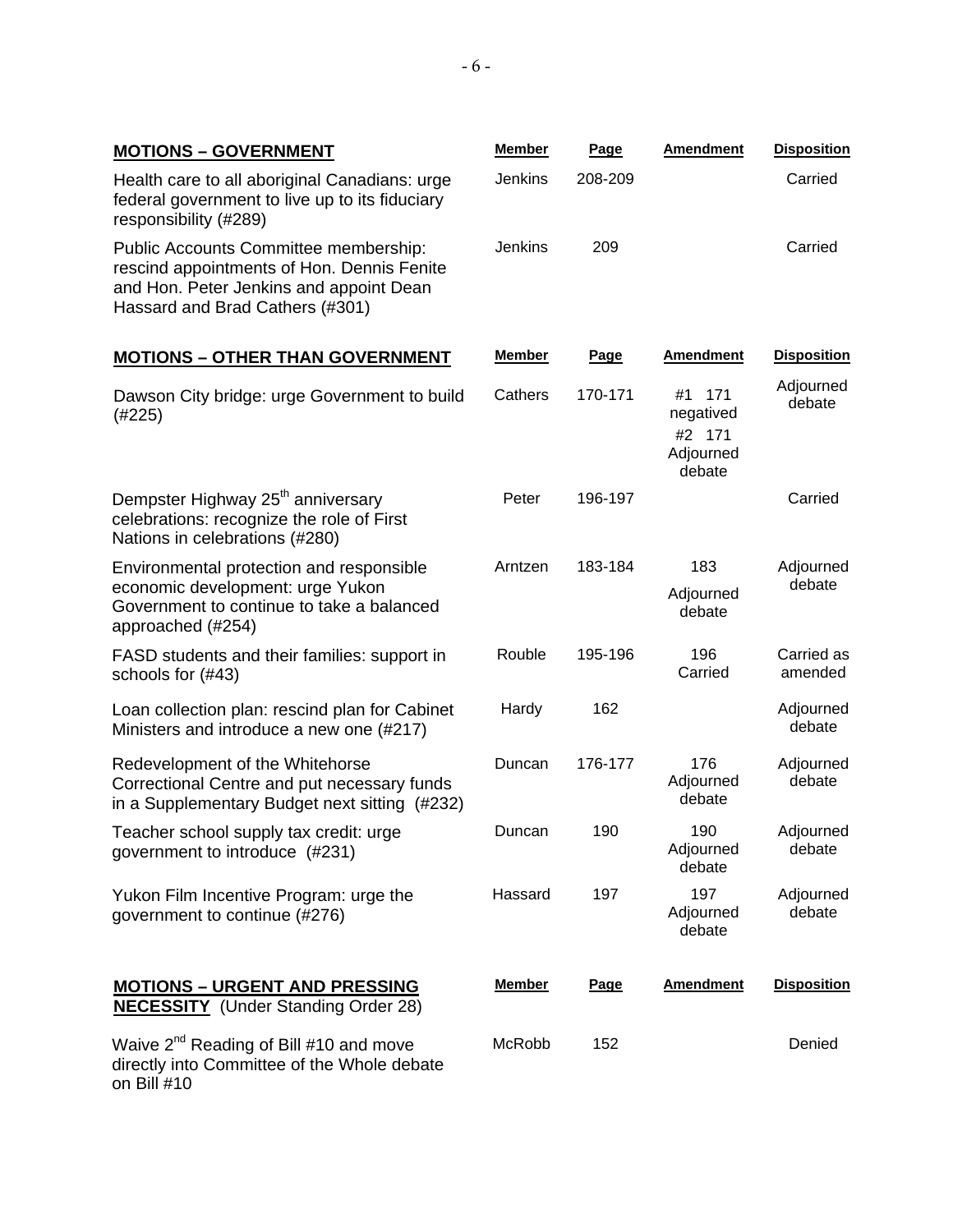| <b>MOTIONS - GOVERNMENT</b>                                                                                                                                       | <b>Member</b> | Page        | <b>Amendment</b>                                        | <b>Disposition</b>    |
|-------------------------------------------------------------------------------------------------------------------------------------------------------------------|---------------|-------------|---------------------------------------------------------|-----------------------|
| Health care to all aboriginal Canadians: urge<br>federal government to live up to its fiduciary<br>responsibility (#289)                                          | Jenkins       | 208-209     |                                                         | Carried               |
| Public Accounts Committee membership:<br>rescind appointments of Hon. Dennis Fenite<br>and Hon. Peter Jenkins and appoint Dean<br>Hassard and Brad Cathers (#301) | Jenkins       | 209         |                                                         | Carried               |
| <b>MOTIONS - OTHER THAN GOVERNMENT</b>                                                                                                                            | Member        | <b>Page</b> | <b>Amendment</b>                                        | <b>Disposition</b>    |
| Dawson City bridge: urge Government to build<br>(#225)                                                                                                            | Cathers       | 170-171     | #1<br>171<br>negatived<br>#2 171<br>Adjourned<br>debate | Adjourned<br>debate   |
| Dempster Highway 25 <sup>th</sup> anniversary<br>celebrations: recognize the role of First<br>Nations in celebrations (#280)                                      | Peter         | 196-197     |                                                         | Carried               |
| Environmental protection and responsible<br>economic development: urge Yukon<br>Government to continue to take a balanced<br>approached (#254)                    | Arntzen       | 183-184     | 183<br>Adjourned<br>debate                              | Adjourned<br>debate   |
| FASD students and their families: support in<br>schools for (#43)                                                                                                 | Rouble        | 195-196     | 196<br>Carried                                          | Carried as<br>amended |
| Loan collection plan: rescind plan for Cabinet<br>Ministers and introduce a new one (#217)                                                                        | Hardy         | 162         |                                                         | Adjourned<br>debate   |
| Redevelopment of the Whitehorse<br>Correctional Centre and put necessary funds<br>in a Supplementary Budget next sitting (#232)                                   | Duncan        | 176-177     | 176<br>Adjourned<br>debate                              | Adjourned<br>debate   |
| Teacher school supply tax credit: urge<br>government to introduce (#231)                                                                                          | Duncan        | 190         | 190<br>Adjourned<br>debate                              | Adjourned<br>debate   |
| Yukon Film Incentive Program: urge the<br>government to continue (#276)                                                                                           | Hassard       | 197         | 197<br>Adjourned<br>debate                              | Adjourned<br>debate   |

**Member Page Amendment Disposition**

McRobb 152 Denied

# **MOTIONS – URGENT AND PRESSING**

**NECESSITY** (Under Standing Order 28)

Waive 2<sup>nd</sup> Reading of Bill #10 and move directly into Committee of the Whole debate on Bill #10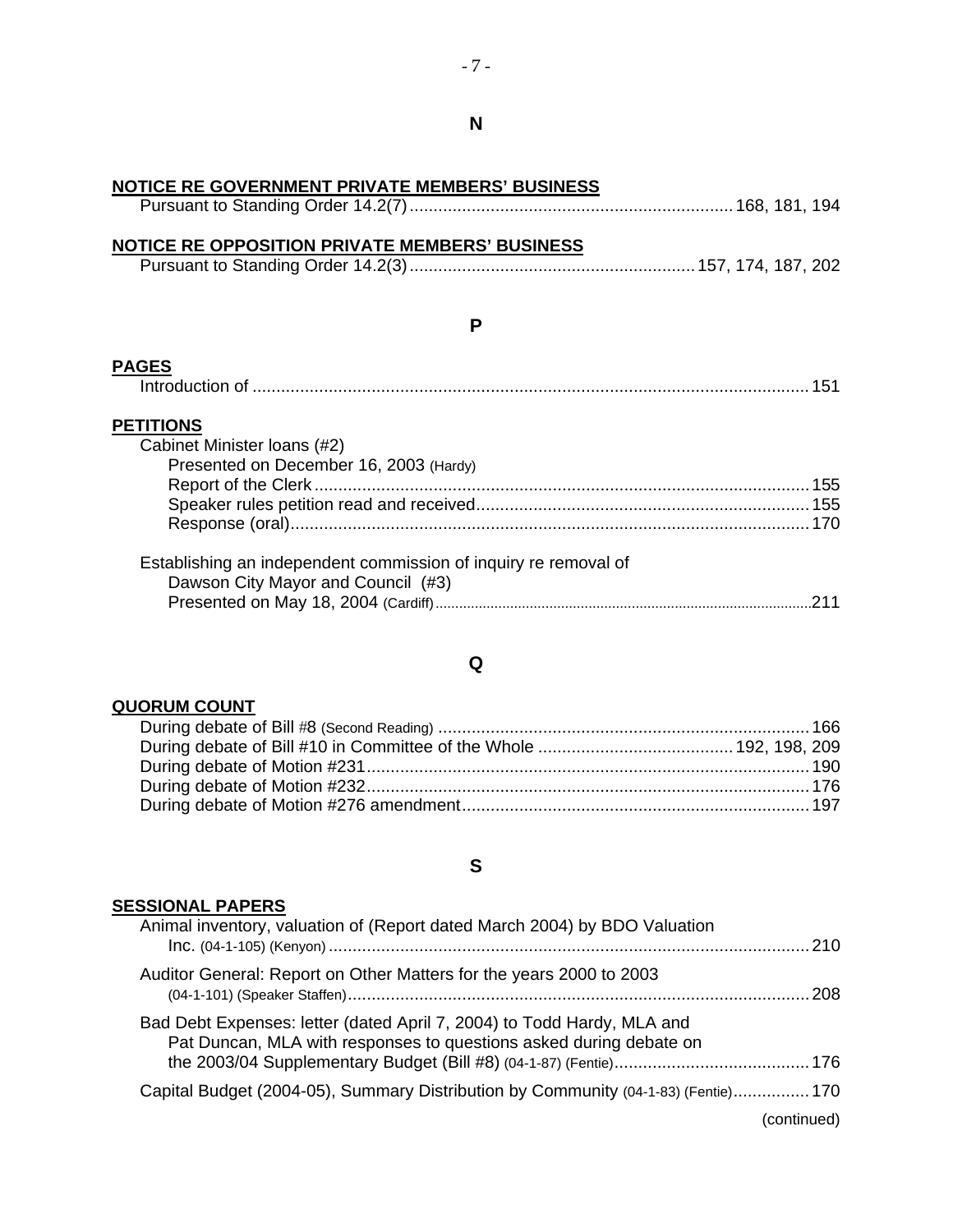| NOTICE RE GOVERNMENT PRIVATE MEMBERS' BUSINESS                  |  |
|-----------------------------------------------------------------|--|
|                                                                 |  |
| NOTICE RE OPPOSITION PRIVATE MEMBERS' BUSINESS                  |  |
|                                                                 |  |
|                                                                 |  |
|                                                                 |  |
| P                                                               |  |
| <b>PAGES</b>                                                    |  |
|                                                                 |  |
|                                                                 |  |
| <b>PETITIONS</b>                                                |  |
| Cabinet Minister Ioans (#2)                                     |  |
| Presented on December 16, 2003 (Hardy)                          |  |
|                                                                 |  |
|                                                                 |  |
|                                                                 |  |
|                                                                 |  |
| Establishing an independent commission of inquiry re removal of |  |
| Dawson City Mayor and Council (#3)                              |  |
|                                                                 |  |
|                                                                 |  |

## **QUORUM COUNT**

## **S**

#### **SESSIONAL PAPERS**

# $-7 -$

| Pursuant to Standing Order 14.2(7)…………………………………………………………… 168, 181, 194 |  |  |
|-------------------------------------------------------------------------|--|--|
|-------------------------------------------------------------------------|--|--|

## **Q**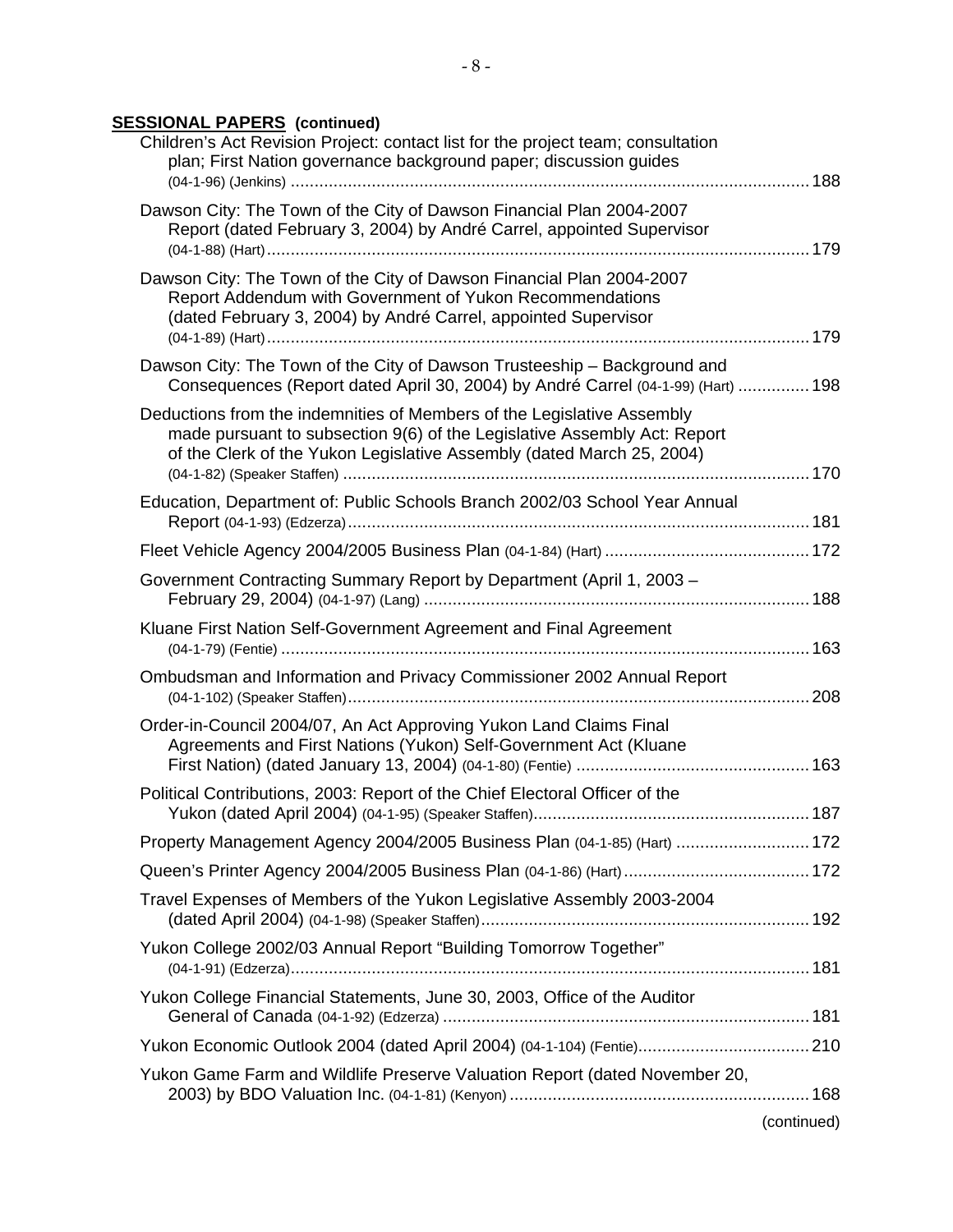### **SESSIONAL PAPERS (continued)**

| Children's Act Revision Project: contact list for the project team; consultation<br>plan; First Nation governance background paper; discussion guides                                                                       |             |
|-----------------------------------------------------------------------------------------------------------------------------------------------------------------------------------------------------------------------------|-------------|
| Dawson City: The Town of the City of Dawson Financial Plan 2004-2007<br>Report (dated February 3, 2004) by André Carrel, appointed Supervisor                                                                               |             |
| Dawson City: The Town of the City of Dawson Financial Plan 2004-2007<br>Report Addendum with Government of Yukon Recommendations<br>(dated February 3, 2004) by André Carrel, appointed Supervisor                          |             |
| Dawson City: The Town of the City of Dawson Trusteeship - Background and<br>Consequences (Report dated April 30, 2004) by André Carrel (04-1-99) (Hart)  198                                                                |             |
| Deductions from the indemnities of Members of the Legislative Assembly<br>made pursuant to subsection 9(6) of the Legislative Assembly Act: Report<br>of the Clerk of the Yukon Legislative Assembly (dated March 25, 2004) |             |
| Education, Department of: Public Schools Branch 2002/03 School Year Annual                                                                                                                                                  |             |
|                                                                                                                                                                                                                             |             |
| Government Contracting Summary Report by Department (April 1, 2003 -                                                                                                                                                        |             |
| Kluane First Nation Self-Government Agreement and Final Agreement                                                                                                                                                           |             |
| Ombudsman and Information and Privacy Commissioner 2002 Annual Report                                                                                                                                                       |             |
| Order-in-Council 2004/07, An Act Approving Yukon Land Claims Final<br>Agreements and First Nations (Yukon) Self-Government Act (Kluane                                                                                      |             |
| Political Contributions, 2003: Report of the Chief Electoral Officer of the                                                                                                                                                 |             |
| Property Management Agency 2004/2005 Business Plan (04-1-85) (Hart)  172                                                                                                                                                    |             |
|                                                                                                                                                                                                                             |             |
| Travel Expenses of Members of the Yukon Legislative Assembly 2003-2004                                                                                                                                                      |             |
| Yukon College 2002/03 Annual Report "Building Tomorrow Together"                                                                                                                                                            |             |
| Yukon College Financial Statements, June 30, 2003, Office of the Auditor                                                                                                                                                    |             |
| Yukon Economic Outlook 2004 (dated April 2004) (04-1-104) (Fentie) 210                                                                                                                                                      |             |
| Yukon Game Farm and Wildlife Preserve Valuation Report (dated November 20,                                                                                                                                                  |             |
|                                                                                                                                                                                                                             | (continued) |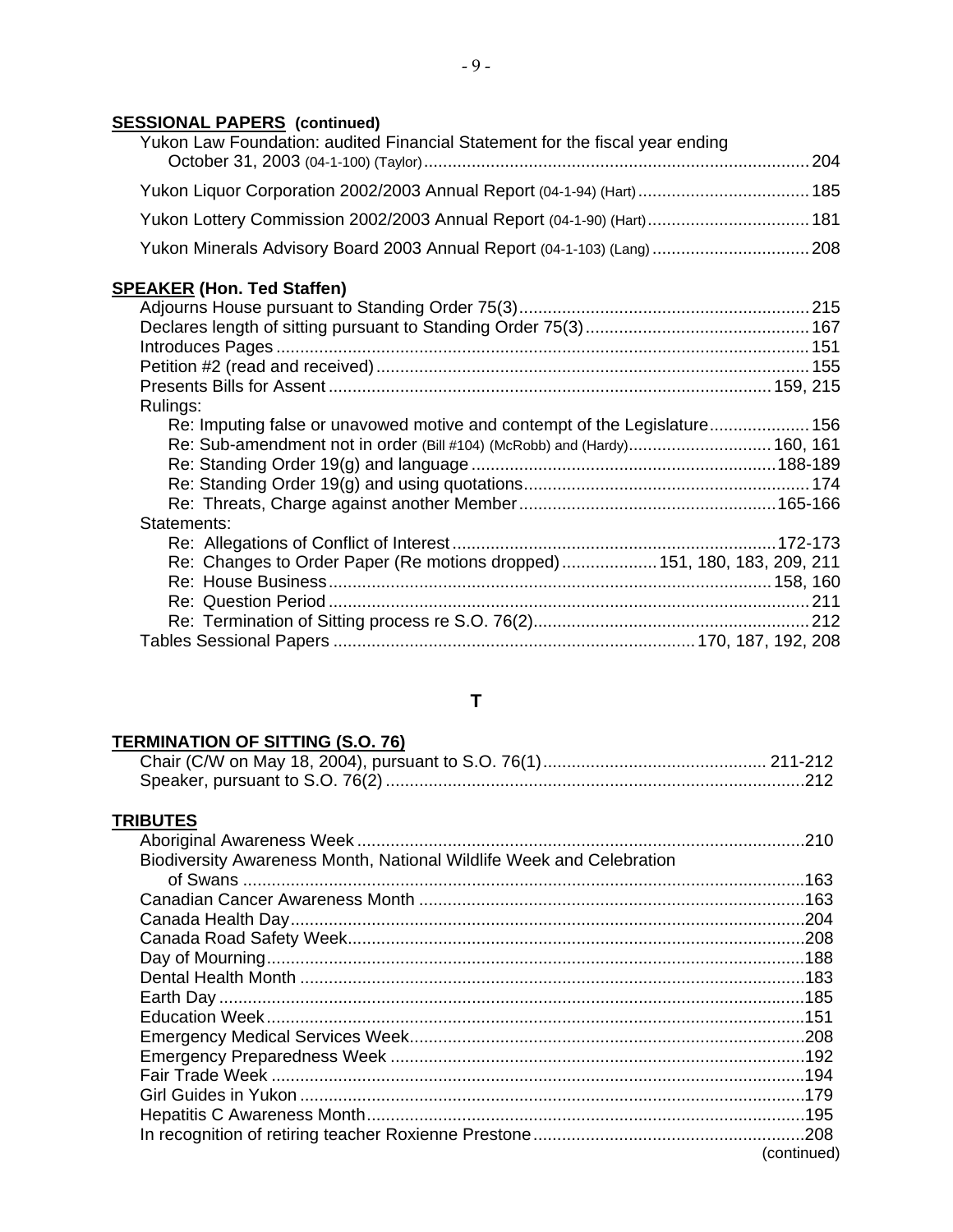### **SESSIONAL PAPERS (continued)**

| Yukon Law Foundation: audited Financial Statement for the fiscal year ending |  |
|------------------------------------------------------------------------------|--|
| Yukon Liquor Corporation 2002/2003 Annual Report (04-1-94) (Hart)  185       |  |
| Yukon Lottery Commission 2002/2003 Annual Report (04-1-90) (Hart) 181        |  |
| Yukon Minerals Advisory Board 2003 Annual Report (04-1-103) (Lang)  208      |  |

### **SPEAKER (Hon. Ted Staffen)**

| Rulings:                                                                  |  |
|---------------------------------------------------------------------------|--|
| Re: Imputing false or unavowed motive and contempt of the Legislature 156 |  |
| Re: Sub-amendment not in order (Bill #104) (McRobb) and (Hardy) 160, 161  |  |
|                                                                           |  |
|                                                                           |  |
|                                                                           |  |
| Statements:                                                               |  |
|                                                                           |  |
| Re: Changes to Order Paper (Re motions dropped) 151, 180, 183, 209, 211   |  |
|                                                                           |  |
|                                                                           |  |
|                                                                           |  |
|                                                                           |  |

#### **T**

#### **TERMINATION OF SITTING (S.O. 76)**

#### **TRIBUTES**

| Biodiversity Awareness Month, National Wildlife Week and Celebration |             |
|----------------------------------------------------------------------|-------------|
|                                                                      |             |
|                                                                      |             |
|                                                                      |             |
|                                                                      |             |
|                                                                      |             |
|                                                                      |             |
|                                                                      |             |
|                                                                      |             |
|                                                                      |             |
|                                                                      |             |
|                                                                      |             |
|                                                                      |             |
|                                                                      |             |
|                                                                      |             |
|                                                                      | (continued) |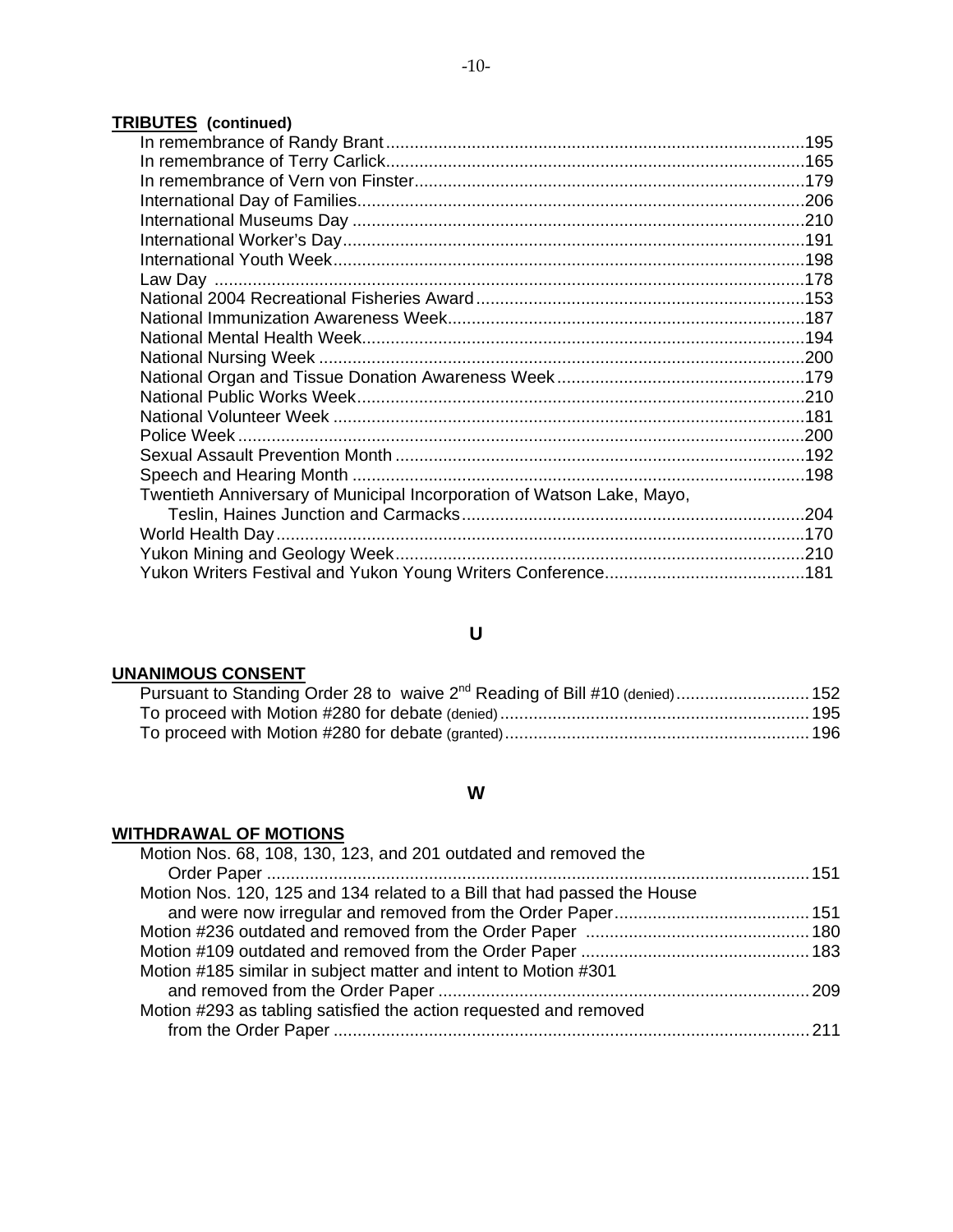### **TRIBUTES (continued)**

| Twentieth Anniversary of Municipal Incorporation of Watson Lake, Mayo, |  |
|------------------------------------------------------------------------|--|
|                                                                        |  |
|                                                                        |  |
|                                                                        |  |
|                                                                        |  |
|                                                                        |  |

## **U**

#### **UNANIMOUS CONSENT**

| Pursuant to Standing Order 28 to waive 2 <sup>nd</sup> Reading of Bill #10 (denied) 152 |  |
|-----------------------------------------------------------------------------------------|--|
|                                                                                         |  |
|                                                                                         |  |

### **W**

### **WITHDRAWAL OF MOTIONS**

| Motion Nos. 68, 108, 130, 123, and 201 outdated and removed the          |
|--------------------------------------------------------------------------|
|                                                                          |
| Motion Nos. 120, 125 and 134 related to a Bill that had passed the House |
|                                                                          |
|                                                                          |
|                                                                          |
| Motion #185 similar in subject matter and intent to Motion #301          |
|                                                                          |
| Motion #293 as tabling satisfied the action requested and removed        |
|                                                                          |
|                                                                          |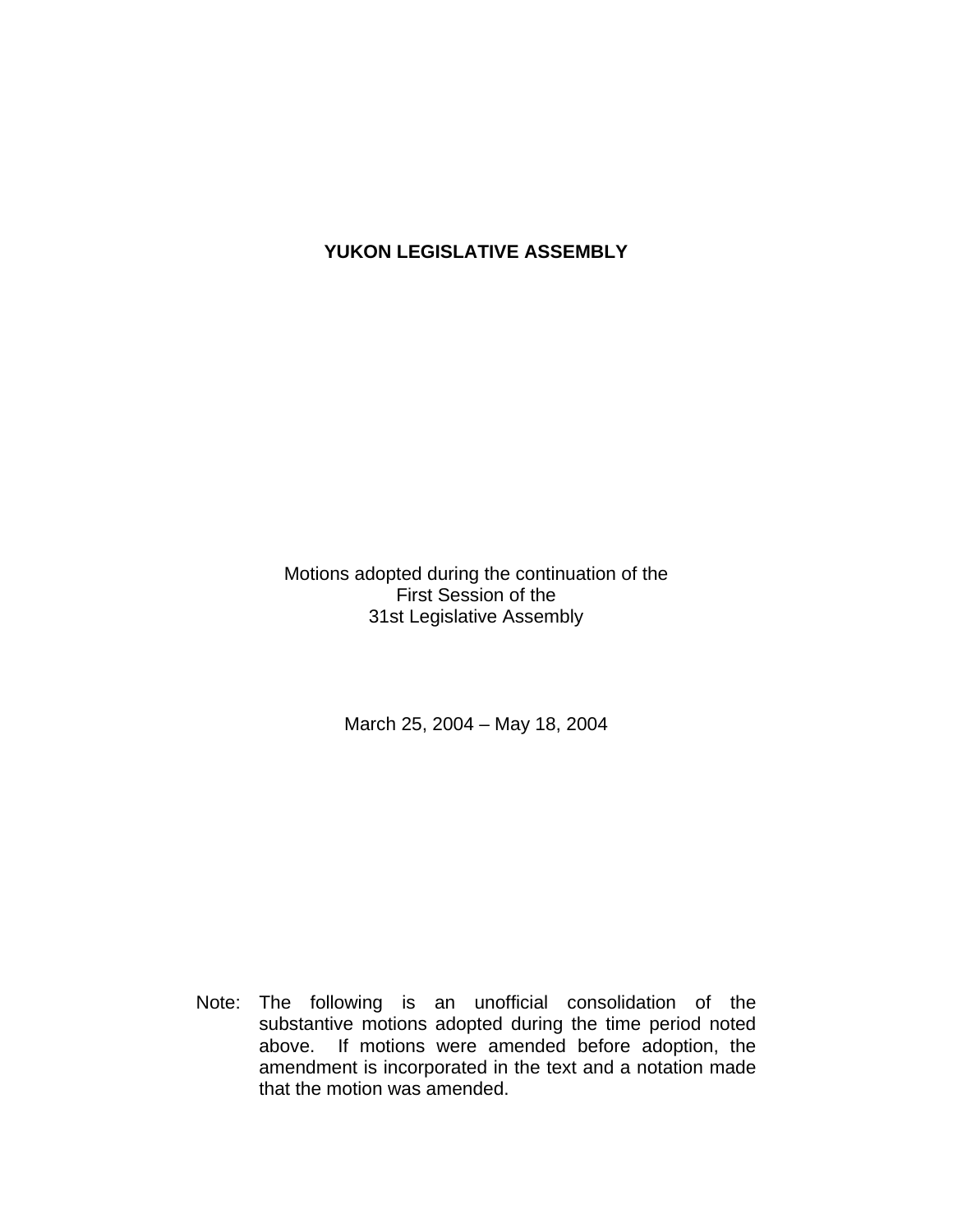## **YUKON LEGISLATIVE ASSEMBLY**

Motions adopted during the continuation of the First Session of the 31st Legislative Assembly

March 25, 2004 – May 18, 2004

 Note: The following is an unofficial consolidation of the substantive motions adopted during the time period noted above. If motions were amended before adoption, the amendment is incorporated in the text and a notation made that the motion was amended.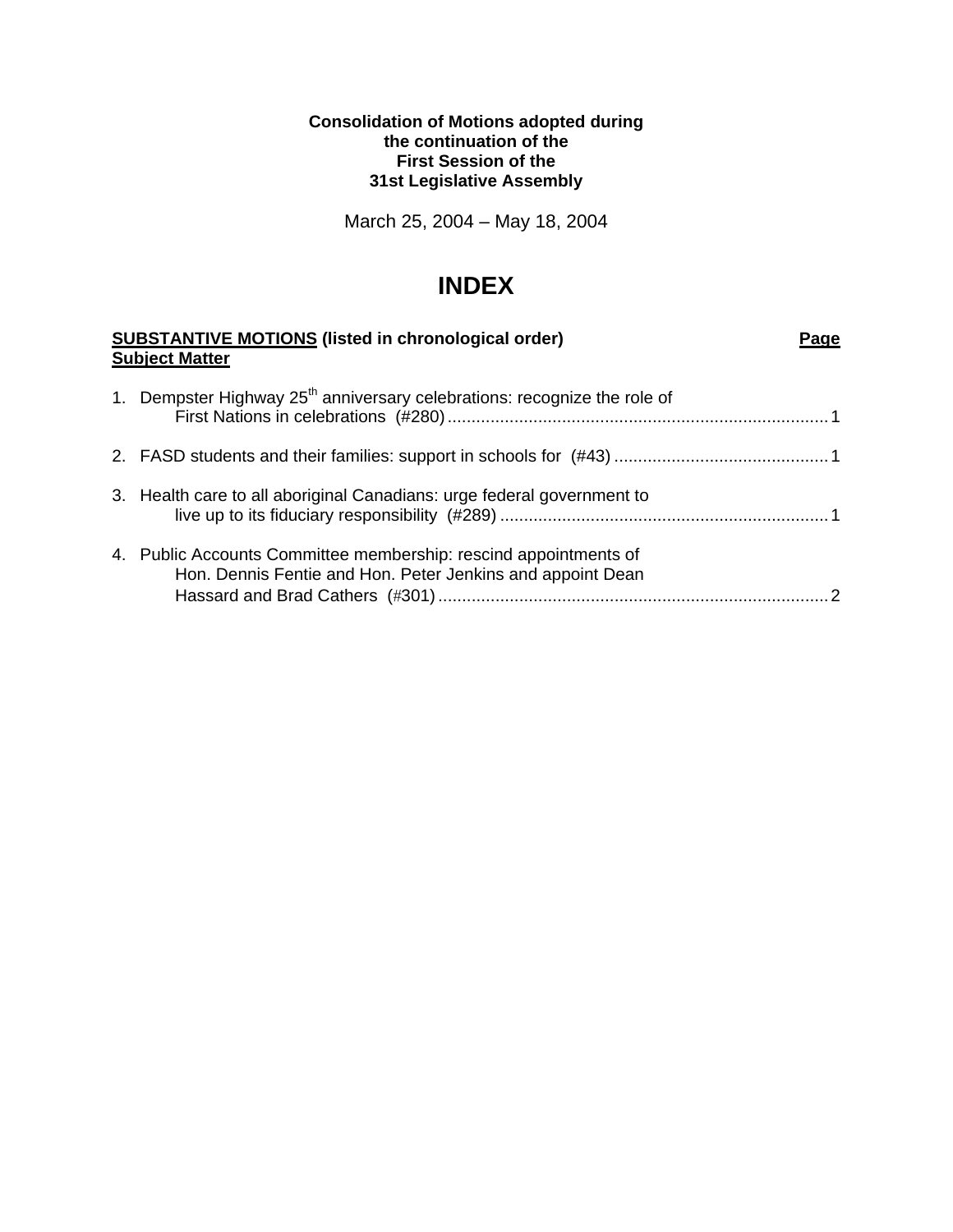#### **Consolidation of Motions adopted during the continuation of the First Session of the 31st Legislative Assembly**

March 25, 2004 – May 18, 2004

## **INDEX**

| <b>SUBSTANTIVE MOTIONS (listed in chronological order)</b><br><b>Subject Matter</b> |                                                                                                                                | Page |
|-------------------------------------------------------------------------------------|--------------------------------------------------------------------------------------------------------------------------------|------|
|                                                                                     | 1. Dempster Highway 25 <sup>th</sup> anniversary celebrations: recognize the role of                                           |      |
|                                                                                     |                                                                                                                                |      |
|                                                                                     | 3. Health care to all aboriginal Canadians: urge federal government to                                                         |      |
|                                                                                     | 4. Public Accounts Committee membership: rescind appointments of<br>Hon. Dennis Fentie and Hon. Peter Jenkins and appoint Dean |      |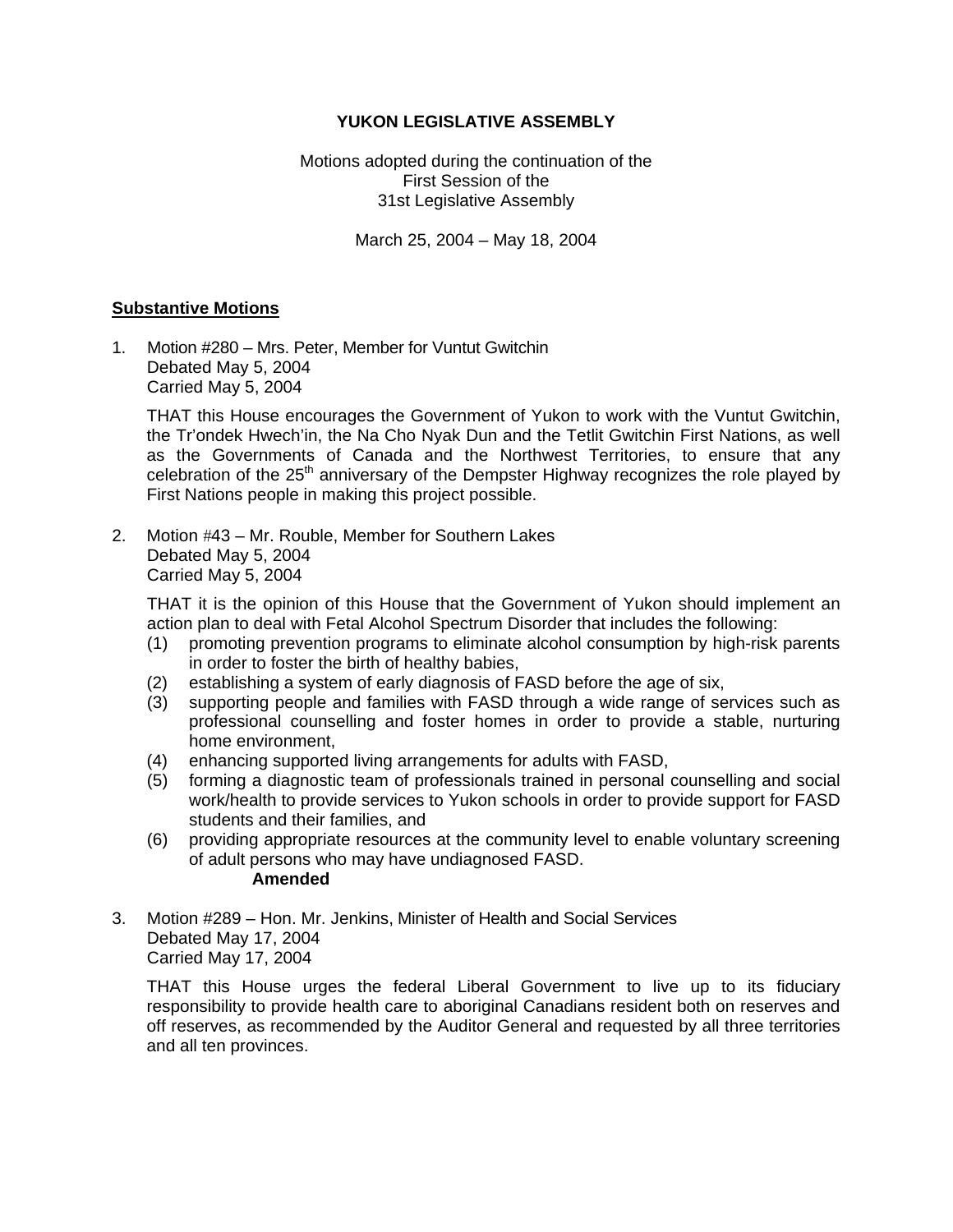#### **YUKON LEGISLATIVE ASSEMBLY**

Motions adopted during the continuation of the First Session of the 31st Legislative Assembly

March 25, 2004 – May 18, 2004

#### **Substantive Motions**

1. Motion #280 – Mrs. Peter, Member for Vuntut Gwitchin Debated May 5, 2004 Carried May 5, 2004

 THAT this House encourages the Government of Yukon to work with the Vuntut Gwitchin, the Tr'ondek Hwech'in, the Na Cho Nyak Dun and the Tetlit Gwitchin First Nations, as well as the Governments of Canada and the Northwest Territories, to ensure that any celebration of the  $25<sup>th</sup>$  anniversary of the Dempster Highway recognizes the role played by First Nations people in making this project possible.

2. Motion #43 – Mr. Rouble, Member for Southern Lakes Debated May 5, 2004 Carried May 5, 2004

 THAT it is the opinion of this House that the Government of Yukon should implement an action plan to deal with Fetal Alcohol Spectrum Disorder that includes the following:

- (1) promoting prevention programs to eliminate alcohol consumption by high-risk parents in order to foster the birth of healthy babies,
- (2) establishing a system of early diagnosis of FASD before the age of six,
- (3) supporting people and families with FASD through a wide range of services such as professional counselling and foster homes in order to provide a stable, nurturing home environment,
- (4) enhancing supported living arrangements for adults with FASD,
- (5) forming a diagnostic team of professionals trained in personal counselling and social work/health to provide services to Yukon schools in order to provide support for FASD students and their families, and
- (6) providing appropriate resources at the community level to enable voluntary screening of adult persons who may have undiagnosed FASD. **Amended**
- 3. Motion #289 Hon. Mr. Jenkins, Minister of Health and Social Services Debated May 17, 2004 Carried May 17, 2004

 THAT this House urges the federal Liberal Government to live up to its fiduciary responsibility to provide health care to aboriginal Canadians resident both on reserves and off reserves, as recommended by the Auditor General and requested by all three territories and all ten provinces.